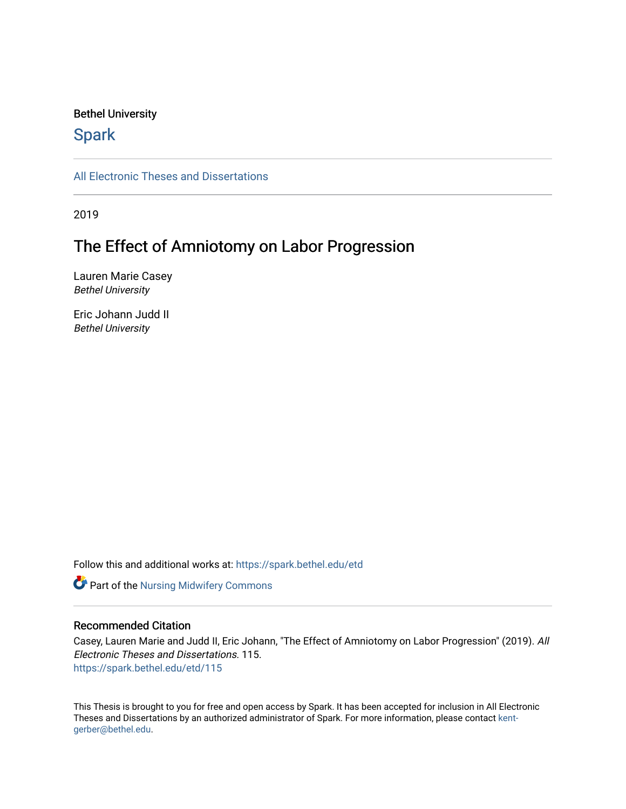#### Bethel University

# **Spark**

[All Electronic Theses and Dissertations](https://spark.bethel.edu/etd) 

2019

# The Effect of Amniotomy on Labor Progression

Lauren Marie Casey Bethel University

Eric Johann Judd II Bethel University

Follow this and additional works at: [https://spark.bethel.edu/etd](https://spark.bethel.edu/etd?utm_source=spark.bethel.edu%2Fetd%2F115&utm_medium=PDF&utm_campaign=PDFCoverPages)

**Part of the Nursing Midwifery Commons** 

#### Recommended Citation

Casey, Lauren Marie and Judd II, Eric Johann, "The Effect of Amniotomy on Labor Progression" (2019). All Electronic Theses and Dissertations. 115. [https://spark.bethel.edu/etd/115](https://spark.bethel.edu/etd/115?utm_source=spark.bethel.edu%2Fetd%2F115&utm_medium=PDF&utm_campaign=PDFCoverPages)

This Thesis is brought to you for free and open access by Spark. It has been accepted for inclusion in All Electronic Theses and Dissertations by an authorized administrator of Spark. For more information, please contact [kent](mailto:kent-gerber@bethel.edu)[gerber@bethel.edu.](mailto:kent-gerber@bethel.edu)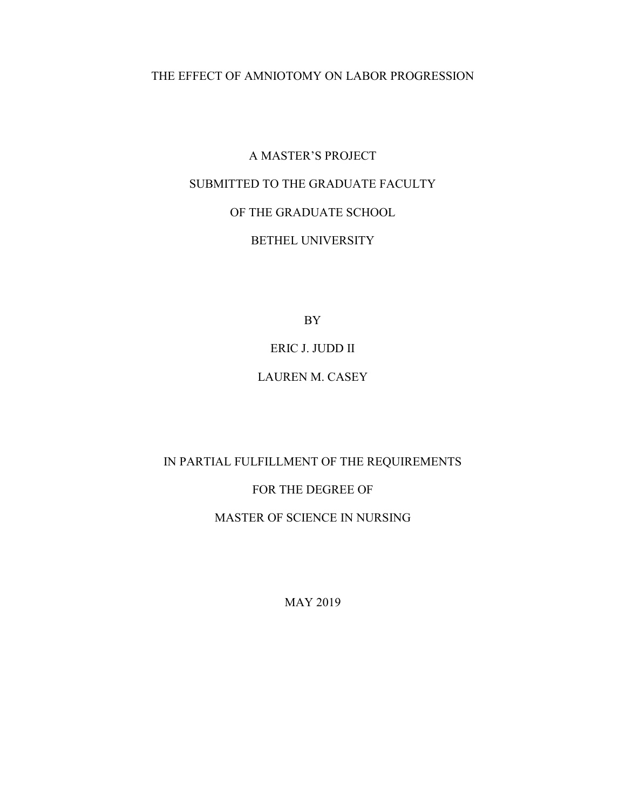## THE EFFECT OF AMNIOTOMY ON LABOR PROGRESSION

# A MASTER'S PROJECT SUBMITTED TO THE GRADUATE FACULTY OF THE GRADUATE SCHOOL BETHEL UNIVERSITY

BY

### ERIC J. JUDD II

## LAUREN M. CASEY

# IN PARTIAL FULFILLMENT OF THE REQUIREMENTS FOR THE DEGREE OF

# MASTER OF SCIENCE IN NURSING

MAY 2019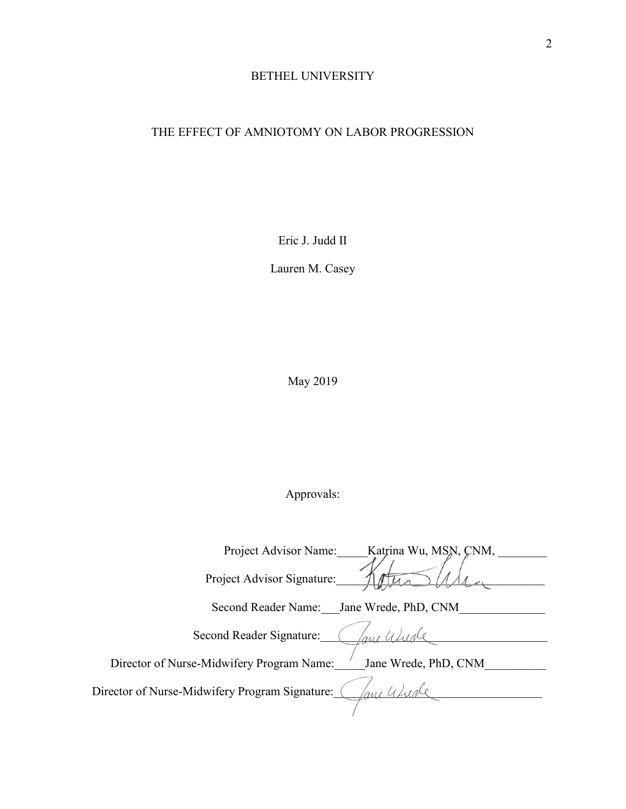# BETHEL UNIVERSITY

# THE EFFECT OF AMNIOTOMY ON LABOR PROGRESSION

Eric J. Judd II

Lauren M. Casey

May 2019

# Approvals:

| Project Advisor Name:<br>Katrina Wu, MSN, CNM,                    |
|-------------------------------------------------------------------|
| Project Advisor Signature:                                        |
| Second Reader Name:<br>Jane Wrede, PhD, CNM                       |
| Second Reader Signature:                                          |
| Director of Nurse-Midwifery Program Name:<br>Jane Wrede, PhD, CNM |
| Director of Nurse-Midwifery Program Signature:                    |
|                                                                   |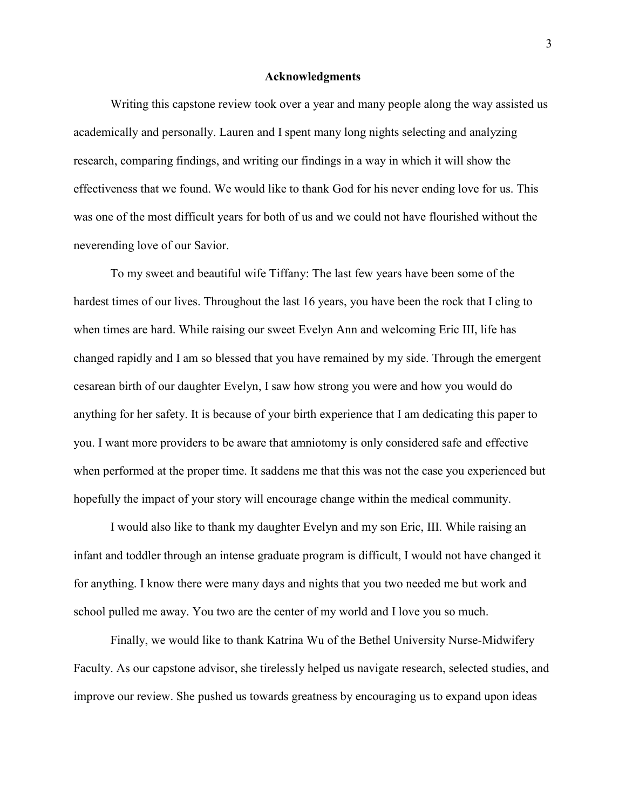#### **Acknowledgments**

Writing this capstone review took over a year and many people along the way assisted us academically and personally. Lauren and I spent many long nights selecting and analyzing research, comparing findings, and writing our findings in a way in which it will show the effectiveness that we found. We would like to thank God for his never ending love for us. This was one of the most difficult years for both of us and we could not have flourished without the neverending love of our Savior.

To my sweet and beautiful wife Tiffany: The last few years have been some of the hardest times of our lives. Throughout the last 16 years, you have been the rock that I cling to when times are hard. While raising our sweet Evelyn Ann and welcoming Eric III, life has changed rapidly and I am so blessed that you have remained by my side. Through the emergent cesarean birth of our daughter Evelyn, I saw how strong you were and how you would do anything for her safety. It is because of your birth experience that I am dedicating this paper to you. I want more providers to be aware that amniotomy is only considered safe and effective when performed at the proper time. It saddens me that this was not the case you experienced but hopefully the impact of your story will encourage change within the medical community.

I would also like to thank my daughter Evelyn and my son Eric, III. While raising an infant and toddler through an intense graduate program is difficult, I would not have changed it for anything. I know there were many days and nights that you two needed me but work and school pulled me away. You two are the center of my world and I love you so much.

Finally, we would like to thank Katrina Wu of the Bethel University Nurse-Midwifery Faculty. As our capstone advisor, she tirelessly helped us navigate research, selected studies, and improve our review. She pushed us towards greatness by encouraging us to expand upon ideas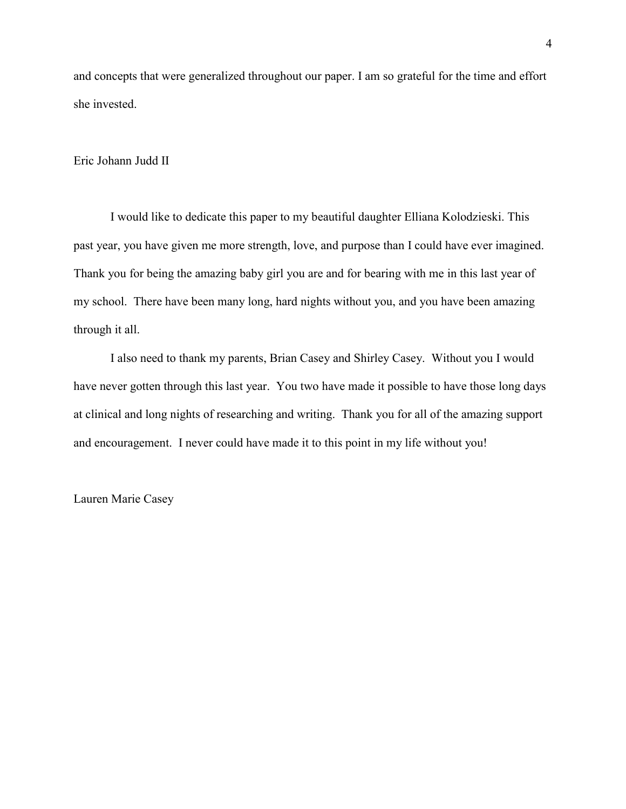and concepts that were generalized throughout our paper. I am so grateful for the time and effort she invested.

#### Eric Johann Judd II

I would like to dedicate this paper to my beautiful daughter Elliana Kolodzieski. This past year, you have given me more strength, love, and purpose than I could have ever imagined. Thank you for being the amazing baby girl you are and for bearing with me in this last year of my school. There have been many long, hard nights without you, and you have been amazing through it all.

I also need to thank my parents, Brian Casey and Shirley Casey. Without you I would have never gotten through this last year. You two have made it possible to have those long days at clinical and long nights of researching and writing. Thank you for all of the amazing support and encouragement. I never could have made it to this point in my life without you!

Lauren Marie Casey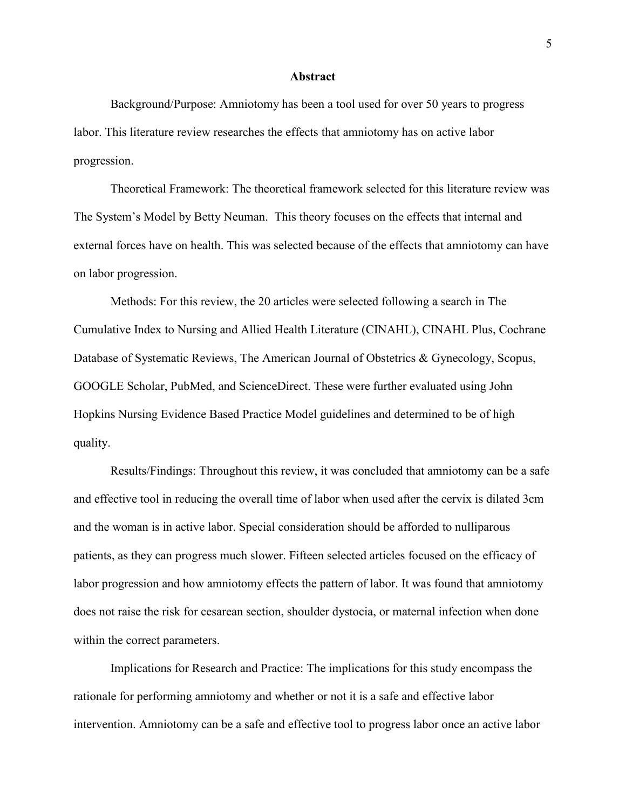#### **Abstract**

Background/Purpose: Amniotomy has been a tool used for over 50 years to progress labor. This literature review researches the effects that amniotomy has on active labor progression.

Theoretical Framework: The theoretical framework selected for this literature review was The System's Model by Betty Neuman. This theory focuses on the effects that internal and external forces have on health. This was selected because of the effects that amniotomy can have on labor progression.

Methods: For this review, the 20 articles were selected following a search in The Cumulative Index to Nursing and Allied Health Literature (CINAHL), CINAHL Plus, Cochrane Database of Systematic Reviews, The American Journal of Obstetrics & Gynecology, Scopus, GOOGLE Scholar, PubMed, and ScienceDirect. These were further evaluated using John Hopkins Nursing Evidence Based Practice Model guidelines and determined to be of high quality.

Results/Findings: Throughout this review, it was concluded that amniotomy can be a safe and effective tool in reducing the overall time of labor when used after the cervix is dilated 3cm and the woman is in active labor. Special consideration should be afforded to nulliparous patients, as they can progress much slower. Fifteen selected articles focused on the efficacy of labor progression and how amniotomy effects the pattern of labor. It was found that amniotomy does not raise the risk for cesarean section, shoulder dystocia, or maternal infection when done within the correct parameters.

Implications for Research and Practice: The implications for this study encompass the rationale for performing amniotomy and whether or not it is a safe and effective labor intervention. Amniotomy can be a safe and effective tool to progress labor once an active labor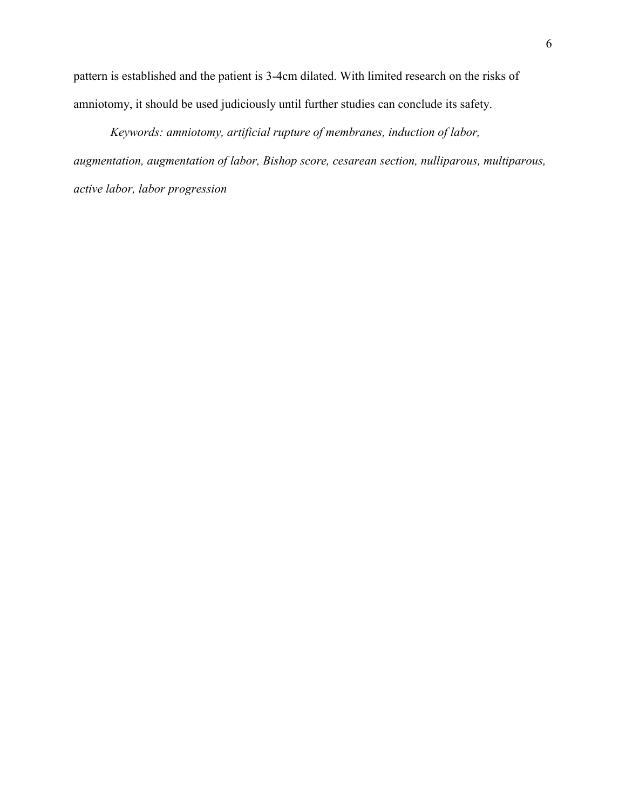pattern is established and the patient is 3-4cm dilated. With limited research on the risks of amniotomy, it should be used judiciously until further studies can conclude its safety.

*Keywords: amniotomy, artificial rupture of membranes, induction of labor, augmentation, augmentation of labor, Bishop score, cesarean section, nulliparous, multiparous, active labor, labor progression*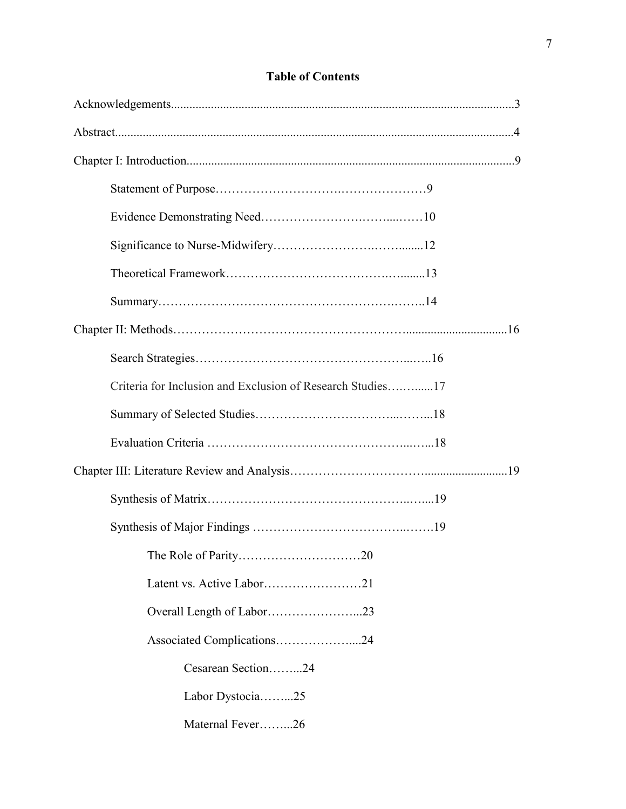# **Table of Contents**

| Criteria for Inclusion and Exclusion of Research Studies17 |  |
|------------------------------------------------------------|--|
|                                                            |  |
|                                                            |  |
|                                                            |  |
|                                                            |  |
|                                                            |  |
|                                                            |  |
|                                                            |  |
| Overall Length of Labor23                                  |  |
| Associated Complications24                                 |  |
| Cesarean Section24                                         |  |
| Labor Dystocia25                                           |  |
| Maternal Fever26                                           |  |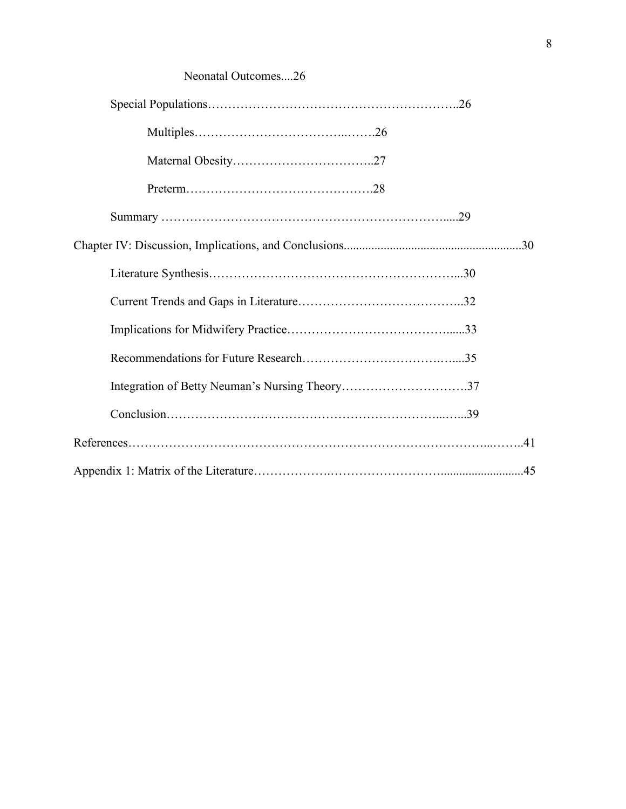# Neonatal Outcomes....26

| Integration of Betty Neuman's Nursing Theory37 |  |
|------------------------------------------------|--|
|                                                |  |
|                                                |  |
|                                                |  |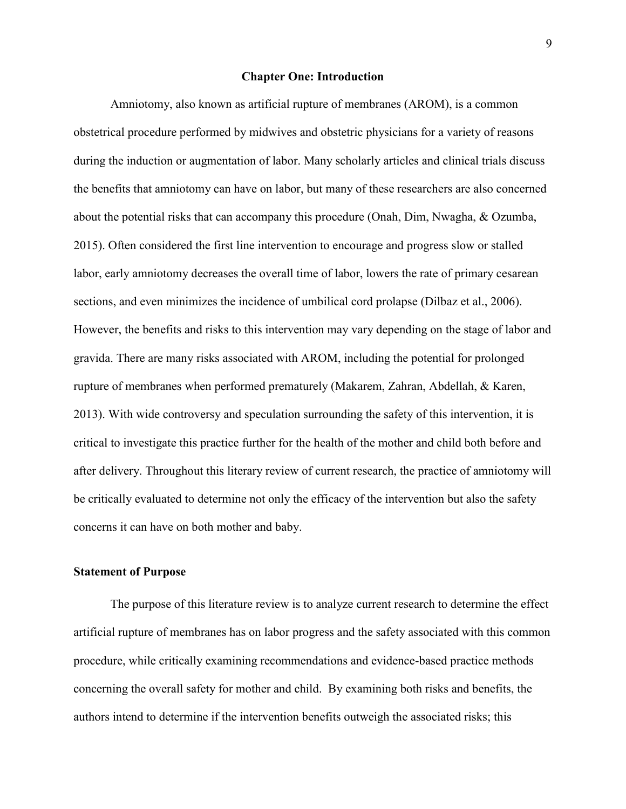#### **Chapter One: Introduction**

Amniotomy, also known as artificial rupture of membranes (AROM), is a common obstetrical procedure performed by midwives and obstetric physicians for a variety of reasons during the induction or augmentation of labor. Many scholarly articles and clinical trials discuss the benefits that amniotomy can have on labor, but many of these researchers are also concerned about the potential risks that can accompany this procedure (Onah, Dim, Nwagha, & Ozumba, 2015). Often considered the first line intervention to encourage and progress slow or stalled labor, early amniotomy decreases the overall time of labor, lowers the rate of primary cesarean sections, and even minimizes the incidence of umbilical cord prolapse (Dilbaz et al., 2006). However, the benefits and risks to this intervention may vary depending on the stage of labor and gravida. There are many risks associated with AROM, including the potential for prolonged rupture of membranes when performed prematurely (Makarem, Zahran, Abdellah, & Karen, 2013). With wide controversy and speculation surrounding the safety of this intervention, it is critical to investigate this practice further for the health of the mother and child both before and after delivery. Throughout this literary review of current research, the practice of amniotomy will be critically evaluated to determine not only the efficacy of the intervention but also the safety concerns it can have on both mother and baby.

#### **Statement of Purpose**

The purpose of this literature review is to analyze current research to determine the effect artificial rupture of membranes has on labor progress and the safety associated with this common procedure, while critically examining recommendations and evidence-based practice methods concerning the overall safety for mother and child. By examining both risks and benefits, the authors intend to determine if the intervention benefits outweigh the associated risks; this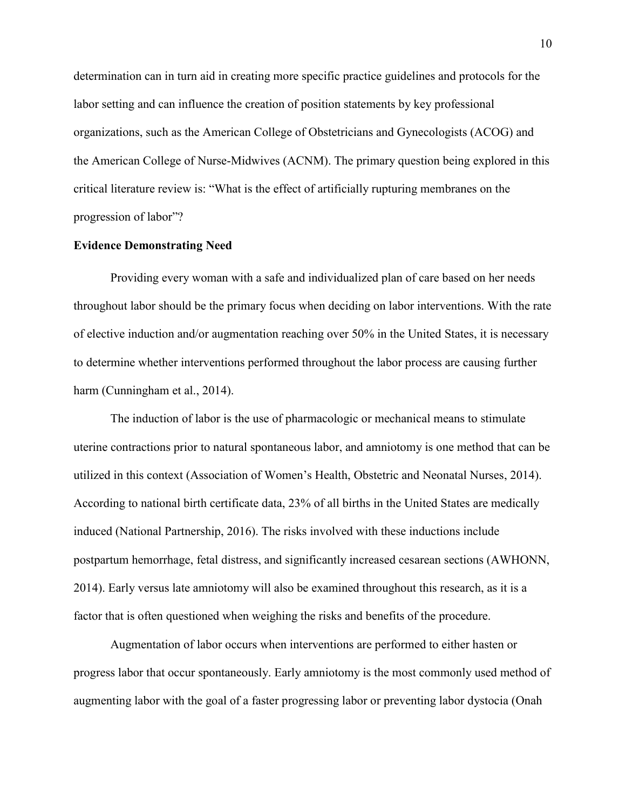determination can in turn aid in creating more specific practice guidelines and protocols for the labor setting and can influence the creation of position statements by key professional organizations, such as the American College of Obstetricians and Gynecologists (ACOG) and the American College of Nurse-Midwives (ACNM). The primary question being explored in this critical literature review is: "What is the effect of artificially rupturing membranes on the progression of labor"?

#### **Evidence Demonstrating Need**

Providing every woman with a safe and individualized plan of care based on her needs throughout labor should be the primary focus when deciding on labor interventions. With the rate of elective induction and/or augmentation reaching over 50% in the United States, it is necessary to determine whether interventions performed throughout the labor process are causing further harm (Cunningham et al., 2014).

The induction of labor is the use of pharmacologic or mechanical means to stimulate uterine contractions prior to natural spontaneous labor, and amniotomy is one method that can be utilized in this context (Association of Women's Health, Obstetric and Neonatal Nurses, 2014). According to national birth certificate data, 23% of all births in the United States are medically induced (National Partnership, 2016). The risks involved with these inductions include postpartum hemorrhage, fetal distress, and significantly increased cesarean sections (AWHONN, 2014). Early versus late amniotomy will also be examined throughout this research, as it is a factor that is often questioned when weighing the risks and benefits of the procedure.

Augmentation of labor occurs when interventions are performed to either hasten or progress labor that occur spontaneously. Early amniotomy is the most commonly used method of augmenting labor with the goal of a faster progressing labor or preventing labor dystocia (Onah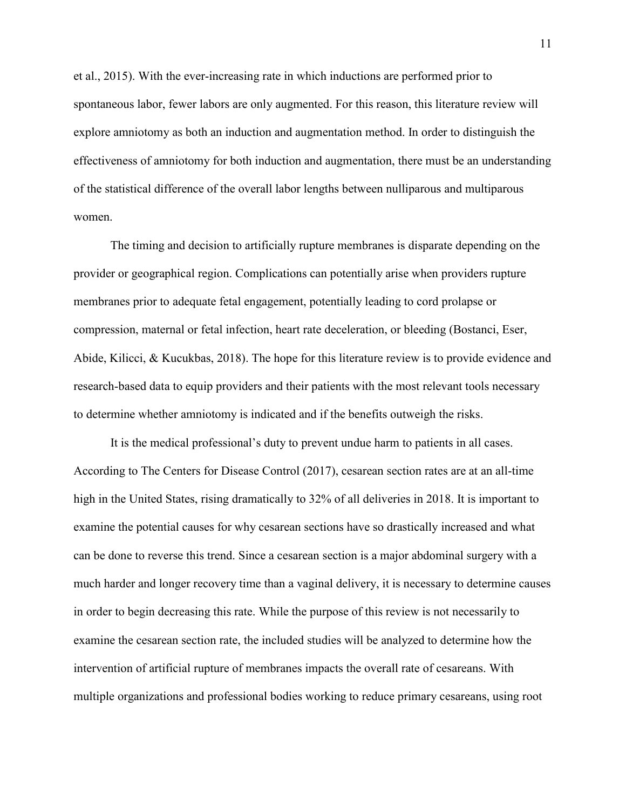et al., 2015). With the ever-increasing rate in which inductions are performed prior to spontaneous labor, fewer labors are only augmented. For this reason, this literature review will explore amniotomy as both an induction and augmentation method. In order to distinguish the effectiveness of amniotomy for both induction and augmentation, there must be an understanding of the statistical difference of the overall labor lengths between nulliparous and multiparous women.

The timing and decision to artificially rupture membranes is disparate depending on the provider or geographical region. Complications can potentially arise when providers rupture membranes prior to adequate fetal engagement, potentially leading to cord prolapse or compression, maternal or fetal infection, heart rate deceleration, or bleeding (Bostanci, Eser, Abide, Kilicci, & Kucukbas, 2018). The hope for this literature review is to provide evidence and research-based data to equip providers and their patients with the most relevant tools necessary to determine whether amniotomy is indicated and if the benefits outweigh the risks.

It is the medical professional's duty to prevent undue harm to patients in all cases. According to The Centers for Disease Control (2017), cesarean section rates are at an all-time high in the United States, rising dramatically to 32% of all deliveries in 2018. It is important to examine the potential causes for why cesarean sections have so drastically increased and what can be done to reverse this trend. Since a cesarean section is a major abdominal surgery with a much harder and longer recovery time than a vaginal delivery, it is necessary to determine causes in order to begin decreasing this rate. While the purpose of this review is not necessarily to examine the cesarean section rate, the included studies will be analyzed to determine how the intervention of artificial rupture of membranes impacts the overall rate of cesareans. With multiple organizations and professional bodies working to reduce primary cesareans, using root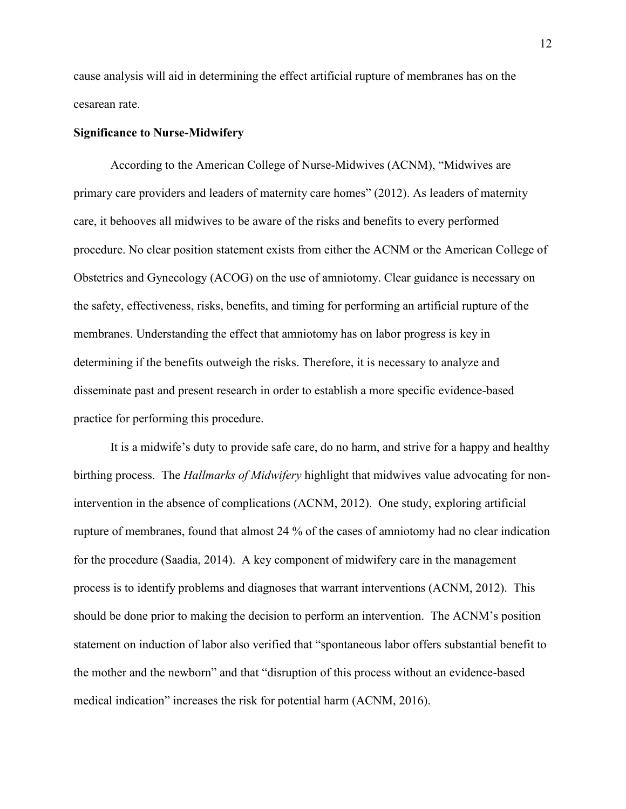cause analysis will aid in determining the effect artificial rupture of membranes has on the cesarean rate.

#### **Significance to Nurse-Midwifery**

According to the American College of Nurse-Midwives (ACNM), "Midwives are primary care providers and leaders of maternity care homes" (2012). As leaders of maternity care, it behooves all midwives to be aware of the risks and benefits to every performed procedure. No clear position statement exists from either the ACNM or the American College of Obstetrics and Gynecology (ACOG) on the use of amniotomy. Clear guidance is necessary on the safety, effectiveness, risks, benefits, and timing for performing an artificial rupture of the membranes. Understanding the effect that amniotomy has on labor progress is key in determining if the benefits outweigh the risks. Therefore, it is necessary to analyze and disseminate past and present research in order to establish a more specific evidence-based practice for performing this procedure.

It is a midwife's duty to provide safe care, do no harm, and strive for a happy and healthy birthing process. The *Hallmarks of Midwifery* highlight that midwives value advocating for nonintervention in the absence of complications (ACNM, 2012). One study, exploring artificial rupture of membranes, found that almost 24 % of the cases of amniotomy had no clear indication for the procedure (Saadia, 2014). A key component of midwifery care in the management process is to identify problems and diagnoses that warrant interventions (ACNM, 2012). This should be done prior to making the decision to perform an intervention. The ACNM's position statement on induction of labor also verified that "spontaneous labor offers substantial benefit to the mother and the newborn" and that "disruption of this process without an evidence-based medical indication" increases the risk for potential harm (ACNM, 2016).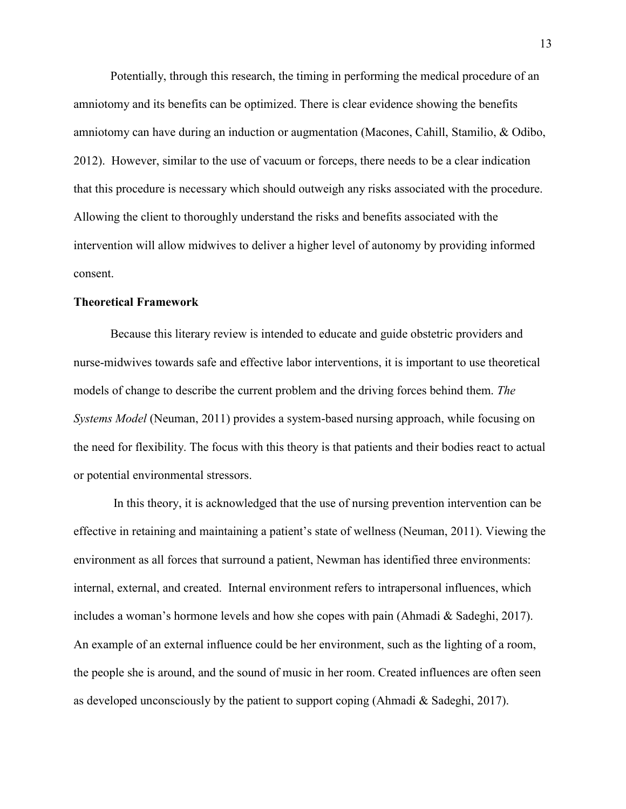Potentially, through this research, the timing in performing the medical procedure of an amniotomy and its benefits can be optimized. There is clear evidence showing the benefits amniotomy can have during an induction or augmentation (Macones, Cahill, Stamilio, & Odibo, 2012). However, similar to the use of vacuum or forceps, there needs to be a clear indication that this procedure is necessary which should outweigh any risks associated with the procedure. Allowing the client to thoroughly understand the risks and benefits associated with the intervention will allow midwives to deliver a higher level of autonomy by providing informed consent.

#### **Theoretical Framework**

Because this literary review is intended to educate and guide obstetric providers and nurse-midwives towards safe and effective labor interventions, it is important to use theoretical models of change to describe the current problem and the driving forces behind them. *The Systems Model* (Neuman, 2011) provides a system-based nursing approach, while focusing on the need for flexibility. The focus with this theory is that patients and their bodies react to actual or potential environmental stressors.

In this theory, it is acknowledged that the use of nursing prevention intervention can be effective in retaining and maintaining a patient's state of wellness (Neuman, 2011). Viewing the environment as all forces that surround a patient, Newman has identified three environments: internal, external, and created. Internal environment refers to intrapersonal influences, which includes a woman's hormone levels and how she copes with pain (Ahmadi & Sadeghi, 2017). An example of an external influence could be her environment, such as the lighting of a room, the people she is around, and the sound of music in her room. Created influences are often seen as developed unconsciously by the patient to support coping (Ahmadi & Sadeghi, 2017).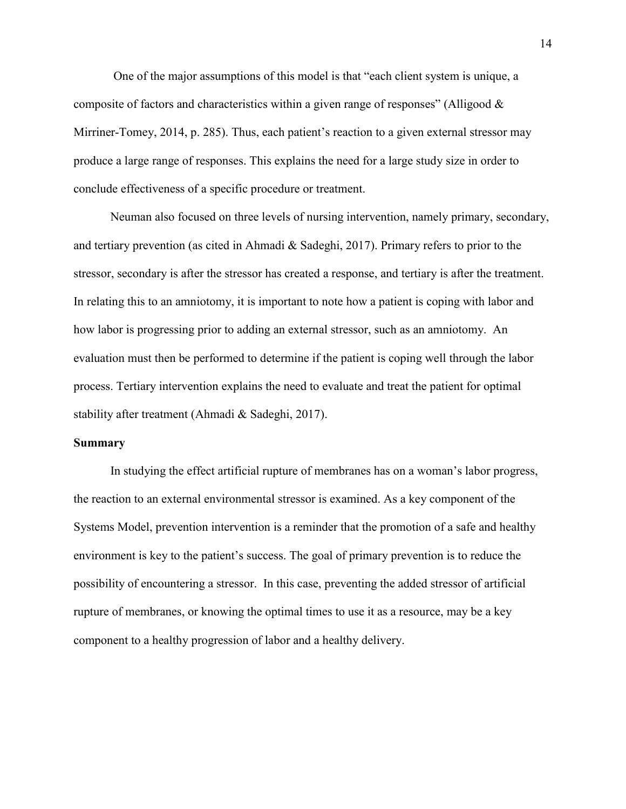One of the major assumptions of this model is that "each client system is unique, a composite of factors and characteristics within a given range of responses" (Alligood  $\&$ Mirriner-Tomey, 2014, p. 285). Thus, each patient's reaction to a given external stressor may produce a large range of responses. This explains the need for a large study size in order to conclude effectiveness of a specific procedure or treatment.

Neuman also focused on three levels of nursing intervention, namely primary, secondary, and tertiary prevention (as cited in Ahmadi & Sadeghi, 2017). Primary refers to prior to the stressor, secondary is after the stressor has created a response, and tertiary is after the treatment. In relating this to an amniotomy, it is important to note how a patient is coping with labor and how labor is progressing prior to adding an external stressor, such as an amniotomy. An evaluation must then be performed to determine if the patient is coping well through the labor process. Tertiary intervention explains the need to evaluate and treat the patient for optimal stability after treatment (Ahmadi & Sadeghi, 2017).

#### **Summary**

In studying the effect artificial rupture of membranes has on a woman's labor progress, the reaction to an external environmental stressor is examined. As a key component of the Systems Model, prevention intervention is a reminder that the promotion of a safe and healthy environment is key to the patient's success. The goal of primary prevention is to reduce the possibility of encountering a stressor. In this case, preventing the added stressor of artificial rupture of membranes, or knowing the optimal times to use it as a resource, may be a key component to a healthy progression of labor and a healthy delivery.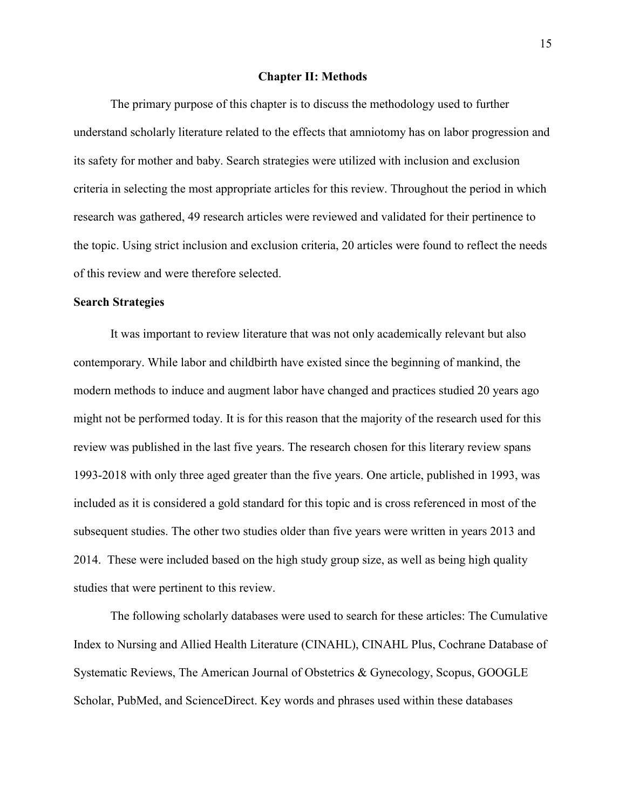#### **Chapter II: Methods**

The primary purpose of this chapter is to discuss the methodology used to further understand scholarly literature related to the effects that amniotomy has on labor progression and its safety for mother and baby. Search strategies were utilized with inclusion and exclusion criteria in selecting the most appropriate articles for this review. Throughout the period in which research was gathered, 49 research articles were reviewed and validated for their pertinence to the topic. Using strict inclusion and exclusion criteria, 20 articles were found to reflect the needs of this review and were therefore selected.

#### **Search Strategies**

It was important to review literature that was not only academically relevant but also contemporary. While labor and childbirth have existed since the beginning of mankind, the modern methods to induce and augment labor have changed and practices studied 20 years ago might not be performed today. It is for this reason that the majority of the research used for this review was published in the last five years. The research chosen for this literary review spans 1993-2018 with only three aged greater than the five years. One article, published in 1993, was included as it is considered a gold standard for this topic and is cross referenced in most of the subsequent studies. The other two studies older than five years were written in years 2013 and 2014. These were included based on the high study group size, as well as being high quality studies that were pertinent to this review.

The following scholarly databases were used to search for these articles: The Cumulative Index to Nursing and Allied Health Literature (CINAHL), CINAHL Plus, Cochrane Database of Systematic Reviews, The American Journal of Obstetrics & Gynecology, Scopus, GOOGLE Scholar, PubMed, and ScienceDirect. Key words and phrases used within these databases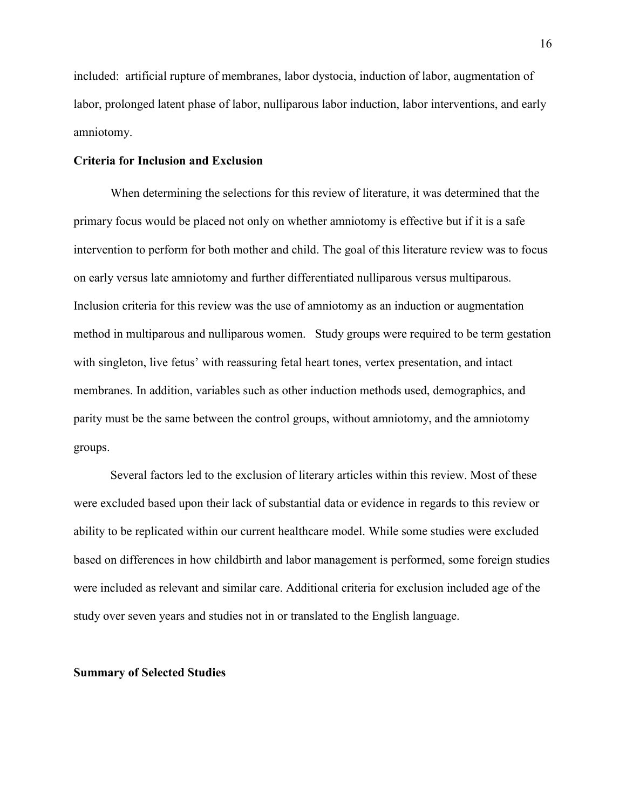included: artificial rupture of membranes, labor dystocia, induction of labor, augmentation of labor, prolonged latent phase of labor, nulliparous labor induction, labor interventions, and early amniotomy.

#### **Criteria for Inclusion and Exclusion**

When determining the selections for this review of literature, it was determined that the primary focus would be placed not only on whether amniotomy is effective but if it is a safe intervention to perform for both mother and child. The goal of this literature review was to focus on early versus late amniotomy and further differentiated nulliparous versus multiparous. Inclusion criteria for this review was the use of amniotomy as an induction or augmentation method in multiparous and nulliparous women. Study groups were required to be term gestation with singleton, live fetus' with reassuring fetal heart tones, vertex presentation, and intact membranes. In addition, variables such as other induction methods used, demographics, and parity must be the same between the control groups, without amniotomy, and the amniotomy groups.

Several factors led to the exclusion of literary articles within this review. Most of these were excluded based upon their lack of substantial data or evidence in regards to this review or ability to be replicated within our current healthcare model. While some studies were excluded based on differences in how childbirth and labor management is performed, some foreign studies were included as relevant and similar care. Additional criteria for exclusion included age of the study over seven years and studies not in or translated to the English language.

#### **Summary of Selected Studies**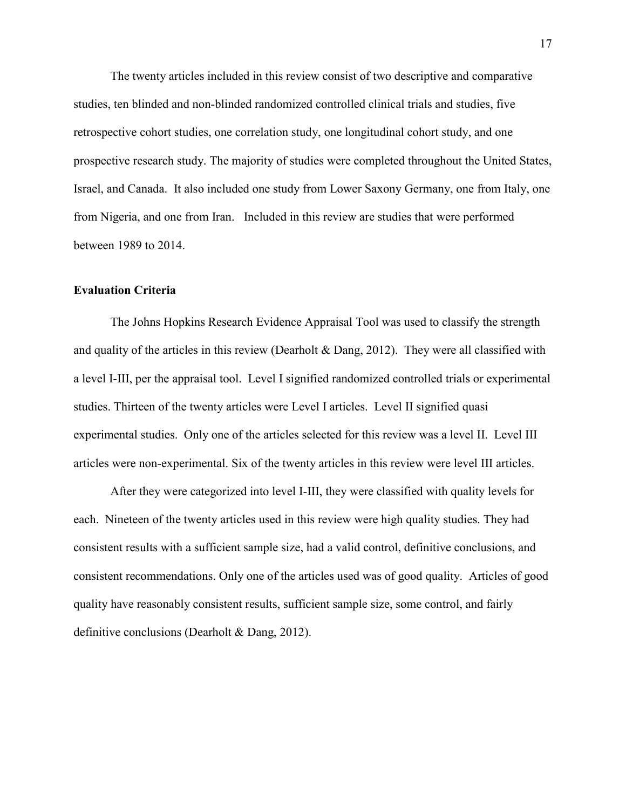The twenty articles included in this review consist of two descriptive and comparative studies, ten blinded and non-blinded randomized controlled clinical trials and studies, five retrospective cohort studies, one correlation study, one longitudinal cohort study, and one prospective research study. The majority of studies were completed throughout the United States, Israel, and Canada. It also included one study from Lower Saxony Germany, one from Italy, one from Nigeria, and one from Iran. Included in this review are studies that were performed between 1989 to 2014.

#### **Evaluation Criteria**

The Johns Hopkins Research Evidence Appraisal Tool was used to classify the strength and quality of the articles in this review (Dearholt  $\&$  Dang, 2012). They were all classified with a level I-III, per the appraisal tool. Level I signified randomized controlled trials or experimental studies. Thirteen of the twenty articles were Level I articles. Level II signified quasi experimental studies. Only one of the articles selected for this review was a level II. Level III articles were non-experimental. Six of the twenty articles in this review were level III articles.

After they were categorized into level I-III, they were classified with quality levels for each. Nineteen of the twenty articles used in this review were high quality studies. They had consistent results with a sufficient sample size, had a valid control, definitive conclusions, and consistent recommendations. Only one of the articles used was of good quality. Articles of good quality have reasonably consistent results, sufficient sample size, some control, and fairly definitive conclusions (Dearholt & Dang, 2012).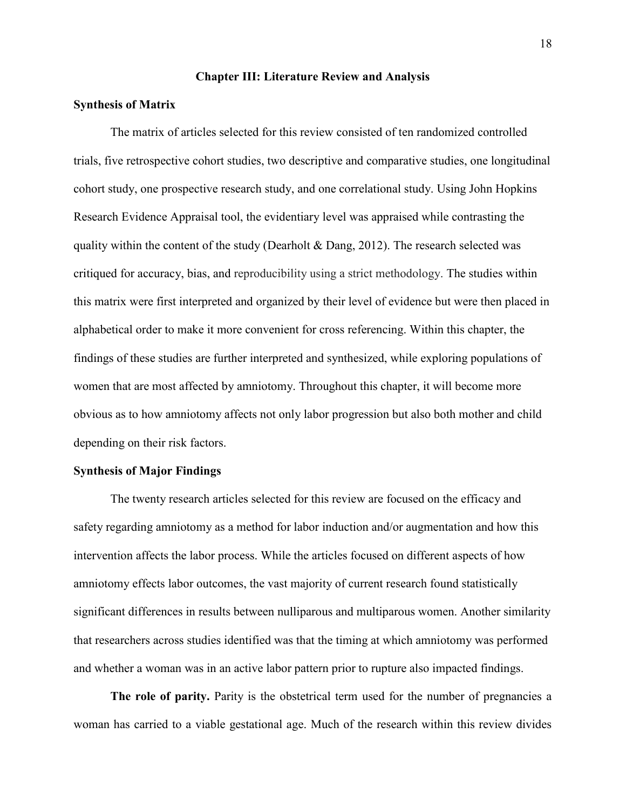#### **Chapter III: Literature Review and Analysis**

#### **Synthesis of Matrix**

The matrix of articles selected for this review consisted of ten randomized controlled trials, five retrospective cohort studies, two descriptive and comparative studies, one longitudinal cohort study, one prospective research study, and one correlational study. Using John Hopkins Research Evidence Appraisal tool, the evidentiary level was appraised while contrasting the quality within the content of the study (Dearholt  $\&$  Dang, 2012). The research selected was critiqued for accuracy, bias, and reproducibility using a strict methodology. The studies within this matrix were first interpreted and organized by their level of evidence but were then placed in alphabetical order to make it more convenient for cross referencing. Within this chapter, the findings of these studies are further interpreted and synthesized, while exploring populations of women that are most affected by amniotomy. Throughout this chapter, it will become more obvious as to how amniotomy affects not only labor progression but also both mother and child depending on their risk factors.

#### **Synthesis of Major Findings**

The twenty research articles selected for this review are focused on the efficacy and safety regarding amniotomy as a method for labor induction and/or augmentation and how this intervention affects the labor process. While the articles focused on different aspects of how amniotomy effects labor outcomes, the vast majority of current research found statistically significant differences in results between nulliparous and multiparous women. Another similarity that researchers across studies identified was that the timing at which amniotomy was performed and whether a woman was in an active labor pattern prior to rupture also impacted findings.

The role of parity. Parity is the obstetrical term used for the number of pregnancies a woman has carried to a viable gestational age. Much of the research within this review divides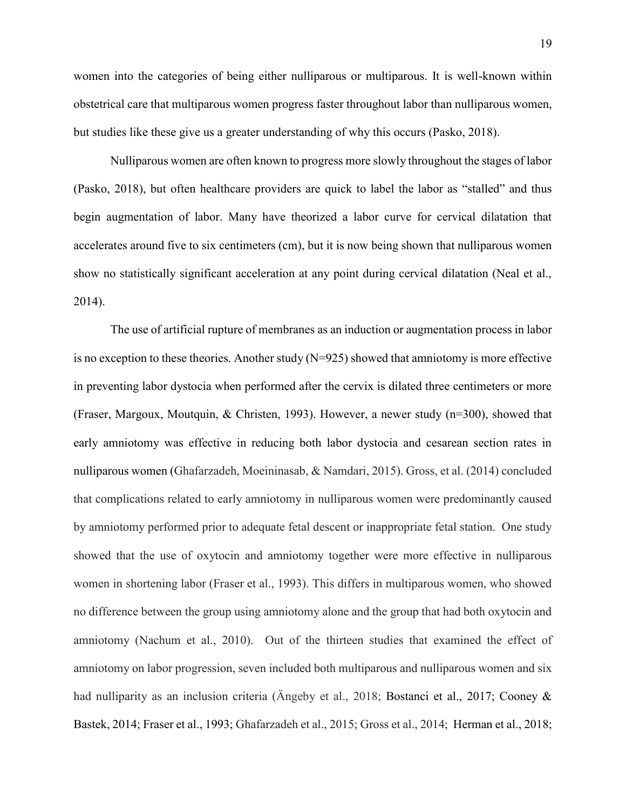women into the categories of being either nulliparous or multiparous. It is well-known within obstetrical care that multiparous women progress faster throughout labor than nulliparous women, but studies like these give us a greater understanding of why this occurs (Pasko, 2018).

Nulliparous women are often known to progress more slowly throughout the stages of labor (Pasko, 2018), but often healthcare providers are quick to label the labor as "stalled" and thus begin augmentation of labor. Many have theorized a labor curve for cervical dilatation that accelerates around five to six centimeters (cm), but it is now being shown that nulliparous women show no statistically significant acceleration at any point during cervical dilatation (Neal et al., 2014).

The use of artificial rupture of membranes as an induction or augmentation process in labor is no exception to these theories. Another study  $(N=925)$  showed that amniotomy is more effective in preventing labor dystocia when performed after the cervix is dilated three centimeters or more (Fraser, Margoux, Moutquin, & Christen, 1993). However, a newer study (n=300), showed that early amniotomy was effective in reducing both labor dystocia and cesarean section rates in nulliparous women (Ghafarzadeh, Moeininasab, & Namdari, 2015). Gross, et al. (2014) concluded that complications related to early amniotomy in nulliparous women were predominantly caused by amniotomy performed prior to adequate fetal descent or inappropriate fetal station. One study showed that the use of oxytocin and amniotomy together were more effective in nulliparous women in shortening labor (Fraser et al., 1993). This differs in multiparous women, who showed no difference between the group using amniotomy alone and the group that had both oxytocin and amniotomy (Nachum et al., 2010). Out of the thirteen studies that examined the effect of amniotomy on labor progression, seven included both multiparous and nulliparous women and six had nulliparity as an inclusion criteria (Ängeby et al., 2018; Bostanci et al., 2017; Cooney & Bastek, 2014; Fraser et al., 1993; Ghafarzadeh et al., 2015; Gross et al., 2014; Herman et al., 2018;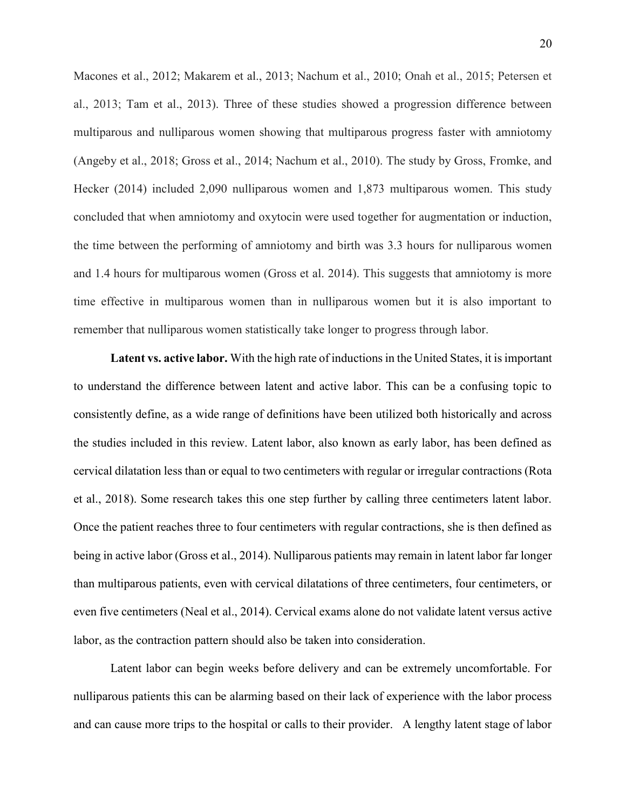Macones et al., 2012; Makarem et al., 2013; Nachum et al., 2010; Onah et al., 2015; Petersen et al., 2013; Tam et al., 2013). Three of these studies showed a progression difference between multiparous and nulliparous women showing that multiparous progress faster with amniotomy (Angeby et al., 2018; Gross et al., 2014; Nachum et al., 2010). The study by Gross, Fromke, and Hecker (2014) included 2,090 nulliparous women and 1,873 multiparous women. This study concluded that when amniotomy and oxytocin were used together for augmentation or induction, the time between the performing of amniotomy and birth was 3.3 hours for nulliparous women and 1.4 hours for multiparous women (Gross et al. 2014). This suggests that amniotomy is more time effective in multiparous women than in nulliparous women but it is also important to remember that nulliparous women statistically take longer to progress through labor.

**Latent vs. active labor.** With the high rate of inductions in the United States, it is important to understand the difference between latent and active labor. This can be a confusing topic to consistently define, as a wide range of definitions have been utilized both historically and across the studies included in this review. Latent labor, also known as early labor, has been defined as cervical dilatation less than or equal to two centimeters with regular or irregular contractions (Rota et al., 2018). Some research takes this one step further by calling three centimeters latent labor. Once the patient reaches three to four centimeters with regular contractions, she is then defined as being in active labor (Gross et al., 2014). Nulliparous patients may remain in latent labor far longer than multiparous patients, even with cervical dilatations of three centimeters, four centimeters, or even five centimeters (Neal et al., 2014). Cervical exams alone do not validate latent versus active labor, as the contraction pattern should also be taken into consideration.

Latent labor can begin weeks before delivery and can be extremely uncomfortable. For nulliparous patients this can be alarming based on their lack of experience with the labor process and can cause more trips to the hospital or calls to their provider. A lengthy latent stage of labor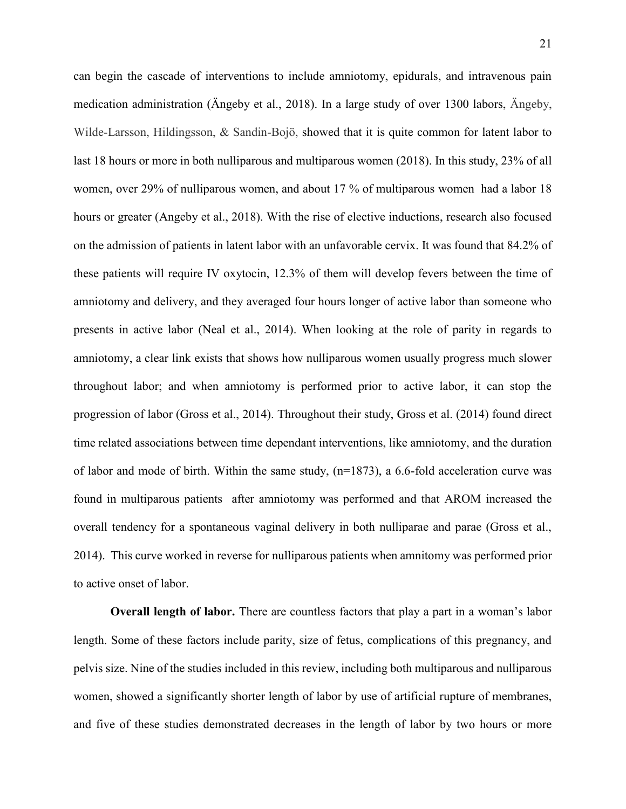can begin the cascade of interventions to include amniotomy, epidurals, and intravenous pain medication administration (Ängeby et al., 2018). In a large study of over 1300 labors, Ängeby, Wilde-Larsson, Hildingsson, & Sandin-Bojö, showed that it is quite common for latent labor to last 18 hours or more in both nulliparous and multiparous women (2018). In this study, 23% of all women, over 29% of nulliparous women, and about 17 % of multiparous women had a labor 18 hours or greater (Angeby et al., 2018). With the rise of elective inductions, research also focused on the admission of patients in latent labor with an unfavorable cervix. It was found that 84.2% of these patients will require IV oxytocin, 12.3% of them will develop fevers between the time of amniotomy and delivery, and they averaged four hours longer of active labor than someone who presents in active labor (Neal et al., 2014). When looking at the role of parity in regards to amniotomy, a clear link exists that shows how nulliparous women usually progress much slower throughout labor; and when amniotomy is performed prior to active labor, it can stop the progression of labor (Gross et al., 2014). Throughout their study, Gross et al. (2014) found direct time related associations between time dependant interventions, like amniotomy, and the duration of labor and mode of birth. Within the same study,  $(n=1873)$ , a 6.6-fold acceleration curve was found in multiparous patients after amniotomy was performed and that AROM increased the overall tendency for a spontaneous vaginal delivery in both nulliparae and parae (Gross et al., 2014). This curve worked in reverse for nulliparous patients when amnitomy was performed prior to active onset of labor.

**Overall length of labor.** There are countless factors that play a part in a woman's labor length. Some of these factors include parity, size of fetus, complications of this pregnancy, and pelvis size. Nine of the studies included in this review, including both multiparous and nulliparous women, showed a significantly shorter length of labor by use of artificial rupture of membranes, and five of these studies demonstrated decreases in the length of labor by two hours or more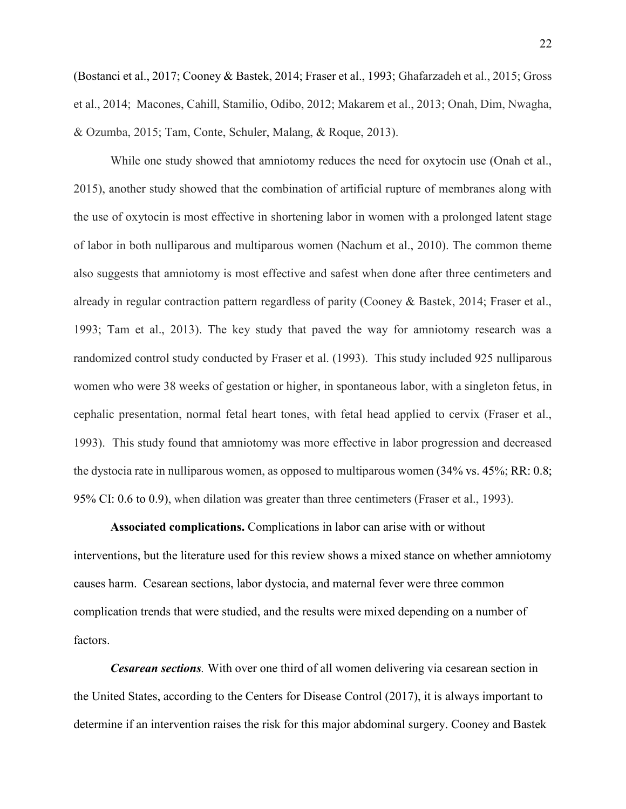(Bostanci et al., 2017; Cooney & Bastek, 2014; Fraser et al., 1993; Ghafarzadeh et al., 2015; Gross et al., 2014; Macones, Cahill, Stamilio, Odibo, 2012; Makarem et al., 2013; Onah, Dim, Nwagha, & Ozumba, 2015; Tam, Conte, Schuler, Malang, & Roque, 2013).

While one study showed that amniotomy reduces the need for oxytocin use (Onah et al., 2015), another study showed that the combination of artificial rupture of membranes along with the use of oxytocin is most effective in shortening labor in women with a prolonged latent stage of labor in both nulliparous and multiparous women (Nachum et al., 2010). The common theme also suggests that amniotomy is most effective and safest when done after three centimeters and already in regular contraction pattern regardless of parity (Cooney & Bastek, 2014; Fraser et al., 1993; Tam et al., 2013). The key study that paved the way for amniotomy research was a randomized control study conducted by Fraser et al. (1993). This study included 925 nulliparous women who were 38 weeks of gestation or higher, in spontaneous labor, with a singleton fetus, in cephalic presentation, normal fetal heart tones, with fetal head applied to cervix (Fraser et al., 1993). This study found that amniotomy was more effective in labor progression and decreased the dystocia rate in nulliparous women, as opposed to multiparous women (34% vs. 45%; RR: 0.8; 95% CI: 0.6 to 0.9), when dilation was greater than three centimeters (Fraser et al., 1993).

**Associated complications.** Complications in labor can arise with or without interventions, but the literature used for this review shows a mixed stance on whether amniotomy causes harm. Cesarean sections, labor dystocia, and maternal fever were three common complication trends that were studied, and the results were mixed depending on a number of factors.

*Cesarean sections.* With over one third of all women delivering via cesarean section in the United States, according to the Centers for Disease Control (2017), it is always important to determine if an intervention raises the risk for this major abdominal surgery. Cooney and Bastek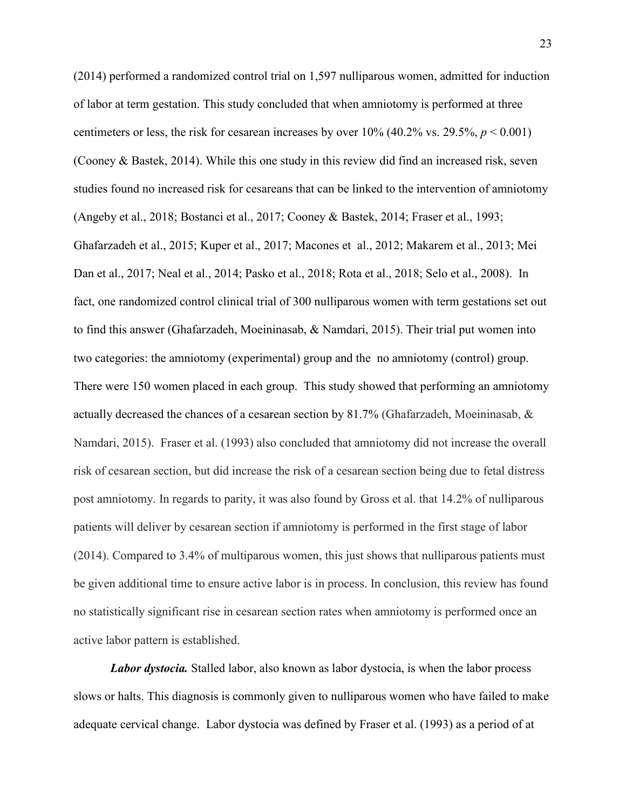(2014) performed a randomized control trial on 1,597 nulliparous women, admitted for induction of labor at term gestation. This study concluded that when amniotomy is performed at three centimeters or less, the risk for cesarean increases by over  $10\%$  (40.2% vs. 29.5%,  $p < 0.001$ ) (Cooney & Bastek, 2014). While this one study in this review did find an increased risk, seven studies found no increased risk for cesareans that can be linked to the intervention of amniotomy (Angeby et al., 2018; Bostanci et al., 2017; Cooney & Bastek, 2014; Fraser et al., 1993; Ghafarzadeh et al., 2015; Kuper et al., 2017; Macones et al., 2012; Makarem et al., 2013; Mei Dan et al., 2017; Neal et al., 2014; Pasko et al., 2018; Rota et al., 2018; Selo et al., 2008). In fact, one randomized control clinical trial of 300 nulliparous women with term gestations set out to find this answer (Ghafarzadeh, Moeininasab, & Namdari, 2015). Their trial put women into two categories: the amniotomy (experimental) group and the no amniotomy (control) group. There were 150 women placed in each group. This study showed that performing an amniotomy actually decreased the chances of a cesarean section by 81.7% (Ghafarzadeh, Moeininasab, & Namdari, 2015). Fraser et al. (1993) also concluded that amniotomy did not increase the overall risk of cesarean section, but did increase the risk of a cesarean section being due to fetal distress post amniotomy. In regards to parity, it was also found by Gross et al. that 14.2% of nulliparous patients will deliver by cesarean section if amniotomy is performed in the first stage of labor (2014). Compared to 3.4% of multiparous women, this just shows that nulliparous patients must be given additional time to ensure active labor is in process. In conclusion, this review has found no statistically significant rise in cesarean section rates when amniotomy is performed once an active labor pattern is established.

*Labor dystocia.* Stalled labor, also known as labor dystocia, is when the labor process slows or halts. This diagnosis is commonly given to nulliparous women who have failed to make adequate cervical change. Labor dystocia was defined by Fraser et al. (1993) as a period of at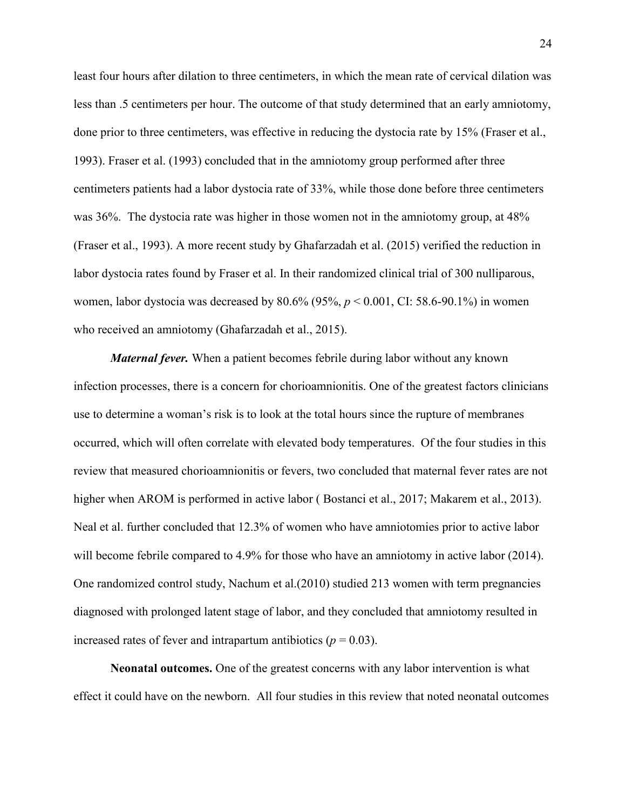least four hours after dilation to three centimeters, in which the mean rate of cervical dilation was less than .5 centimeters per hour. The outcome of that study determined that an early amniotomy, done prior to three centimeters, was effective in reducing the dystocia rate by 15% (Fraser et al., 1993). Fraser et al. (1993) concluded that in the amniotomy group performed after three centimeters patients had a labor dystocia rate of 33%, while those done before three centimeters was 36%. The dystocia rate was higher in those women not in the amniotomy group, at 48% (Fraser et al., 1993). A more recent study by Ghafarzadah et al. (2015) verified the reduction in labor dystocia rates found by Fraser et al. In their randomized clinical trial of 300 nulliparous, women, labor dystocia was decreased by 80.6% (95%, *p* < 0.001, CI: 58.6-90.1%) in women who received an amniotomy (Ghafarzadah et al., 2015).

*Maternal fever.* When a patient becomes febrile during labor without any known infection processes, there is a concern for chorioamnionitis. One of the greatest factors clinicians use to determine a woman's risk is to look at the total hours since the rupture of membranes occurred, which will often correlate with elevated body temperatures. Of the four studies in this review that measured chorioamnionitis or fevers, two concluded that maternal fever rates are not higher when AROM is performed in active labor (Bostanci et al., 2017; Makarem et al., 2013). Neal et al. further concluded that 12.3% of women who have amniotomies prior to active labor will become febrile compared to 4.9% for those who have an amniotomy in active labor (2014). One randomized control study, Nachum et al.(2010) studied 213 women with term pregnancies diagnosed with prolonged latent stage of labor, and they concluded that amniotomy resulted in increased rates of fever and intrapartum antibiotics ( $p = 0.03$ ).

**Neonatal outcomes.** One of the greatest concerns with any labor intervention is what effect it could have on the newborn. All four studies in this review that noted neonatal outcomes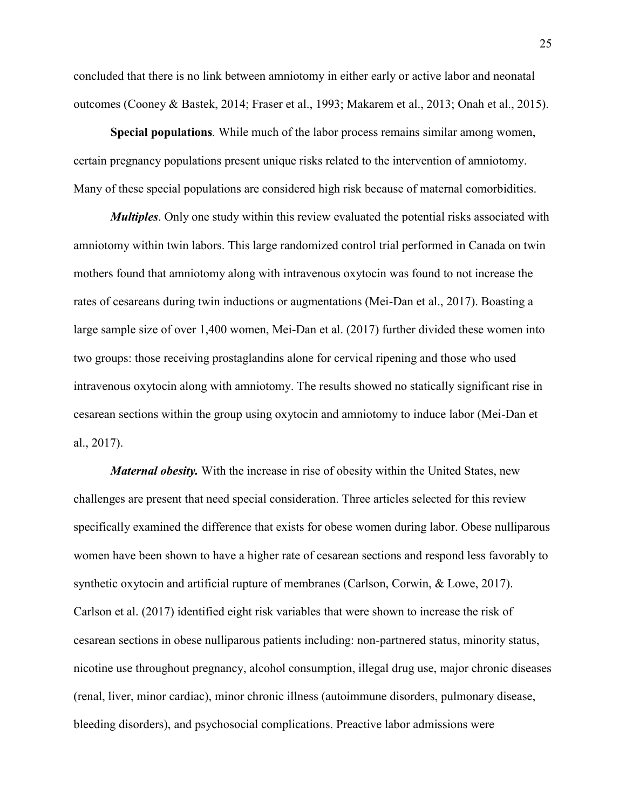concluded that there is no link between amniotomy in either early or active labor and neonatal outcomes (Cooney & Bastek, 2014; Fraser et al., 1993; Makarem et al., 2013; Onah et al., 2015).

**Special populations***.* While much of the labor process remains similar among women, certain pregnancy populations present unique risks related to the intervention of amniotomy. Many of these special populations are considered high risk because of maternal comorbidities.

*Multiples*. Only one study within this review evaluated the potential risks associated with amniotomy within twin labors. This large randomized control trial performed in Canada on twin mothers found that amniotomy along with intravenous oxytocin was found to not increase the rates of cesareans during twin inductions or augmentations (Mei-Dan et al., 2017). Boasting a large sample size of over 1,400 women, Mei-Dan et al. (2017) further divided these women into two groups: those receiving prostaglandins alone for cervical ripening and those who used intravenous oxytocin along with amniotomy. The results showed no statically significant rise in cesarean sections within the group using oxytocin and amniotomy to induce labor (Mei-Dan et al., 2017).

*Maternal obesity.* With the increase in rise of obesity within the United States, new challenges are present that need special consideration. Three articles selected for this review specifically examined the difference that exists for obese women during labor. Obese nulliparous women have been shown to have a higher rate of cesarean sections and respond less favorably to synthetic oxytocin and artificial rupture of membranes (Carlson, Corwin, & Lowe, 2017). Carlson et al. (2017) identified eight risk variables that were shown to increase the risk of cesarean sections in obese nulliparous patients including: non-partnered status, minority status, nicotine use throughout pregnancy, alcohol consumption, illegal drug use, major chronic diseases (renal, liver, minor cardiac), minor chronic illness (autoimmune disorders, pulmonary disease, bleeding disorders), and psychosocial complications. Preactive labor admissions were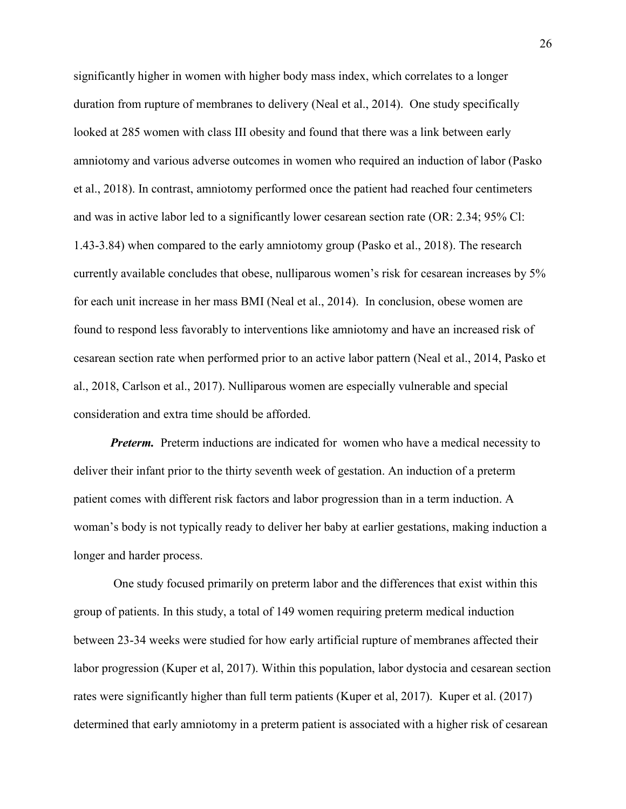significantly higher in women with higher body mass index, which correlates to a longer duration from rupture of membranes to delivery (Neal et al., 2014). One study specifically looked at 285 women with class III obesity and found that there was a link between early amniotomy and various adverse outcomes in women who required an induction of labor (Pasko et al., 2018). In contrast, amniotomy performed once the patient had reached four centimeters and was in active labor led to a significantly lower cesarean section rate (OR: 2.34; 95% Cl: 1.43-3.84) when compared to the early amniotomy group (Pasko et al., 2018). The research currently available concludes that obese, nulliparous women's risk for cesarean increases by 5% for each unit increase in her mass BMI (Neal et al., 2014). In conclusion, obese women are found to respond less favorably to interventions like amniotomy and have an increased risk of cesarean section rate when performed prior to an active labor pattern (Neal et al., 2014, Pasko et al., 2018, Carlson et al., 2017). Nulliparous women are especially vulnerable and special consideration and extra time should be afforded.

*Preterm.* Preterm inductions are indicated for women who have a medical necessity to deliver their infant prior to the thirty seventh week of gestation. An induction of a preterm patient comes with different risk factors and labor progression than in a term induction. A woman's body is not typically ready to deliver her baby at earlier gestations, making induction a longer and harder process.

One study focused primarily on preterm labor and the differences that exist within this group of patients. In this study, a total of 149 women requiring preterm medical induction between 23-34 weeks were studied for how early artificial rupture of membranes affected their labor progression (Kuper et al, 2017). Within this population, labor dystocia and cesarean section rates were significantly higher than full term patients (Kuper et al, 2017). Kuper et al. (2017) determined that early amniotomy in a preterm patient is associated with a higher risk of cesarean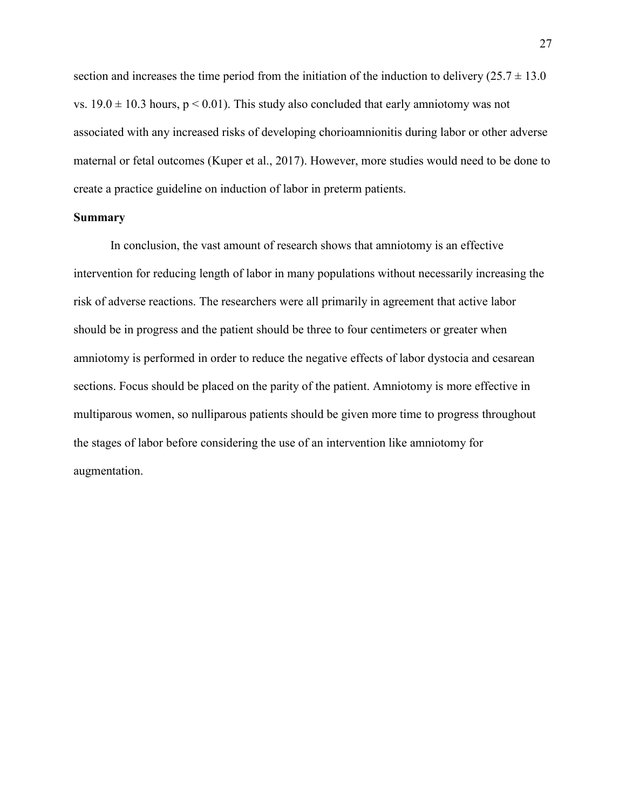section and increases the time period from the initiation of the induction to delivery  $(25.7 \pm 13.0)$ vs.  $19.0 \pm 10.3$  hours,  $p \le 0.01$ ). This study also concluded that early amniotomy was not associated with any increased risks of developing chorioamnionitis during labor or other adverse maternal or fetal outcomes (Kuper et al., 2017). However, more studies would need to be done to create a practice guideline on induction of labor in preterm patients.

#### **Summary**

In conclusion, the vast amount of research shows that amniotomy is an effective intervention for reducing length of labor in many populations without necessarily increasing the risk of adverse reactions. The researchers were all primarily in agreement that active labor should be in progress and the patient should be three to four centimeters or greater when amniotomy is performed in order to reduce the negative effects of labor dystocia and cesarean sections. Focus should be placed on the parity of the patient. Amniotomy is more effective in multiparous women, so nulliparous patients should be given more time to progress throughout the stages of labor before considering the use of an intervention like amniotomy for augmentation.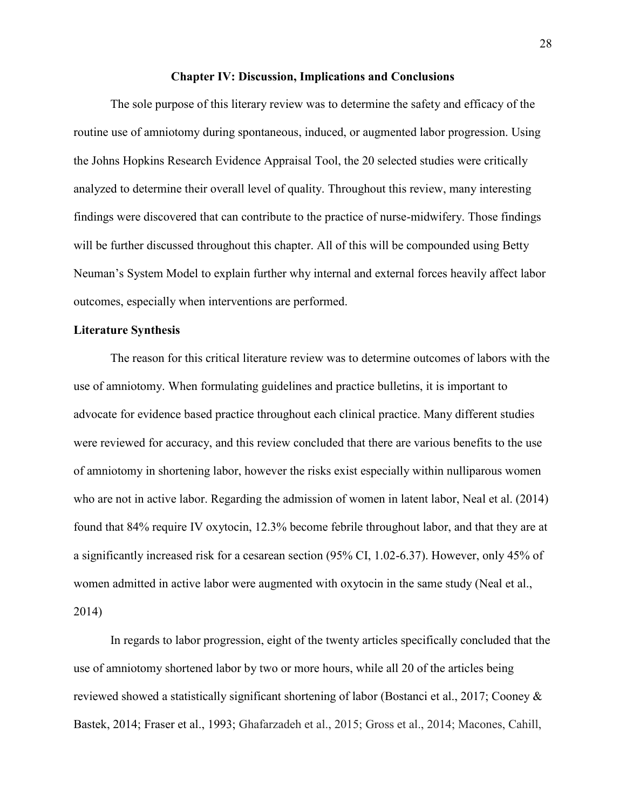#### **Chapter IV: Discussion, Implications and Conclusions**

The sole purpose of this literary review was to determine the safety and efficacy of the routine use of amniotomy during spontaneous, induced, or augmented labor progression. Using the Johns Hopkins Research Evidence Appraisal Tool, the 20 selected studies were critically analyzed to determine their overall level of quality. Throughout this review, many interesting findings were discovered that can contribute to the practice of nurse-midwifery. Those findings will be further discussed throughout this chapter. All of this will be compounded using Betty Neuman's System Model to explain further why internal and external forces heavily affect labor outcomes, especially when interventions are performed.

#### **Literature Synthesis**

The reason for this critical literature review was to determine outcomes of labors with the use of amniotomy. When formulating guidelines and practice bulletins, it is important to advocate for evidence based practice throughout each clinical practice. Many different studies were reviewed for accuracy, and this review concluded that there are various benefits to the use of amniotomy in shortening labor, however the risks exist especially within nulliparous women who are not in active labor. Regarding the admission of women in latent labor, Neal et al. (2014) found that 84% require IV oxytocin, 12.3% become febrile throughout labor, and that they are at a significantly increased risk for a cesarean section (95% CI, 1.02-6.37). However, only 45% of women admitted in active labor were augmented with oxytocin in the same study (Neal et al., 2014)

In regards to labor progression, eight of the twenty articles specifically concluded that the use of amniotomy shortened labor by two or more hours, while all 20 of the articles being reviewed showed a statistically significant shortening of labor (Bostanci et al., 2017; Cooney & Bastek, 2014; Fraser et al., 1993; Ghafarzadeh et al., 2015; Gross et al., 2014; Macones, Cahill,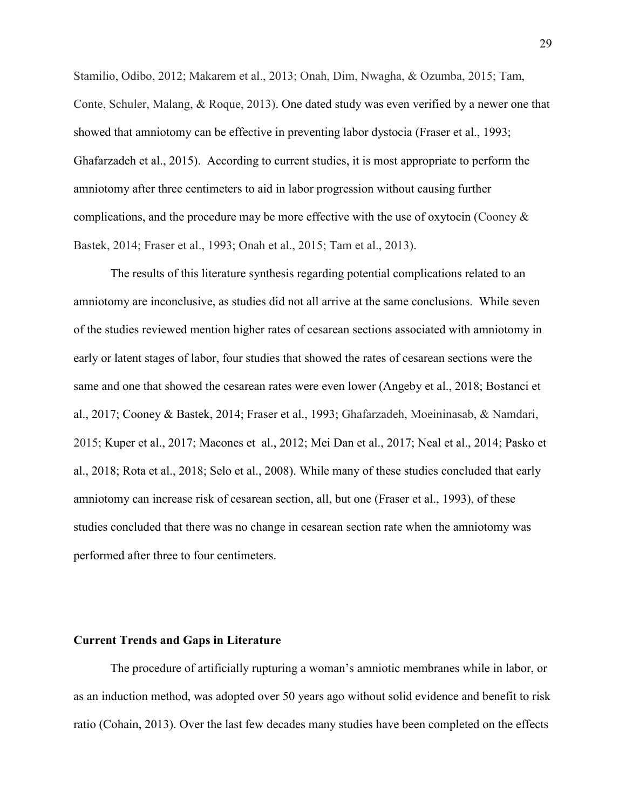Stamilio, Odibo, 2012; Makarem et al., 2013; Onah, Dim, Nwagha, & Ozumba, 2015; Tam, Conte, Schuler, Malang, & Roque, 2013). One dated study was even verified by a newer one that showed that amniotomy can be effective in preventing labor dystocia (Fraser et al., 1993; Ghafarzadeh et al., 2015). According to current studies, it is most appropriate to perform the amniotomy after three centimeters to aid in labor progression without causing further complications, and the procedure may be more effective with the use of oxytocin (Cooney  $\&$ Bastek, 2014; Fraser et al., 1993; Onah et al., 2015; Tam et al., 2013).

The results of this literature synthesis regarding potential complications related to an amniotomy are inconclusive, as studies did not all arrive at the same conclusions. While seven of the studies reviewed mention higher rates of cesarean sections associated with amniotomy in early or latent stages of labor, four studies that showed the rates of cesarean sections were the same and one that showed the cesarean rates were even lower (Angeby et al., 2018; Bostanci et al., 2017; Cooney & Bastek, 2014; Fraser et al., 1993; Ghafarzadeh, Moeininasab, & Namdari, 2015; Kuper et al., 2017; Macones et al., 2012; Mei Dan et al., 2017; Neal et al., 2014; Pasko et al., 2018; Rota et al., 2018; Selo et al., 2008). While many of these studies concluded that early amniotomy can increase risk of cesarean section, all, but one (Fraser et al., 1993), of these studies concluded that there was no change in cesarean section rate when the amniotomy was performed after three to four centimeters.

### **Current Trends and Gaps in Literature**

The procedure of artificially rupturing a woman's amniotic membranes while in labor, or as an induction method, was adopted over 50 years ago without solid evidence and benefit to risk ratio (Cohain, 2013). Over the last few decades many studies have been completed on the effects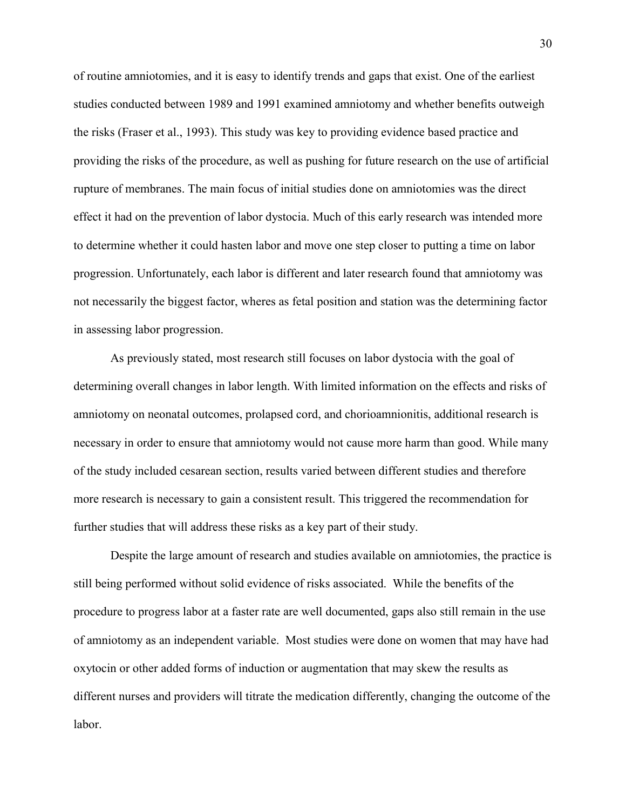of routine amniotomies, and it is easy to identify trends and gaps that exist. One of the earliest studies conducted between 1989 and 1991 examined amniotomy and whether benefits outweigh the risks (Fraser et al., 1993). This study was key to providing evidence based practice and providing the risks of the procedure, as well as pushing for future research on the use of artificial rupture of membranes. The main focus of initial studies done on amniotomies was the direct effect it had on the prevention of labor dystocia. Much of this early research was intended more to determine whether it could hasten labor and move one step closer to putting a time on labor progression. Unfortunately, each labor is different and later research found that amniotomy was not necessarily the biggest factor, wheres as fetal position and station was the determining factor in assessing labor progression.

As previously stated, most research still focuses on labor dystocia with the goal of determining overall changes in labor length. With limited information on the effects and risks of amniotomy on neonatal outcomes, prolapsed cord, and chorioamnionitis, additional research is necessary in order to ensure that amniotomy would not cause more harm than good. While many of the study included cesarean section, results varied between different studies and therefore more research is necessary to gain a consistent result. This triggered the recommendation for further studies that will address these risks as a key part of their study.

Despite the large amount of research and studies available on amniotomies, the practice is still being performed without solid evidence of risks associated. While the benefits of the procedure to progress labor at a faster rate are well documented, gaps also still remain in the use of amniotomy as an independent variable. Most studies were done on women that may have had oxytocin or other added forms of induction or augmentation that may skew the results as different nurses and providers will titrate the medication differently, changing the outcome of the labor.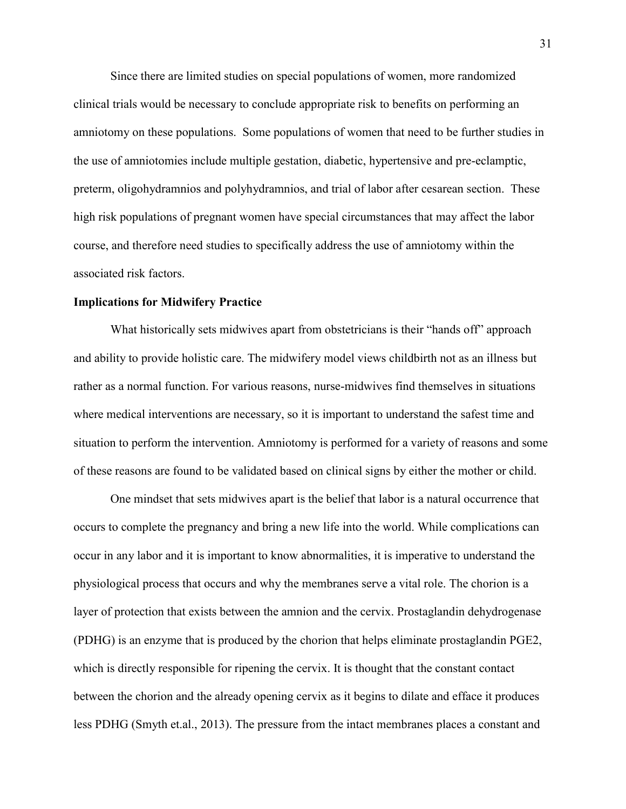Since there are limited studies on special populations of women, more randomized clinical trials would be necessary to conclude appropriate risk to benefits on performing an amniotomy on these populations. Some populations of women that need to be further studies in the use of amniotomies include multiple gestation, diabetic, hypertensive and pre-eclamptic, preterm, oligohydramnios and polyhydramnios, and trial of labor after cesarean section. These high risk populations of pregnant women have special circumstances that may affect the labor course, and therefore need studies to specifically address the use of amniotomy within the associated risk factors.

#### **Implications for Midwifery Practice**

What historically sets midwives apart from obstetricians is their "hands off" approach and ability to provide holistic care. The midwifery model views childbirth not as an illness but rather as a normal function. For various reasons, nurse-midwives find themselves in situations where medical interventions are necessary, so it is important to understand the safest time and situation to perform the intervention. Amniotomy is performed for a variety of reasons and some of these reasons are found to be validated based on clinical signs by either the mother or child.

One mindset that sets midwives apart is the belief that labor is a natural occurrence that occurs to complete the pregnancy and bring a new life into the world. While complications can occur in any labor and it is important to know abnormalities, it is imperative to understand the physiological process that occurs and why the membranes serve a vital role. The chorion is a layer of protection that exists between the amnion and the cervix. Prostaglandin dehydrogenase (PDHG) is an enzyme that is produced by the chorion that helps eliminate prostaglandin PGE2, which is directly responsible for ripening the cervix. It is thought that the constant contact between the chorion and the already opening cervix as it begins to dilate and efface it produces less PDHG (Smyth et.al., 2013). The pressure from the intact membranes places a constant and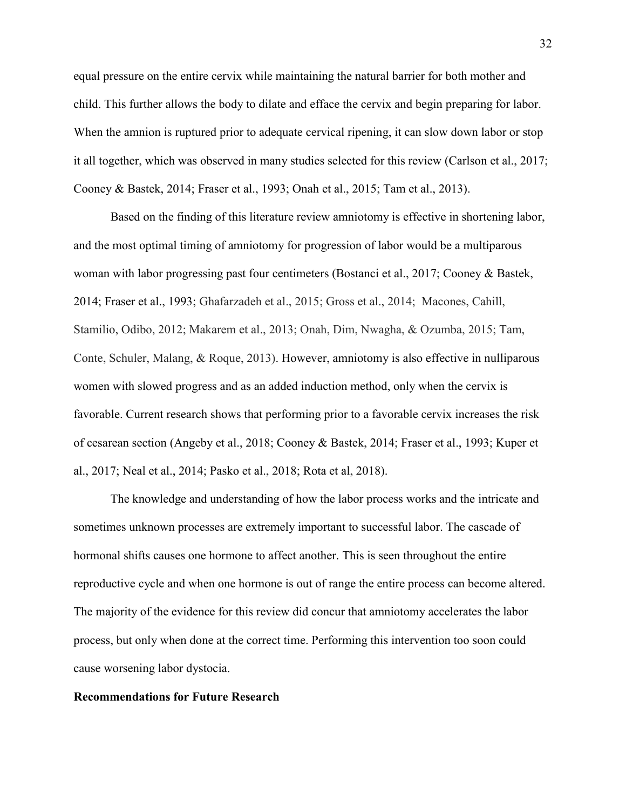equal pressure on the entire cervix while maintaining the natural barrier for both mother and child. This further allows the body to dilate and efface the cervix and begin preparing for labor. When the amnion is ruptured prior to adequate cervical ripening, it can slow down labor or stop it all together, which was observed in many studies selected for this review (Carlson et al., 2017; Cooney & Bastek, 2014; Fraser et al., 1993; Onah et al., 2015; Tam et al., 2013).

Based on the finding of this literature review amniotomy is effective in shortening labor, and the most optimal timing of amniotomy for progression of labor would be a multiparous woman with labor progressing past four centimeters (Bostanci et al., 2017; Cooney & Bastek, 2014; Fraser et al., 1993; Ghafarzadeh et al., 2015; Gross et al., 2014; Macones, Cahill, Stamilio, Odibo, 2012; Makarem et al., 2013; Onah, Dim, Nwagha, & Ozumba, 2015; Tam, Conte, Schuler, Malang, & Roque, 2013). However, amniotomy is also effective in nulliparous women with slowed progress and as an added induction method, only when the cervix is favorable. Current research shows that performing prior to a favorable cervix increases the risk of cesarean section (Angeby et al., 2018; Cooney & Bastek, 2014; Fraser et al., 1993; Kuper et al., 2017; Neal et al., 2014; Pasko et al., 2018; Rota et al, 2018).

The knowledge and understanding of how the labor process works and the intricate and sometimes unknown processes are extremely important to successful labor. The cascade of hormonal shifts causes one hormone to affect another. This is seen throughout the entire reproductive cycle and when one hormone is out of range the entire process can become altered. The majority of the evidence for this review did concur that amniotomy accelerates the labor process, but only when done at the correct time. Performing this intervention too soon could cause worsening labor dystocia.

#### **Recommendations for Future Research**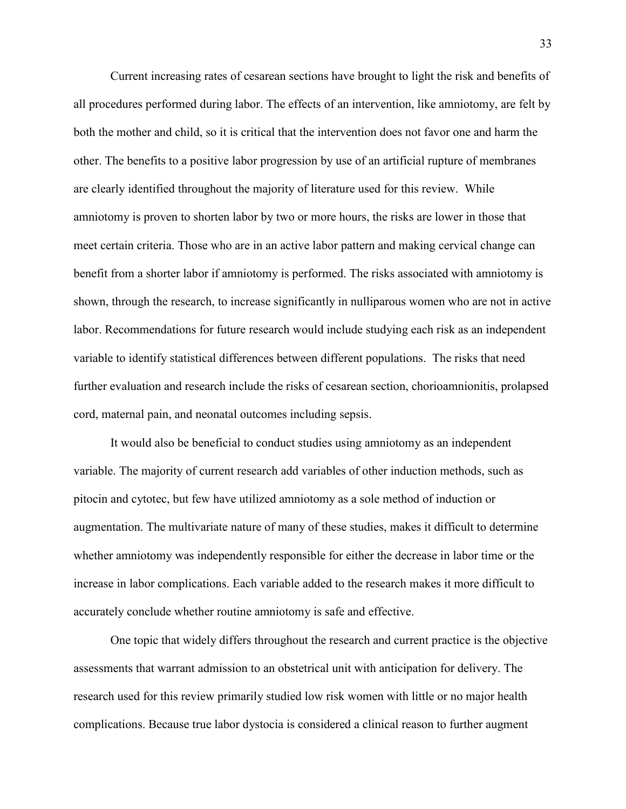Current increasing rates of cesarean sections have brought to light the risk and benefits of all procedures performed during labor. The effects of an intervention, like amniotomy, are felt by both the mother and child, so it is critical that the intervention does not favor one and harm the other. The benefits to a positive labor progression by use of an artificial rupture of membranes are clearly identified throughout the majority of literature used for this review. While amniotomy is proven to shorten labor by two or more hours, the risks are lower in those that meet certain criteria. Those who are in an active labor pattern and making cervical change can benefit from a shorter labor if amniotomy is performed. The risks associated with amniotomy is shown, through the research, to increase significantly in nulliparous women who are not in active labor. Recommendations for future research would include studying each risk as an independent variable to identify statistical differences between different populations. The risks that need further evaluation and research include the risks of cesarean section, chorioamnionitis, prolapsed cord, maternal pain, and neonatal outcomes including sepsis.

It would also be beneficial to conduct studies using amniotomy as an independent variable. The majority of current research add variables of other induction methods, such as pitocin and cytotec, but few have utilized amniotomy as a sole method of induction or augmentation. The multivariate nature of many of these studies, makes it difficult to determine whether amniotomy was independently responsible for either the decrease in labor time or the increase in labor complications. Each variable added to the research makes it more difficult to accurately conclude whether routine amniotomy is safe and effective.

One topic that widely differs throughout the research and current practice is the objective assessments that warrant admission to an obstetrical unit with anticipation for delivery. The research used for this review primarily studied low risk women with little or no major health complications. Because true labor dystocia is considered a clinical reason to further augment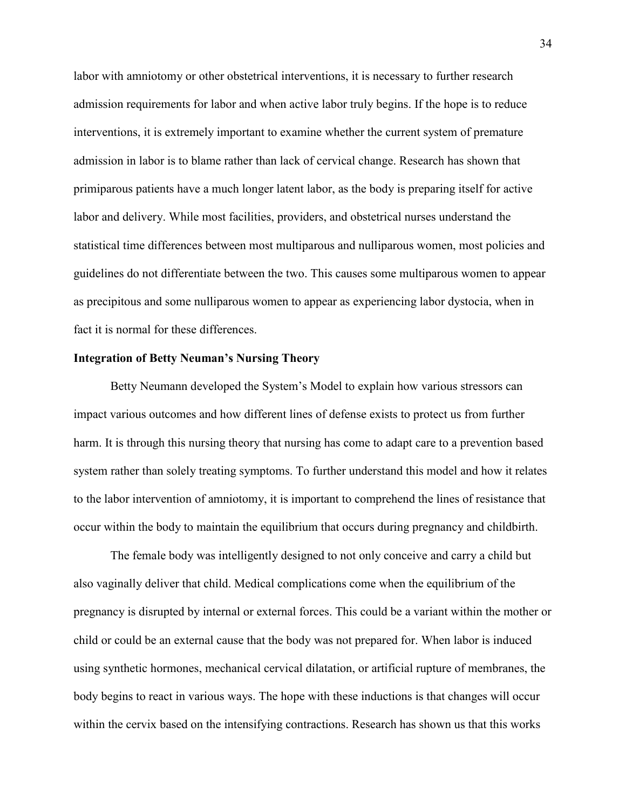labor with amniotomy or other obstetrical interventions, it is necessary to further research admission requirements for labor and when active labor truly begins. If the hope is to reduce interventions, it is extremely important to examine whether the current system of premature admission in labor is to blame rather than lack of cervical change. Research has shown that primiparous patients have a much longer latent labor, as the body is preparing itself for active labor and delivery. While most facilities, providers, and obstetrical nurses understand the statistical time differences between most multiparous and nulliparous women, most policies and guidelines do not differentiate between the two. This causes some multiparous women to appear as precipitous and some nulliparous women to appear as experiencing labor dystocia, when in fact it is normal for these differences.

#### **Integration of Betty Neuman's Nursing Theory**

Betty Neumann developed the System's Model to explain how various stressors can impact various outcomes and how different lines of defense exists to protect us from further harm. It is through this nursing theory that nursing has come to adapt care to a prevention based system rather than solely treating symptoms. To further understand this model and how it relates to the labor intervention of amniotomy, it is important to comprehend the lines of resistance that occur within the body to maintain the equilibrium that occurs during pregnancy and childbirth.

The female body was intelligently designed to not only conceive and carry a child but also vaginally deliver that child. Medical complications come when the equilibrium of the pregnancy is disrupted by internal or external forces. This could be a variant within the mother or child or could be an external cause that the body was not prepared for. When labor is induced using synthetic hormones, mechanical cervical dilatation, or artificial rupture of membranes, the body begins to react in various ways. The hope with these inductions is that changes will occur within the cervix based on the intensifying contractions. Research has shown us that this works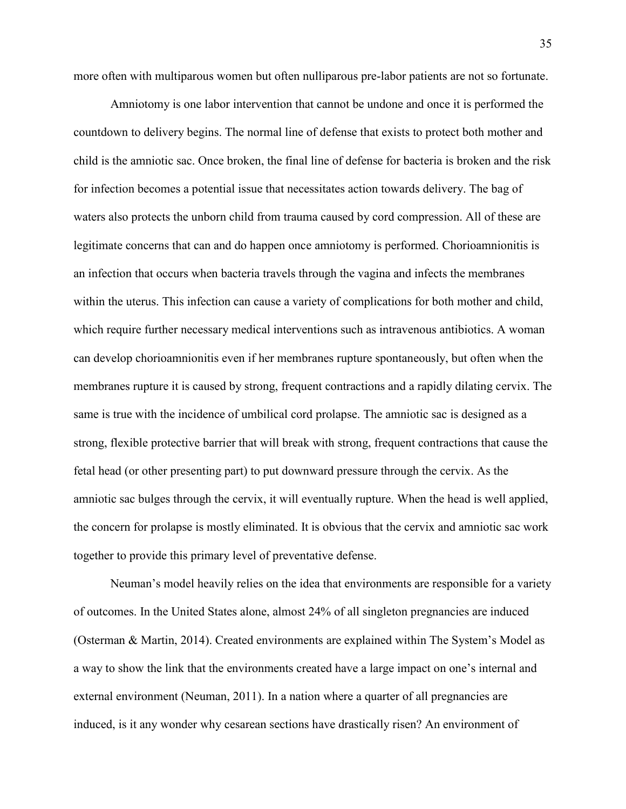more often with multiparous women but often nulliparous pre-labor patients are not so fortunate.

Amniotomy is one labor intervention that cannot be undone and once it is performed the countdown to delivery begins. The normal line of defense that exists to protect both mother and child is the amniotic sac. Once broken, the final line of defense for bacteria is broken and the risk for infection becomes a potential issue that necessitates action towards delivery. The bag of waters also protects the unborn child from trauma caused by cord compression. All of these are legitimate concerns that can and do happen once amniotomy is performed. Chorioamnionitis is an infection that occurs when bacteria travels through the vagina and infects the membranes within the uterus. This infection can cause a variety of complications for both mother and child, which require further necessary medical interventions such as intravenous antibiotics. A woman can develop chorioamnionitis even if her membranes rupture spontaneously, but often when the membranes rupture it is caused by strong, frequent contractions and a rapidly dilating cervix. The same is true with the incidence of umbilical cord prolapse. The amniotic sac is designed as a strong, flexible protective barrier that will break with strong, frequent contractions that cause the fetal head (or other presenting part) to put downward pressure through the cervix. As the amniotic sac bulges through the cervix, it will eventually rupture. When the head is well applied, the concern for prolapse is mostly eliminated. It is obvious that the cervix and amniotic sac work together to provide this primary level of preventative defense.

Neuman's model heavily relies on the idea that environments are responsible for a variety of outcomes. In the United States alone, almost 24% of all singleton pregnancies are induced (Osterman & Martin, 2014). Created environments are explained within The System's Model as a way to show the link that the environments created have a large impact on one's internal and external environment (Neuman, 2011). In a nation where a quarter of all pregnancies are induced, is it any wonder why cesarean sections have drastically risen? An environment of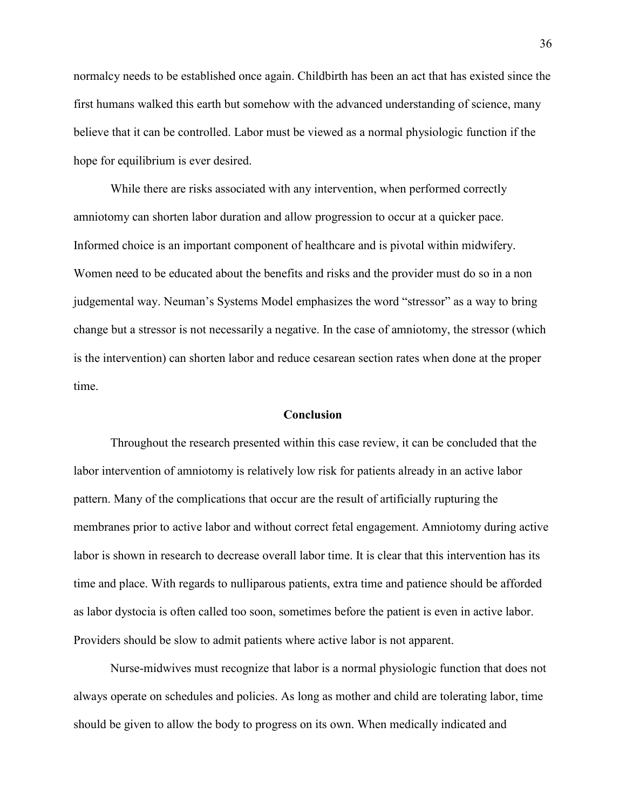normalcy needs to be established once again. Childbirth has been an act that has existed since the first humans walked this earth but somehow with the advanced understanding of science, many believe that it can be controlled. Labor must be viewed as a normal physiologic function if the hope for equilibrium is ever desired.

While there are risks associated with any intervention, when performed correctly amniotomy can shorten labor duration and allow progression to occur at a quicker pace. Informed choice is an important component of healthcare and is pivotal within midwifery. Women need to be educated about the benefits and risks and the provider must do so in a non judgemental way. Neuman's Systems Model emphasizes the word "stressor" as a way to bring change but a stressor is not necessarily a negative. In the case of amniotomy, the stressor (which is the intervention) can shorten labor and reduce cesarean section rates when done at the proper time.

#### **Conclusion**

Throughout the research presented within this case review, it can be concluded that the labor intervention of amniotomy is relatively low risk for patients already in an active labor pattern. Many of the complications that occur are the result of artificially rupturing the membranes prior to active labor and without correct fetal engagement. Amniotomy during active labor is shown in research to decrease overall labor time. It is clear that this intervention has its time and place. With regards to nulliparous patients, extra time and patience should be afforded as labor dystocia is often called too soon, sometimes before the patient is even in active labor. Providers should be slow to admit patients where active labor is not apparent.

Nurse-midwives must recognize that labor is a normal physiologic function that does not always operate on schedules and policies. As long as mother and child are tolerating labor, time should be given to allow the body to progress on its own. When medically indicated and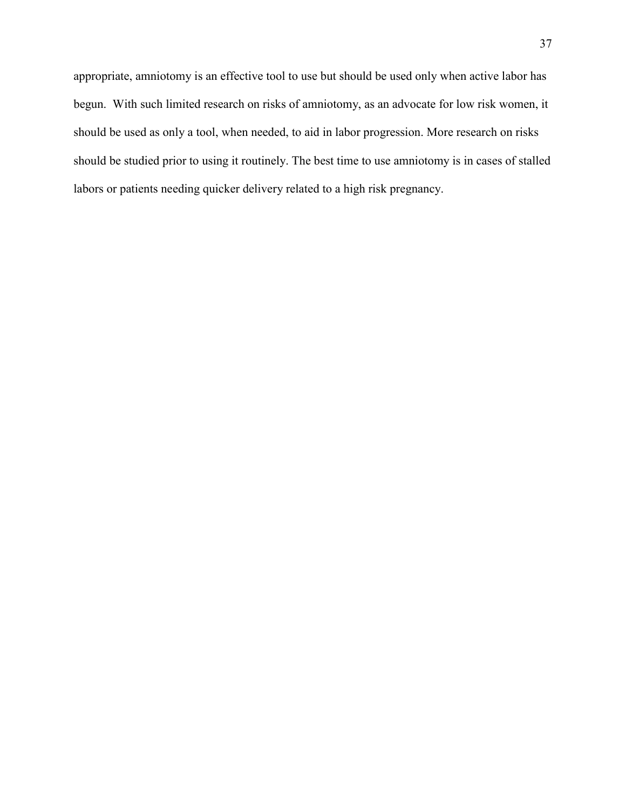appropriate, amniotomy is an effective tool to use but should be used only when active labor has begun. With such limited research on risks of amniotomy, as an advocate for low risk women, it should be used as only a tool, when needed, to aid in labor progression. More research on risks should be studied prior to using it routinely. The best time to use amniotomy is in cases of stalled labors or patients needing quicker delivery related to a high risk pregnancy.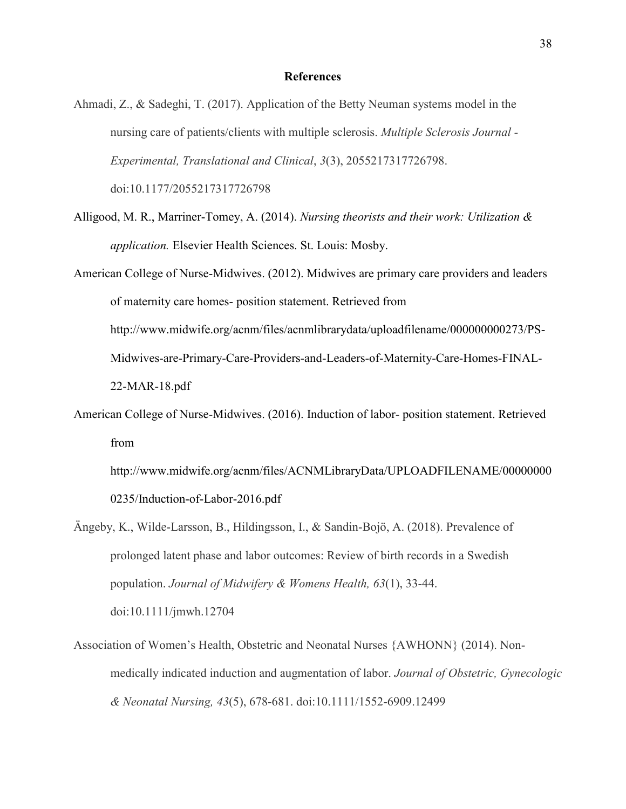#### **References**

Ahmadi, Z., & Sadeghi, T. (2017). Application of the Betty Neuman systems model in the nursing care of patients/clients with multiple sclerosis. *Multiple Sclerosis Journal - Experimental, Translational and Clinical*, *3*(3), 2055217317726798. doi:10.1177/2055217317726798

- Alligood, M. R., Marriner-Tomey, A. (2014). *Nursing theorists and their work: Utilization & application.* Elsevier Health Sciences. St. Louis: Mosby.
- American College of Nurse-Midwives. (2012). Midwives are primary care providers and leaders of maternity care homes- position statement. Retrieved from http://www.midwife.org/acnm/files/acnmlibrarydata/uploadfilename/000000000273/PS-Midwives-are-Primary-Care-Providers-and-Leaders-of-Maternity-Care-Homes-FINAL-22-MAR-18.pdf
- American College of Nurse-Midwives. (2016). Induction of labor- position statement. Retrieved from

http://www.midwife.org/acnm/files/ACNMLibraryData/UPLOADFILENAME/00000000 0235/Induction-of-Labor-2016.pdf

- Ängeby, K., Wilde-Larsson, B., Hildingsson, I., & Sandin-Bojö, A. (2018). Prevalence of prolonged latent phase and labor outcomes: Review of birth records in a Swedish population. *Journal of Midwifery & Womens Health, 63*(1), 33-44. doi:10.1111/jmwh.12704
- Association of Women's Health, Obstetric and Neonatal Nurses {AWHONN} (2014). Non‐ medically indicated induction and augmentation of labor. *Journal of Obstetric, Gynecologic & Neonatal Nursing, 43*(5), 678-681. doi:10.1111/1552-6909.12499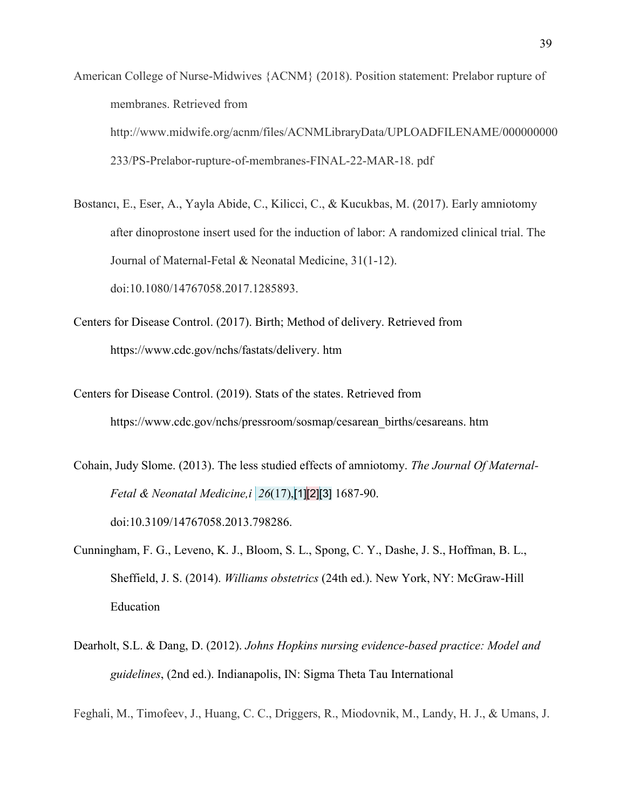American College of Nurse-Midwives {ACNM} (2018). Position statement: Prelabor rupture of membranes. Retrieved from http://www.midwife.org/acnm/files/ACNMLibraryData/UPLOADFILENAME/000000000 233/PS-Prelabor-rupture-of-membranes-FINAL-22-MAR-18. pdf

Bostancı, E., Eser, A., Yayla Abide, C., Kilicci, C., & Kucukbas, M. (2017). Early amniotomy after dinoprostone insert used for the induction of labor: A randomized clinical trial. The Journal of Maternal-Fetal & Neonatal Medicine, 31(1-12). doi:10.1080/14767058.2017.1285893.

- Centers for Disease Control. (2017). Birth; Method of delivery. Retrieved from https://www.cdc.gov/nchs/fastats/delivery. htm
- Centers for Disease Control. (2019). Stats of the states. Retrieved from https://www.cdc.gov/nchs/pressroom/sosmap/cesarean\_births/cesareans. htm

Cohain, Judy Slome. (2013). The less studied effects of amniotomy. *The Journal Of Maternal-Fetal & Neonatal Medicine,i 26*(17),[1][2][3] 1687-90. doi:10.3109/14767058.2013.798286.

- Cunningham, F. G., Leveno, K. J., Bloom, S. L., Spong, C. Y., Dashe, J. S., Hoffman, B. L., Sheffield, J. S. (2014). *Williams obstetrics* (24th ed.). New York, NY: McGraw-Hill Education
- Dearholt, S.L. & Dang, D. (2012). *Johns Hopkins nursing evidence-based practice: Model and guidelines*, (2nd ed.). Indianapolis, IN: Sigma Theta Tau International

Feghali, M., Timofeev, J., Huang, C. C., Driggers, R., Miodovnik, M., Landy, H. J., & Umans, J.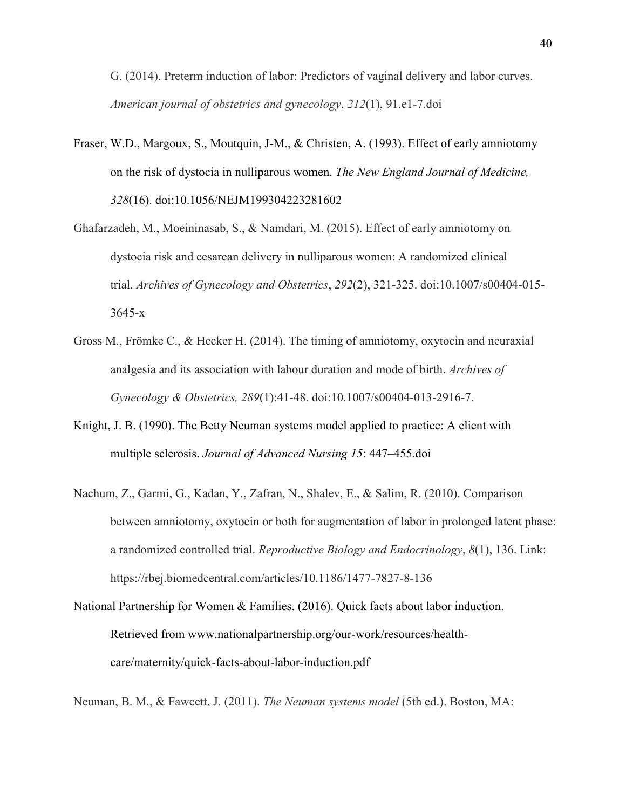G. (2014). Preterm induction of labor: Predictors of vaginal delivery and labor curves. *American journal of obstetrics and gynecology*, *212*(1), 91.e1-7.doi

- Fraser, W.D., Margoux, S., Moutquin, J-M., & Christen, A. (1993). Effect of early amniotomy on the risk of dystocia in nulliparous women. *The New England Journal of Medicine, 328*(16). doi:10.1056/NEJM199304223281602
- Ghafarzadeh, M., Moeininasab, S., & Namdari, M. (2015). Effect of early amniotomy on dystocia risk and cesarean delivery in nulliparous women: A randomized clinical trial. *Archives of Gynecology and Obstetrics*, *292*(2), 321-325. doi:10.1007/s00404-015- 3645-x
- Gross M., Frömke C., & Hecker H. (2014). The timing of amniotomy, oxytocin and neuraxial analgesia and its association with labour duration and mode of birth. *Archives of Gynecology & Obstetrics, 289*(1):41-48. doi:10.1007/s00404-013-2916-7.
- Knight, J. B. (1990). The Betty Neuman systems model applied to practice: A client with multiple sclerosis. *Journal of Advanced Nursing 15*: 447–455.doi
- Nachum, Z., Garmi, G., Kadan, Y., Zafran, N., Shalev, E., & Salim, R. (2010). Comparison between amniotomy, oxytocin or both for augmentation of labor in prolonged latent phase: a randomized controlled trial. *Reproductive Biology and Endocrinology*, *8*(1), 136. Link: https://rbej.biomedcentral.com/articles/10.1186/1477-7827-8-136
- National Partnership for Women & Families. (2016). Quick facts about labor induction. Retrieved from www.nationalpartnership.org/our-work/resources/healthcare/maternity/quick-facts-about-labor-induction.pdf

Neuman, B. M., & Fawcett, J. (2011). *The Neuman systems model* (5th ed.). Boston, MA: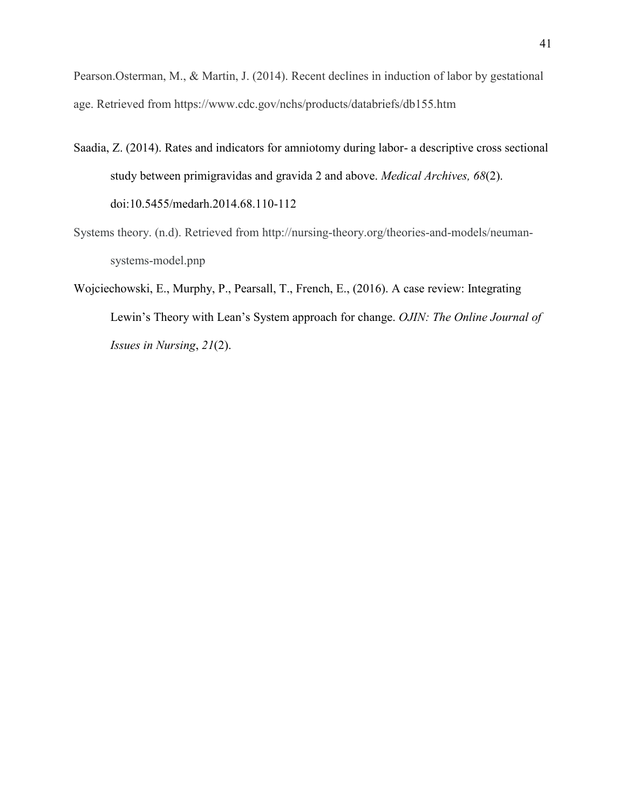Pearson.Osterman, M., & Martin, J. (2014). Recent declines in induction of labor by gestational age. Retrieved from https://www.cdc.gov/nchs/products/databriefs/db155.htm

- Saadia, Z. (2014). Rates and indicators for amniotomy during labor- a descriptive cross sectional study between primigravidas and gravida 2 and above. *Medical Archives, 68*(2). doi:10.5455/medarh.2014.68.110-112
- Systems theory. (n.d). Retrieved from http://nursing-theory.org/theories-and-models/neumansystems-model.pnp
- Wojciechowski, E., Murphy, P., Pearsall, T., French, E., (2016). A case review: Integrating Lewin's Theory with Lean's System approach for change. *OJIN: The Online Journal of Issues in Nursing*, *21*(2).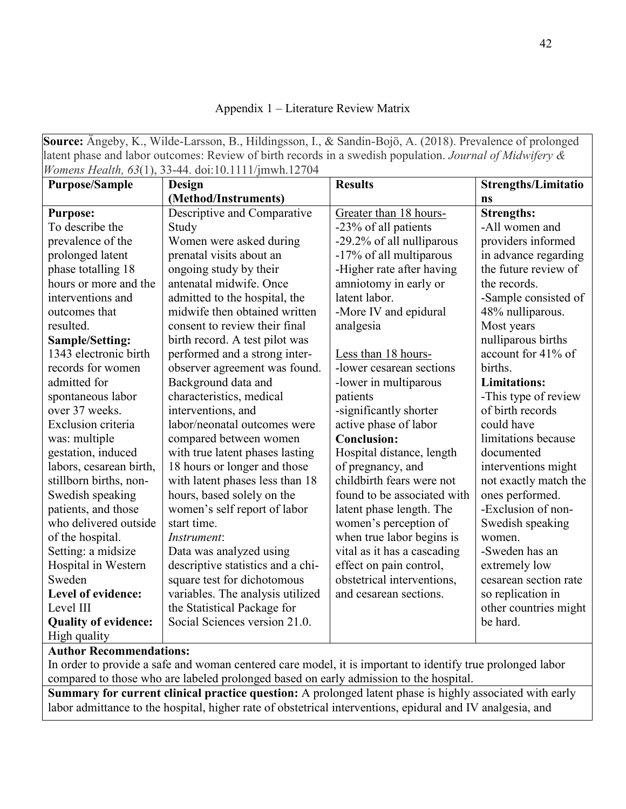## Appendix 1 – Literature Review Matrix

**Source:** Ängeby, K., Wilde-Larsson, B., Hildingsson, I., & Sandin-Bojö, A. (2018). Prevalence of prolonged latent phase and labor outcomes: Review of birth records in a swedish population. *Journal of Midwifery & Womens Health, 63*(1), 33-44. doi:10.1111/jmwh.12704

|                             | Womens Health, 03(1), 33-44. d01.10.1111/jmwn.12/04 |                             |                            |
|-----------------------------|-----------------------------------------------------|-----------------------------|----------------------------|
| <b>Purpose/Sample</b>       | <b>Design</b>                                       | <b>Results</b>              | <b>Strengths/Limitatio</b> |
|                             | (Method/Instruments)                                |                             | ns                         |
| <b>Purpose:</b>             | Descriptive and Comparative                         | Greater than 18 hours-      | <b>Strengths:</b>          |
| To describe the             | Study                                               | -23% of all patients        | -All women and             |
| prevalence of the           | Women were asked during                             | -29.2% of all nulliparous   | providers informed         |
| prolonged latent            | prenatal visits about an                            | -17% of all multiparous     | in advance regarding       |
| phase totalling 18          | ongoing study by their                              | -Higher rate after having   | the future review of       |
| hours or more and the       | antenatal midwife. Once                             | amniotomy in early or       | the records.               |
| interventions and           | admitted to the hospital, the                       | latent labor.               | -Sample consisted of       |
| outcomes that               | midwife then obtained written                       | -More IV and epidural       | 48% nulliparous.           |
| resulted.                   | consent to review their final                       | analgesia                   | Most years                 |
| <b>Sample/Setting:</b>      | birth record. A test pilot was                      |                             | nulliparous births         |
| 1343 electronic birth       | performed and a strong inter-                       | Less than 18 hours-         | account for 41% of         |
| records for women           | observer agreement was found.                       | -lower cesarean sections    | births.                    |
| admitted for                | Background data and                                 | -lower in multiparous       | <b>Limitations:</b>        |
| spontaneous labor           | characteristics, medical                            | patients                    | -This type of review       |
| over 37 weeks.              | interventions, and                                  | -significantly shorter      | of birth records           |
| Exclusion criteria          | labor/neonatal outcomes were                        | active phase of labor       | could have                 |
| was: multiple               | compared between women                              | <b>Conclusion:</b>          | limitations because        |
| gestation, induced          | with true latent phases lasting                     | Hospital distance, length   | documented                 |
| labors, cesarean birth,     | 18 hours or longer and those                        | of pregnancy, and           | interventions might        |
| stillborn births, non-      | with latent phases less than 18                     | childbirth fears were not   | not exactly match the      |
| Swedish speaking            | hours, based solely on the                          | found to be associated with | ones performed.            |
| patients, and those         | women's self report of labor                        | latent phase length. The    | -Exclusion of non-         |
| who delivered outside       | start time.                                         | women's perception of       | Swedish speaking           |
| of the hospital.            | Instrument:                                         | when true labor begins is   | women.                     |
| Setting: a midsize          | Data was analyzed using                             | vital as it has a cascading | -Sweden has an             |
| Hospital in Western         | descriptive statistics and a chi-                   | effect on pain control,     | extremely low              |
| Sweden                      | square test for dichotomous                         | obstetrical interventions,  | cesarean section rate      |
| Level of evidence:          | variables. The analysis utilized                    | and cesarean sections.      | so replication in          |
| Level III                   | the Statistical Package for                         |                             | other countries might      |
| <b>Quality of evidence:</b> | Social Sciences version 21.0.                       |                             | be hard.                   |
| High quality                |                                                     |                             |                            |

# **Author Recommendations:**

In order to provide a safe and woman centered care model, it is important to identify true prolonged labor compared to those who are labeled prolonged based on early admission to the hospital.

**Summary for current clinical practice question:** A prolonged latent phase is highly associated with early labor admittance to the hospital, higher rate of obstetrical interventions, epidural and IV analgesia, and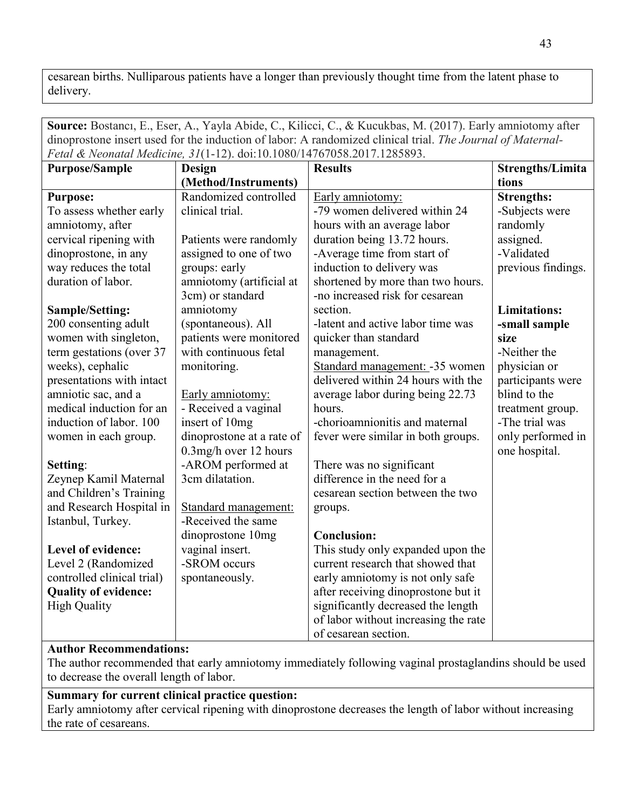cesarean births. Nulliparous patients have a longer than previously thought time from the latent phase to delivery.

**Source:** Bostancı, E., Eser, A., Yayla Abide, C., Kilicci, C., & Kucukbas, M. (2017). Early amniotomy after dinoprostone insert used for the induction of labor: A randomized clinical trial. *The Journal of Maternal-Fetal & Neonatal Medicine, 31*(1-12). doi:10.1080/14767058.2017.1285893.

| <b>Purpose/Sample</b>       | Design                    | <b>Results</b>                       | <b>Strengths/Limita</b> |
|-----------------------------|---------------------------|--------------------------------------|-------------------------|
|                             | (Method/Instruments)      |                                      | tions                   |
| <b>Purpose:</b>             | Randomized controlled     | Early amniotomy:                     | <b>Strengths:</b>       |
| To assess whether early     | clinical trial.           | -79 women delivered within 24        | -Subjects were          |
| amniotomy, after            |                           | hours with an average labor          | randomly                |
| cervical ripening with      | Patients were randomly    | duration being 13.72 hours.          | assigned.               |
| dinoprostone, in any        | assigned to one of two    | -Average time from start of          | -Validated              |
| way reduces the total       | groups: early             | induction to delivery was            | previous findings.      |
| duration of labor.          | amniotomy (artificial at  | shortened by more than two hours.    |                         |
|                             | 3cm) or standard          | -no increased risk for cesarean      |                         |
| Sample/Setting:             | amniotomy                 | section.                             | <b>Limitations:</b>     |
| 200 consenting adult        | (spontaneous). All        | -latent and active labor time was    | -small sample           |
| women with singleton,       | patients were monitored   | quicker than standard                | size                    |
| term gestations (over 37    | with continuous fetal     | management.                          | -Neither the            |
| weeks), cephalic            | monitoring.               | Standard management: - 35 women      | physician or            |
| presentations with intact   |                           | delivered within 24 hours with the   | participants were       |
| amniotic sac, and a         | Early amniotomy:          | average labor during being 22.73     | blind to the            |
| medical induction for an    | - Received a vaginal      | hours.                               | treatment group.        |
| induction of labor. 100     | insert of 10mg            | -chorioamnionitis and maternal       | -The trial was          |
| women in each group.        | dinoprostone at a rate of | fever were similar in both groups.   | only performed in       |
|                             | 0.3mg/h over 12 hours     |                                      | one hospital.           |
| Setting:                    | -AROM performed at        | There was no significant             |                         |
| Zeynep Kamil Maternal       | 3cm dilatation.           | difference in the need for a         |                         |
| and Children's Training     |                           | cesarean section between the two     |                         |
| and Research Hospital in    | Standard management:      | groups.                              |                         |
| Istanbul, Turkey.           | -Received the same        |                                      |                         |
|                             | dinoprostone 10mg         | <b>Conclusion:</b>                   |                         |
| Level of evidence:          | vaginal insert.           | This study only expanded upon the    |                         |
| Level 2 (Randomized         | -SROM occurs              | current research that showed that    |                         |
| controlled clinical trial)  | spontaneously.            | early amniotomy is not only safe     |                         |
| <b>Quality of evidence:</b> |                           | after receiving dinoprostone but it  |                         |
| <b>High Quality</b>         |                           | significantly decreased the length   |                         |
|                             |                           | of labor without increasing the rate |                         |
|                             |                           | of cesarean section.                 |                         |

# **Author Recommendations:**

The author recommended that early amniotomy immediately following vaginal prostaglandins should be used to decrease the overall length of labor.

# **Summary for current clinical practice question:**

Early amniotomy after cervical ripening with dinoprostone decreases the length of labor without increasing the rate of cesareans.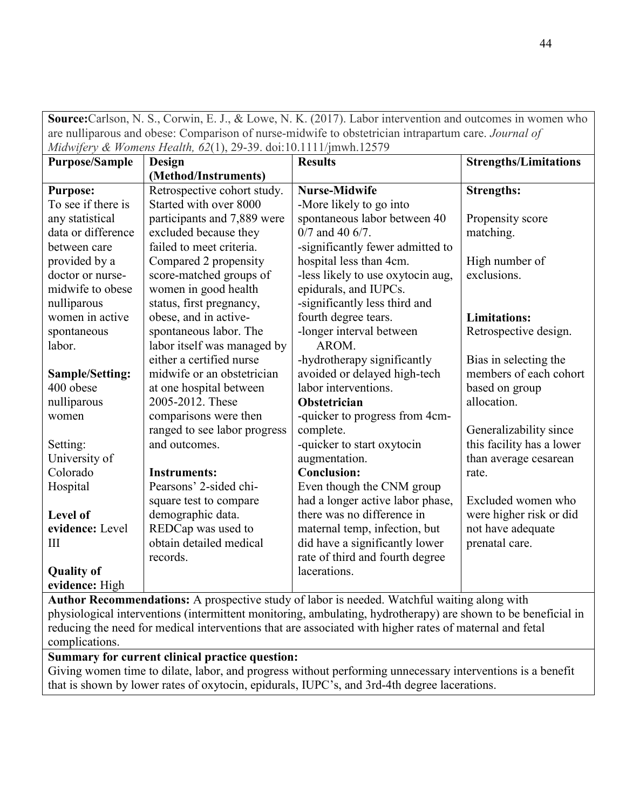**Source:**Carlson, N. S., Corwin, E. J., & Lowe, N. K. (2017). Labor intervention and outcomes in women who are nulliparous and obese: Comparison of nurse‐midwife to obstetrician intrapartum care. *Journal of Midwifery & Womens Health, 62*(1), 29-39. doi:10.1111/jmwh.12579

| <b>Purpose/Sample</b> | $\frac{1}{2}$<br><b>Design</b> | <b>Results</b>                    | <b>Strengths/Limitations</b> |
|-----------------------|--------------------------------|-----------------------------------|------------------------------|
|                       | (Method/Instruments)           |                                   |                              |
| <b>Purpose:</b>       | Retrospective cohort study.    | <b>Nurse-Midwife</b>              | <b>Strengths:</b>            |
| To see if there is    | Started with over 8000         | -More likely to go into           |                              |
| any statistical       | participants and 7,889 were    | spontaneous labor between 40      | Propensity score             |
| data or difference    | excluded because they          | $0/7$ and 40 6/7.                 | matching.                    |
| between care          | failed to meet criteria.       | -significantly fewer admitted to  |                              |
| provided by a         | Compared 2 propensity          | hospital less than 4cm.           | High number of               |
| doctor or nurse-      | score-matched groups of        | -less likely to use oxytocin aug. | exclusions.                  |
| midwife to obese      | women in good health           | epidurals, and IUPCs.             |                              |
| nulliparous           | status, first pregnancy,       | -significantly less third and     |                              |
| women in active       | obese, and in active-          | fourth degree tears.              | <b>Limitations:</b>          |
| spontaneous           | spontaneous labor. The         | -longer interval between          | Retrospective design.        |
| labor.                | labor itself was managed by    | AROM.                             |                              |
|                       | either a certified nurse       | -hydrotherapy significantly       | Bias in selecting the        |
| Sample/Setting:       | midwife or an obstetrician     | avoided or delayed high-tech      | members of each cohort       |
| 400 obese             | at one hospital between        | labor interventions.              | based on group               |
| nulliparous           | 2005-2012. These               | Obstetrician                      | allocation.                  |
| women                 | comparisons were then          | -quicker to progress from 4cm-    |                              |
|                       | ranged to see labor progress   | complete.                         | Generalizability since       |
| Setting:              | and outcomes.                  | -quicker to start oxytocin        | this facility has a lower    |
| University of         |                                | augmentation.                     | than average cesarean        |
| Colorado              | <b>Instruments:</b>            | <b>Conclusion:</b>                | rate.                        |
| Hospital              | Pearsons' 2-sided chi-         | Even though the CNM group         |                              |
|                       | square test to compare         | had a longer active labor phase,  | Excluded women who           |
| <b>Level of</b>       | demographic data.              | there was no difference in        | were higher risk or did      |
| evidence: Level       | REDCap was used to             | maternal temp, infection, but     | not have adequate            |
| III                   | obtain detailed medical        | did have a significantly lower    | prenatal care.               |
|                       | records.                       | rate of third and fourth degree   |                              |
| <b>Quality of</b>     |                                | lacerations.                      |                              |
| evidence: High        |                                |                                   |                              |

**Author Recommendations:** A prospective study of labor is needed. Watchful waiting along with physiological interventions (intermittent monitoring, ambulating, hydrotherapy) are shown to be beneficial in reducing the need for medical interventions that are associated with higher rates of maternal and fetal complications.

# **Summary for current clinical practice question:**

Giving women time to dilate, labor, and progress without performing unnecessary interventions is a benefit that is shown by lower rates of oxytocin, epidurals, IUPC's, and 3rd-4th degree lacerations.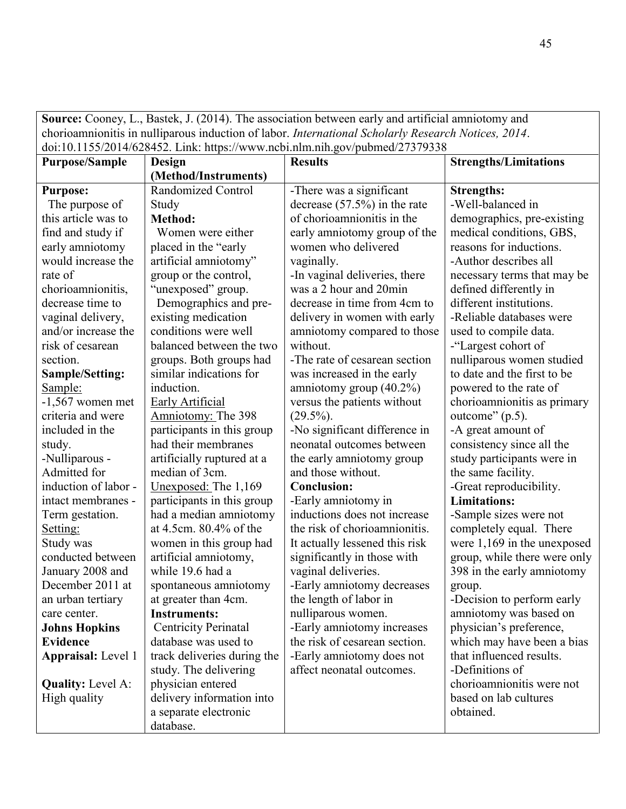**Source:** Cooney, L., Bastek, J. (2014). The association between early and artificial amniotomy and chorioamnionitis in nulliparous induction of labor. *International Scholarly Research Notices, 2014*. doi:10.1155/2014/628452. Link: https://www.ncbi.nlm.nih.gov/pubmed/27379338

|                           |                             | dol.10.11 <i>33/2</i> 014/026432. Ellik. https://www.licol.hhil.hhil.gov/publited/27379336 |                               |
|---------------------------|-----------------------------|--------------------------------------------------------------------------------------------|-------------------------------|
| <b>Purpose/Sample</b>     | Design                      | <b>Results</b>                                                                             | <b>Strengths/Limitations</b>  |
|                           | (Method/Instruments)        |                                                                                            |                               |
| <b>Purpose:</b>           | <b>Randomized Control</b>   | -There was a significant                                                                   | <b>Strengths:</b>             |
| The purpose of            | Study                       | decrease $(57.5\%)$ in the rate                                                            | -Well-balanced in             |
| this article was to       | <b>Method:</b>              | of chorioamnionitis in the                                                                 | demographics, pre-existing    |
| find and study if         | Women were either           | early amniotomy group of the                                                               | medical conditions, GBS,      |
| early amniotomy           | placed in the "early"       | women who delivered                                                                        | reasons for inductions.       |
| would increase the        | artificial amniotomy"       | vaginally.                                                                                 | -Author describes all         |
| rate of                   | group or the control,       | -In vaginal deliveries, there                                                              | necessary terms that may be   |
| chorioamnionitis,         | "unexposed" group.          | was a 2 hour and 20min                                                                     | defined differently in        |
| decrease time to          | Demographics and pre-       | decrease in time from 4cm to                                                               | different institutions.       |
| vaginal delivery,         | existing medication         | delivery in women with early                                                               | -Reliable databases were      |
| and/or increase the       | conditions were well        | amniotomy compared to those                                                                | used to compile data.         |
| risk of cesarean          | balanced between the two    | without.                                                                                   | -"Largest cohort of           |
| section.                  | groups. Both groups had     | -The rate of cesarean section                                                              | nulliparous women studied     |
| <b>Sample/Setting:</b>    | similar indications for     | was increased in the early                                                                 | to date and the first to be   |
| Sample:                   | induction.                  | amniotomy group $(40.2\%)$                                                                 | powered to the rate of        |
| $-1,567$ women met        | <b>Early Artificial</b>     | versus the patients without                                                                | chorioamnionitis as primary   |
| criteria and were         | Amniotomy: The 398          | $(29.5\%)$ .                                                                               | outcome" $(p.5)$ .            |
| included in the           | participants in this group  | -No significant difference in                                                              | -A great amount of            |
| study.                    | had their membranes         | neonatal outcomes between                                                                  | consistency since all the     |
| -Nulliparous -            | artificially ruptured at a  | the early amniotomy group                                                                  | study participants were in    |
| Admitted for              | median of 3cm.              | and those without.                                                                         | the same facility.            |
| induction of labor -      | Unexposed: The 1,169        | <b>Conclusion:</b>                                                                         | -Great reproducibility.       |
| intact membranes -        | participants in this group  | -Early amniotomy in                                                                        | <b>Limitations:</b>           |
| Term gestation.           | had a median amniotomy      | inductions does not increase                                                               | -Sample sizes were not        |
| Setting:                  | at 4.5cm. 80.4% of the      | the risk of chorioamnionitis.                                                              | completely equal. There       |
| Study was                 | women in this group had     | It actually lessened this risk                                                             | were $1,169$ in the unexposed |
| conducted between         | artificial amniotomy,       | significantly in those with                                                                | group, while there were only  |
| January 2008 and          | while 19.6 had a            | vaginal deliveries.                                                                        | 398 in the early amniotomy    |
| December 2011 at          | spontaneous amniotomy       | -Early amniotomy decreases                                                                 | group.                        |
| an urban tertiary         | at greater than 4cm.        | the length of labor in                                                                     | -Decision to perform early    |
| care center.              | <b>Instruments:</b>         | nulliparous women.                                                                         | amniotomy was based on        |
| <b>Johns Hopkins</b>      | <b>Centricity Perinatal</b> | -Early amniotomy increases                                                                 | physician's preference,       |
| <b>Evidence</b>           | database was used to        | the risk of cesarean section.                                                              | which may have been a bias    |
| <b>Appraisal:</b> Level 1 | track deliveries during the | -Early amniotomy does not                                                                  | that influenced results.      |
|                           | study. The delivering       | affect neonatal outcomes.                                                                  | -Definitions of               |
| <b>Quality:</b> Level A:  | physician entered           |                                                                                            | chorioamnionitis were not     |
| High quality              | delivery information into   |                                                                                            | based on lab cultures         |
|                           | a separate electronic       |                                                                                            | obtained.                     |
|                           | database.                   |                                                                                            |                               |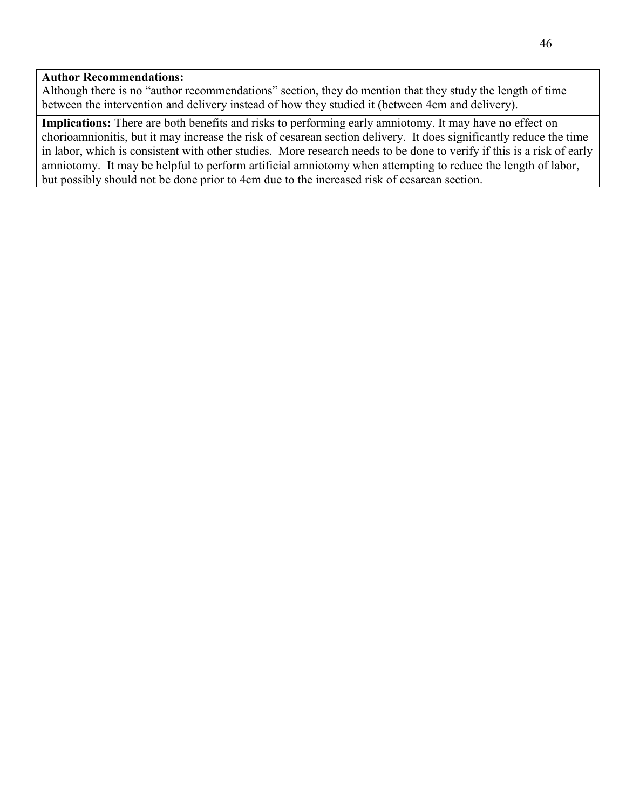#### **Author Recommendations:**

Although there is no "author recommendations" section, they do mention that they study the length of time between the intervention and delivery instead of how they studied it (between 4cm and delivery).

**Implications:** There are both benefits and risks to performing early amniotomy. It may have no effect on chorioamnionitis, but it may increase the risk of cesarean section delivery. It does significantly reduce the time in labor, which is consistent with other studies. More research needs to be done to verify if this is a risk of early amniotomy. It may be helpful to perform artificial amniotomy when attempting to reduce the length of labor, but possibly should not be done prior to 4cm due to the increased risk of cesarean section.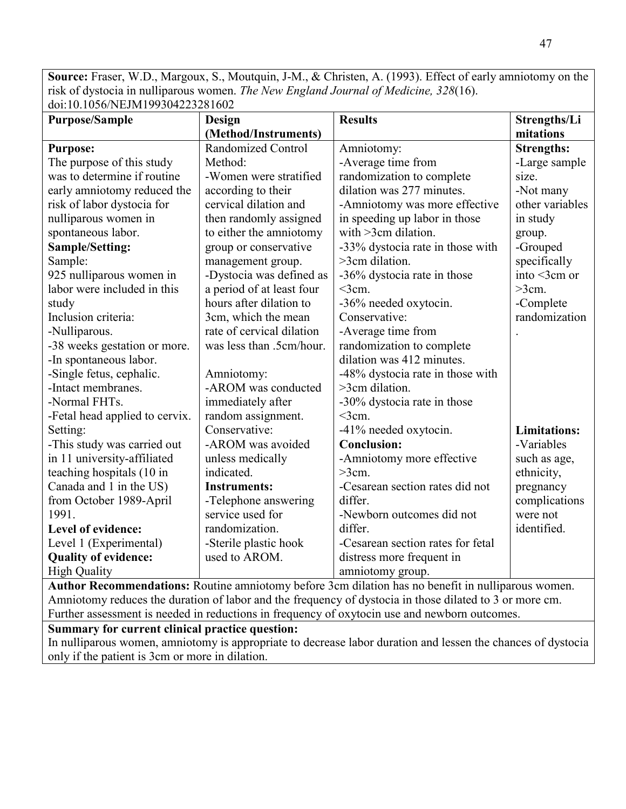**Source:** Fraser, W.D., Margoux, S., Moutquin, J-M., & Christen, A. (1993). Effect of early amniotomy on the risk of dystocia in nulliparous women. *The New England Journal of Medicine, 328*(16).  $\frac{1}{9}$ doi:10.1056/NEJM199304223281602

| <u> 401.10.1020/1112111177204223201002</u><br><b>Purpose/Sample</b> | Design                    | <b>Results</b>                    | Strengths/Li        |
|---------------------------------------------------------------------|---------------------------|-----------------------------------|---------------------|
|                                                                     | (Method/Instruments)      |                                   | mitations           |
| <b>Purpose:</b>                                                     | Randomized Control        | Amniotomy:                        | <b>Strengths:</b>   |
| The purpose of this study                                           | Method:                   | -Average time from                | -Large sample       |
| was to determine if routine                                         | -Women were stratified    | randomization to complete         | size.               |
| early amniotomy reduced the                                         | according to their        | dilation was 277 minutes.         | -Not many           |
| risk of labor dystocia for                                          | cervical dilation and     | -Amniotomy was more effective     | other variables     |
| nulliparous women in                                                | then randomly assigned    | in speeding up labor in those     | in study            |
| spontaneous labor.                                                  | to either the amniotomy   | with $>3$ cm dilation.            | group.              |
| <b>Sample/Setting:</b>                                              | group or conservative     | -33% dystocia rate in those with  | -Grouped            |
| Sample:                                                             | management group.         | $>3$ cm dilation.                 | specifically        |
| 925 nulliparous women in                                            | -Dystocia was defined as  | -36% dystocia rate in those       | into $\leq$ 3cm or  |
| labor were included in this                                         | a period of at least four | $<$ 3cm.                          | $>3$ cm.            |
| study                                                               | hours after dilation to   | -36% needed oxytocin.             | -Complete           |
| Inclusion criteria:                                                 | 3cm, which the mean       | Conservative:                     | randomization       |
| -Nulliparous.                                                       | rate of cervical dilation | -Average time from                |                     |
| -38 weeks gestation or more.                                        | was less than .5cm/hour.  | randomization to complete         |                     |
| -In spontaneous labor.                                              |                           | dilation was 412 minutes.         |                     |
| -Single fetus, cephalic.                                            | Amniotomy:                | -48% dystocia rate in those with  |                     |
| -Intact membranes.                                                  | -AROM was conducted       | >3cm dilation.                    |                     |
| -Normal FHTs.                                                       | immediately after         | -30% dystocia rate in those       |                     |
| -Fetal head applied to cervix.                                      | random assignment.        | $<$ 3cm.                          |                     |
| Setting:                                                            | Conservative:             | -41% needed oxytocin.             | <b>Limitations:</b> |
| -This study was carried out                                         | -AROM was avoided         | <b>Conclusion:</b>                | -Variables          |
| in 11 university-affiliated                                         | unless medically          | -Amniotomy more effective         | such as age,        |
| teaching hospitals (10 in                                           | indicated.                | $>3$ cm.                          | ethnicity,          |
| Canada and 1 in the US)                                             | <b>Instruments:</b>       | -Cesarean section rates did not   | pregnancy           |
| from October 1989-April                                             | -Telephone answering      | differ.                           | complications       |
| 1991.                                                               | service used for          | -Newborn outcomes did not         | were not            |
| Level of evidence:                                                  | randomization.            | differ.                           | identified.         |
| Level 1 (Experimental)                                              | -Sterile plastic hook     | -Cesarean section rates for fetal |                     |
| <b>Quality of evidence:</b>                                         | used to AROM.             | distress more frequent in         |                     |
| <b>High Quality</b>                                                 |                           | amniotomy group.                  |                     |

**Author Recommendations:** Routine amniotomy before 3cm dilation has no benefit in nulliparous women. Amniotomy reduces the duration of labor and the frequency of dystocia in those dilated to 3 or more cm. Further assessment is needed in reductions in frequency of oxytocin use and newborn outcomes.

# **Summary for current clinical practice question:**

In nulliparous women, amniotomy is appropriate to decrease labor duration and lessen the chances of dystocia only if the patient is 3cm or more in dilation.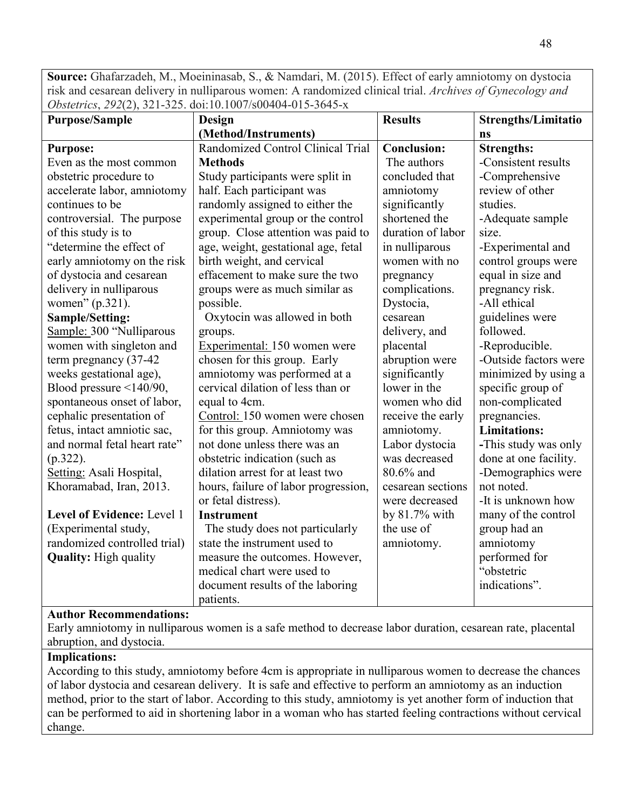**Source:** Ghafarzadeh, M., Moeininasab, S., & Namdari, M. (2015). Effect of early amniotomy on dystocia risk and cesarean delivery in nulliparous women: A randomized clinical trial. *Archives of Gynecology and Obstetrics*, *292*(2), 321-325. doi:10.1007/s00404-015-3645-x

| <b>Purpose/Sample</b>        | Design                               | <b>Results</b>     | <b>Strengths/Limitatio</b> |
|------------------------------|--------------------------------------|--------------------|----------------------------|
|                              | (Method/Instruments)                 |                    | ns                         |
| <b>Purpose:</b>              | Randomized Control Clinical Trial    | <b>Conclusion:</b> | <b>Strengths:</b>          |
| Even as the most common      | <b>Methods</b>                       | The authors        | -Consistent results        |
| obstetric procedure to       | Study participants were split in     | concluded that     | -Comprehensive             |
| accelerate labor, amniotomy  | half. Each participant was           | amniotomy          | review of other            |
| continues to be              | randomly assigned to either the      | significantly      | studies.                   |
| controversial. The purpose   | experimental group or the control    | shortened the      | -Adequate sample           |
| of this study is to          | group. Close attention was paid to   | duration of labor  | size.                      |
| "determine the effect of     | age, weight, gestational age, fetal  | in nulliparous     | -Experimental and          |
| early amniotomy on the risk  | birth weight, and cervical           | women with no      | control groups were        |
| of dystocia and cesarean     | effacement to make sure the two      | pregnancy          | equal in size and          |
| delivery in nulliparous      | groups were as much similar as       | complications.     | pregnancy risk.            |
| women" (p.321).              | possible.                            | Dystocia,          | -All ethical               |
| <b>Sample/Setting:</b>       | Oxytocin was allowed in both         | cesarean           | guidelines were            |
| Sample: 300 "Nulliparous     | groups.                              | delivery, and      | followed.                  |
| women with singleton and     | Experimental: 150 women were         | placental          | -Reproducible.             |
| term pregnancy (37-42)       | chosen for this group. Early         | abruption were     | -Outside factors were      |
| weeks gestational age),      | amniotomy was performed at a         | significantly      | minimized by using a       |
| Blood pressure <140/90,      | cervical dilation of less than or    | lower in the       | specific group of          |
| spontaneous onset of labor,  | equal to 4cm.                        | women who did      | non-complicated            |
| cephalic presentation of     | Control: 150 women were chosen       | receive the early  | pregnancies.               |
| fetus, intact amniotic sac,  | for this group. Amniotomy was        | amniotomy.         | <b>Limitations:</b>        |
| and normal fetal heart rate" | not done unless there was an         | Labor dystocia     | -This study was only       |
| $(p.322)$ .                  | obstetric indication (such as        | was decreased      | done at one facility.      |
| Setting: Asali Hospital,     | dilation arrest for at least two     | 80.6% and          | -Demographics were         |
| Khoramabad, Iran, 2013.      | hours, failure of labor progression, | cesarean sections  | not noted.                 |
|                              | or fetal distress).                  | were decreased     | -It is unknown how         |
| Level of Evidence: Level 1   | <b>Instrument</b>                    | by 81.7% with      | many of the control        |
| (Experimental study,         | The study does not particularly      | the use of         | group had an               |
| randomized controlled trial) | state the instrument used to         | amniotomy.         | amniotomy                  |
| <b>Quality:</b> High quality | measure the outcomes. However,       |                    | performed for              |
|                              | medical chart were used to           |                    | "obstetric                 |
|                              | document results of the laboring     |                    | indications".              |
|                              | patients.                            |                    |                            |

# **Author Recommendations:**

Early amniotomy in nulliparous women is a safe method to decrease labor duration, cesarean rate, placental abruption, and dystocia.

## **Implications:**

According to this study, amniotomy before 4cm is appropriate in nulliparous women to decrease the chances of labor dystocia and cesarean delivery. It is safe and effective to perform an amniotomy as an induction method, prior to the start of labor. According to this study, amniotomy is yet another form of induction that can be performed to aid in shortening labor in a woman who has started feeling contractions without cervical change.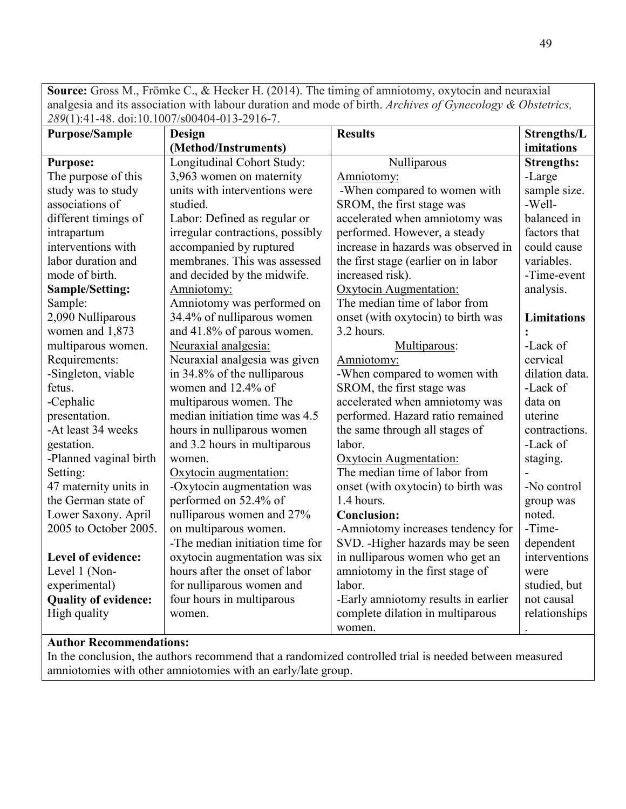**Source:** Gross M., Frömke C., & Hecker H. (2014). The timing of amniotomy, oxytocin and neuraxial analgesia and its association with labour duration and mode of birth. *Archives of Gynecology & Obstetrics, 289*(1):41-48. doi:10.1007/s00404-013-2916-7.

| <b>Purpose/Sample</b>       | Design                           | <b>Results</b>                       | Strengths/L        |
|-----------------------------|----------------------------------|--------------------------------------|--------------------|
|                             | (Method/Instruments)             |                                      | imitations         |
| <b>Purpose:</b>             | Longitudinal Cohort Study:       | Nulliparous                          | <b>Strengths:</b>  |
| The purpose of this         | 3,963 women on maternity         | Amniotomy:                           | -Large             |
| study was to study          | units with interventions were    | -When compared to women with         | sample size.       |
| associations of             | studied.                         | SROM, the first stage was            | -Well-             |
| different timings of        | Labor: Defined as regular or     | accelerated when amniotomy was       | balanced in        |
| intrapartum                 | irregular contractions, possibly | performed. However, a steady         | factors that       |
| interventions with          | accompanied by ruptured          | increase in hazards was observed in  | could cause        |
| labor duration and          | membranes. This was assessed     | the first stage (earlier on in labor | variables.         |
| mode of birth.              | and decided by the midwife.      | increased risk).                     | -Time-event        |
| <b>Sample/Setting:</b>      | Amniotomy:                       | Oxytocin Augmentation:               | analysis.          |
| Sample:                     | Amniotomy was performed on       | The median time of labor from        |                    |
| 2,090 Nulliparous           | 34.4% of nulliparous women       | onset (with oxytocin) to birth was   | <b>Limitations</b> |
| women and 1,873             | and 41.8% of parous women.       | 3.2 hours.                           |                    |
| multiparous women.          | Neuraxial analgesia:             | Multiparous:                         | -Lack of           |
| Requirements:               | Neuraxial analgesia was given    | Amniotomy:                           | cervical           |
| -Singleton, viable          | in 34.8% of the nulliparous      | -When compared to women with         | dilation data.     |
| fetus.                      | women and 12.4% of               | SROM, the first stage was            | -Lack of           |
| -Cephalic                   | multiparous women. The           | accelerated when amniotomy was       | data on            |
| presentation.               | median initiation time was 4.5   | performed. Hazard ratio remained     | uterine            |
| -At least 34 weeks          | hours in nulliparous women       | the same through all stages of       | contractions.      |
| gestation.                  | and 3.2 hours in multiparous     | labor.                               | -Lack of           |
| -Planned vaginal birth      | women.                           | Oxytocin Augmentation:               | staging.           |
| Setting:                    | Oxytocin augmentation:           | The median time of labor from        |                    |
| 47 maternity units in       | -Oxytocin augmentation was       | onset (with oxytocin) to birth was   | -No control        |
| the German state of         | performed on 52.4% of            | 1.4 hours.                           | group was          |
| Lower Saxony. April         | nulliparous women and 27%        | <b>Conclusion:</b>                   | noted.             |
| 2005 to October 2005.       | on multiparous women.            | -Amniotomy increases tendency for    | -Time-             |
|                             | -The median initiation time for  | SVD. - Higher hazards may be seen    | dependent          |
| Level of evidence:          | oxytocin augmentation was six    | in nulliparous women who get an      | interventions      |
| Level 1 (Non-               | hours after the onset of labor   | amniotomy in the first stage of      | were               |
| experimental)               | for nulliparous women and        | labor.                               | studied, but       |
| <b>Quality of evidence:</b> | four hours in multiparous        | -Early amniotomy results in earlier  | not causal         |
| High quality                | women.                           | complete dilation in multiparous     | relationships      |
|                             |                                  | women.                               |                    |

# **Author Recommendations:**

In the conclusion, the authors recommend that a randomized controlled trial is needed between measured amniotomies with other amniotomies with an early/late group.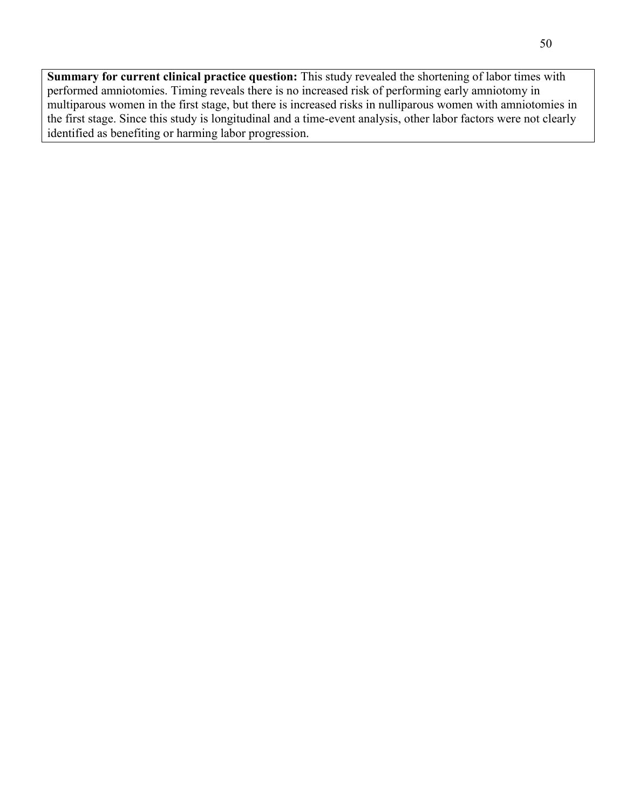**Summary for current clinical practice question:** This study revealed the shortening of labor times with performed amniotomies. Timing reveals there is no increased risk of performing early amniotomy in multiparous women in the first stage, but there is increased risks in nulliparous women with amniotomies in the first stage. Since this study is longitudinal and a time-event analysis, other labor factors were not clearly identified as benefiting or harming labor progression.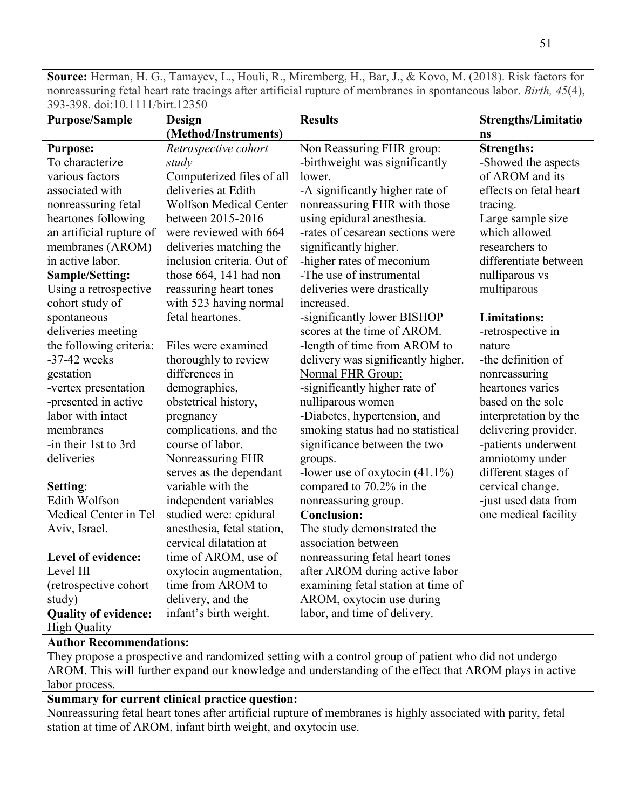**Source:** Herman, H. G., Tamayev, L., Houli, R., Miremberg, H., Bar, J., & Kovo, M. (2018). Risk factors for nonreassuring fetal heart rate tracings after artificial rupture of membranes in spontaneous labor. *Birth, 45*(4), 393-398. doi:10.1111/birt.12350

| <b>Purpose/Sample</b>       | Design                        | <b>Results</b>                     | <b>Strengths/Limitatio</b> |
|-----------------------------|-------------------------------|------------------------------------|----------------------------|
|                             | (Method/Instruments)          |                                    | ns                         |
| <b>Purpose:</b>             | Retrospective cohort          | Non Reassuring FHR group:          | <b>Strengths:</b>          |
| To characterize             | study                         | -birthweight was significantly     | -Showed the aspects        |
| various factors             | Computerized files of all     | lower.                             | of AROM and its            |
| associated with             | deliveries at Edith           | -A significantly higher rate of    | effects on fetal heart     |
| nonreassuring fetal         | <b>Wolfson Medical Center</b> | nonreassuring FHR with those       | tracing.                   |
| heartones following         | between 2015-2016             | using epidural anesthesia.         | Large sample size          |
| an artificial rupture of    | were reviewed with 664        | -rates of cesarean sections were   | which allowed              |
| membranes (AROM)            | deliveries matching the       | significantly higher.              | researchers to             |
| in active labor.            | inclusion criteria. Out of    | -higher rates of meconium          | differentiate between      |
| <b>Sample/Setting:</b>      | those 664, 141 had non        | -The use of instrumental           | nulliparous vs             |
| Using a retrospective       | reassuring heart tones        | deliveries were drastically        | multiparous                |
| cohort study of             | with 523 having normal        | increased.                         |                            |
| spontaneous                 | fetal heartones.              | -significantly lower BISHOP        | <b>Limitations:</b>        |
| deliveries meeting          |                               | scores at the time of AROM.        | -retrospective in          |
| the following criteria:     | Files were examined           | -length of time from AROM to       | nature                     |
| $-37-42$ weeks              | thoroughly to review          | delivery was significantly higher. | -the definition of         |
| gestation                   | differences in                | Normal FHR Group:                  | nonreassuring              |
| -vertex presentation        | demographics,                 | -significantly higher rate of      | heartones varies           |
| -presented in active        | obstetrical history,          | nulliparous women                  | based on the sole          |
| labor with intact           | pregnancy                     | -Diabetes, hypertension, and       | interpretation by the      |
| membranes                   | complications, and the        | smoking status had no statistical  | delivering provider.       |
| -in their 1st to 3rd        | course of labor.              | significance between the two       | -patients underwent        |
| deliveries                  | Nonreassuring FHR             | groups.                            | amniotomy under            |
|                             | serves as the dependant       | -lower use of oxytocin $(41.1\%)$  | different stages of        |
| Setting:                    | variable with the             | compared to 70.2% in the           | cervical change.           |
| Edith Wolfson               | independent variables         | nonreassuring group.               | -just used data from       |
| Medical Center in Tel       | studied were: epidural        | <b>Conclusion:</b>                 | one medical facility       |
| Aviv, Israel.               | anesthesia, fetal station,    | The study demonstrated the         |                            |
|                             | cervical dilatation at        | association between                |                            |
| Level of evidence:          | time of AROM, use of          | nonreassuring fetal heart tones    |                            |
| Level III                   | oxytocin augmentation,        | after AROM during active labor     |                            |
| (retrospective cohort       | time from AROM to             | examining fetal station at time of |                            |
| study)                      | delivery, and the             | AROM, oxytocin use during          |                            |
| <b>Quality of evidence:</b> | infant's birth weight.        | labor, and time of delivery.       |                            |
| <b>High Quality</b>         |                               |                                    |                            |

# **Author Recommendations:**

They propose a prospective and randomized setting with a control group of patient who did not undergo AROM. This will further expand our knowledge and understanding of the effect that AROM plays in active labor process.

# **Summary for current clinical practice question:**

Nonreassuring fetal heart tones after artificial rupture of membranes is highly associated with parity, fetal station at time of AROM, infant birth weight, and oxytocin use.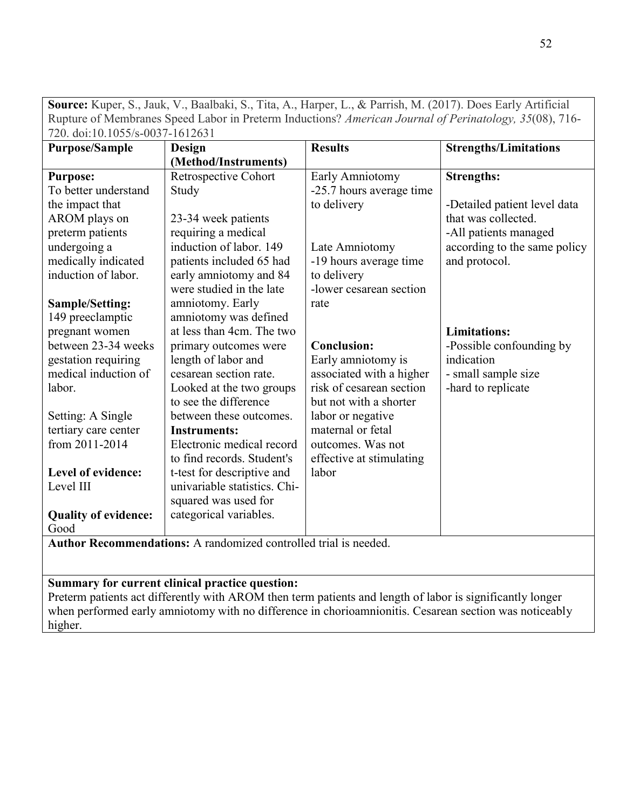| 720. doi:10.1055/s-0037-1612631 |                              |                          |                              |  |
|---------------------------------|------------------------------|--------------------------|------------------------------|--|
| <b>Purpose/Sample</b>           | <b>Design</b>                | <b>Results</b>           | <b>Strengths/Limitations</b> |  |
|                                 | (Method/Instruments)         |                          |                              |  |
| <b>Purpose:</b>                 | Retrospective Cohort         | Early Amniotomy          | <b>Strengths:</b>            |  |
| To better understand            | Study                        | -25.7 hours average time |                              |  |
| the impact that                 |                              | to delivery              | -Detailed patient level data |  |
| AROM plays on                   | 23-34 week patients          |                          | that was collected.          |  |
| preterm patients                | requiring a medical          |                          | -All patients managed        |  |
| undergoing a                    | induction of labor. 149      | Late Amniotomy           | according to the same policy |  |
| medically indicated             | patients included 65 had     | -19 hours average time   | and protocol.                |  |
| induction of labor.             | early amniotomy and 84       | to delivery              |                              |  |
|                                 | were studied in the late     | -lower cesarean section  |                              |  |
| <b>Sample/Setting:</b>          | amniotomy. Early             | rate                     |                              |  |
| 149 preeclamptic                | amniotomy was defined        |                          |                              |  |
| pregnant women                  | at less than 4cm. The two    |                          | <b>Limitations:</b>          |  |
| between 23-34 weeks             | primary outcomes were        | <b>Conclusion:</b>       | -Possible confounding by     |  |
| gestation requiring             | length of labor and          | Early amniotomy is       | indication                   |  |
| medical induction of            | cesarean section rate.       | associated with a higher | - small sample size          |  |
| labor.                          | Looked at the two groups     | risk of cesarean section | -hard to replicate           |  |
|                                 | to see the difference        | but not with a shorter   |                              |  |
| Setting: A Single               | between these outcomes.      | labor or negative        |                              |  |
| tertiary care center            | <b>Instruments:</b>          | maternal or fetal        |                              |  |
| from 2011-2014                  | Electronic medical record    | outcomes. Was not        |                              |  |
|                                 | to find records. Student's   | effective at stimulating |                              |  |
| Level of evidence:              | t-test for descriptive and   | labor                    |                              |  |
| Level III                       | univariable statistics. Chi- |                          |                              |  |
|                                 | squared was used for         |                          |                              |  |
| <b>Quality of evidence:</b>     | categorical variables.       |                          |                              |  |
| Good                            |                              |                          |                              |  |

**Source:** Kuper, S., Jauk, V., Baalbaki, S., Tita, A., Harper, L., & Parrish, M. (2017). Does Early Artificial Rupture of Membranes Speed Labor in Preterm Inductions? *American Journal of Perinatology, 35*(08), 716- 720. doi:10.1055/s-0037-1612631

**Author Recommendations:** A randomized controlled trial is needed.

# **Summary for current clinical practice question:**

Preterm patients act differently with AROM then term patients and length of labor is significantly longer when performed early amniotomy with no difference in chorioamnionitis. Cesarean section was noticeably higher.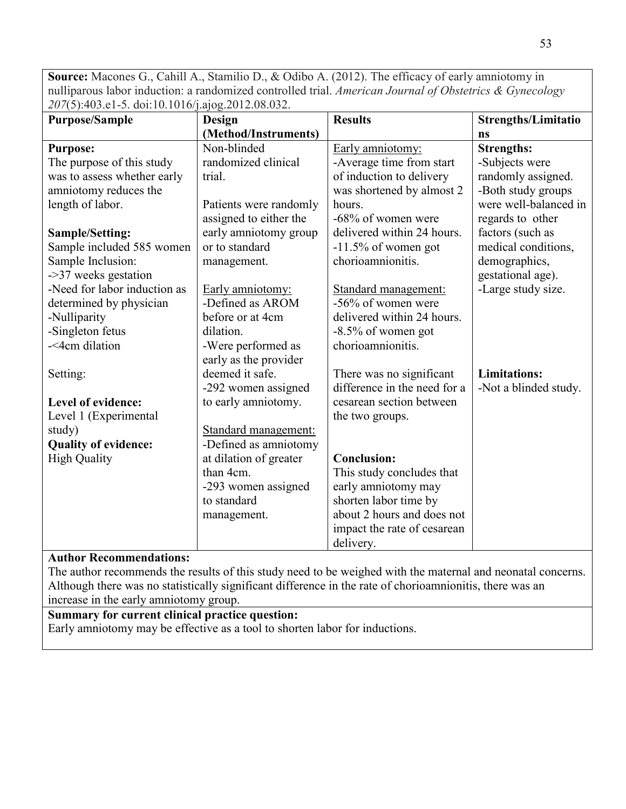**Source:** Macones G., Cahill A., Stamilio D., & Odibo A. (2012). The efficacy of early amniotomy in nulliparous labor induction: a randomized controlled trial. *American Journal of Obstetrics & Gynecology 207*(5):403.e1-5. doi:10.1016/j.ajog.2012.08.032.

| <b>Purpose/Sample</b>        | Design                 | <b>Results</b>               | <b>Strengths/Limitatio</b> |
|------------------------------|------------------------|------------------------------|----------------------------|
|                              | (Method/Instruments)   |                              | ns                         |
| <b>Purpose:</b>              | Non-blinded            | Early amniotomy:             | <b>Strengths:</b>          |
| The purpose of this study    | randomized clinical    | -Average time from start     | -Subjects were             |
| was to assess whether early  | trial.                 | of induction to delivery     | randomly assigned.         |
| amniotomy reduces the        |                        | was shortened by almost 2    | -Both study groups         |
| length of labor.             | Patients were randomly | hours.                       | were well-balanced in      |
|                              | assigned to either the | -68% of women were           | regards to other           |
| Sample/Setting:              | early amniotomy group  | delivered within 24 hours.   | factors (such as           |
| Sample included 585 women    | or to standard         | $-11.5\%$ of women got       | medical conditions,        |
| Sample Inclusion:            | management.            | chorioamnionitis.            | demographics,              |
| ->37 weeks gestation         |                        |                              | gestational age).          |
| -Need for labor induction as | Early amniotomy:       | Standard management:         | -Large study size.         |
| determined by physician      | -Defined as AROM       | -56% of women were           |                            |
| -Nulliparity                 | before or at 4cm       | delivered within 24 hours.   |                            |
| -Singleton fetus             | dilation.              | $-8.5\%$ of women got        |                            |
| -<4cm dilation               | -Were performed as     | chorioamnionitis.            |                            |
|                              | early as the provider  |                              |                            |
| Setting:                     | deemed it safe.        | There was no significant     | <b>Limitations:</b>        |
|                              | -292 women assigned    | difference in the need for a | -Not a blinded study.      |
| Level of evidence:           | to early amniotomy.    | cesarean section between     |                            |
| Level 1 (Experimental        |                        | the two groups.              |                            |
| study)                       | Standard management:   |                              |                            |
| <b>Quality of evidence:</b>  | -Defined as amniotomy  |                              |                            |
| <b>High Quality</b>          | at dilation of greater | <b>Conclusion:</b>           |                            |
|                              | than 4cm.              | This study concludes that    |                            |
|                              | -293 women assigned    | early amniotomy may          |                            |
|                              | to standard            | shorten labor time by        |                            |
|                              | management.            | about 2 hours and does not   |                            |
|                              |                        | impact the rate of cesarean  |                            |
|                              |                        | delivery.                    |                            |

## **Author Recommendations:**

The author recommends the results of this study need to be weighed with the maternal and neonatal concerns. Although there was no statistically significant difference in the rate of chorioamnionitis, there was an increase in the early amniotomy group.

# **Summary for current clinical practice question:**

Early amniotomy may be effective as a tool to shorten labor for inductions.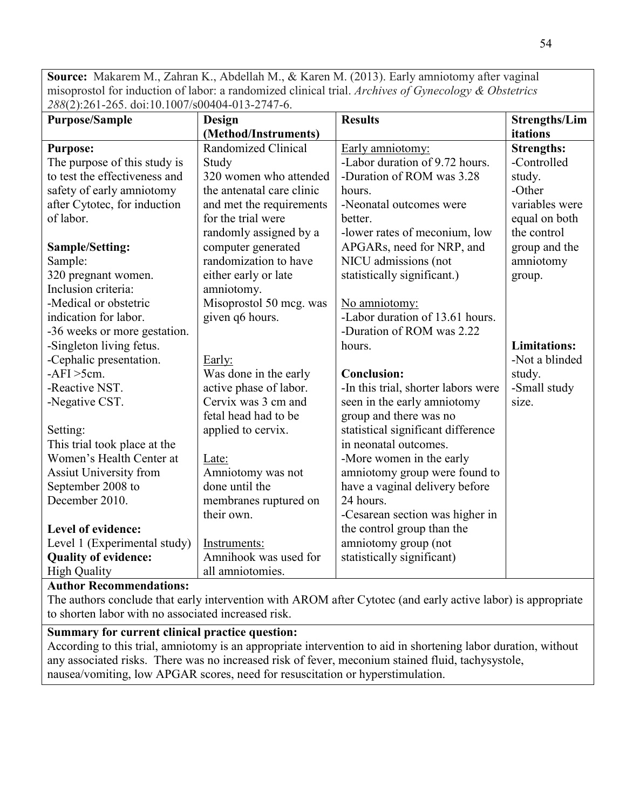**Source:** Makarem M., Zahran K., Abdellah M., & Karen M. (2013). Early amniotomy after vaginal misoprostol for induction of labor: a randomized clinical trial. *Archives of Gynecology & Obstetrics 288*(2):261-265. doi:10.1007/s00404-013-2747-6.

| <b>Purpose/Sample</b>         | Design                    | <b>Results</b>                      | <b>Strengths/Lim</b> |
|-------------------------------|---------------------------|-------------------------------------|----------------------|
|                               | (Method/Instruments)      |                                     | itations             |
| <b>Purpose:</b>               | Randomized Clinical       | Early amniotomy:                    | <b>Strengths:</b>    |
| The purpose of this study is  | Study                     | -Labor duration of 9.72 hours.      | -Controlled          |
| to test the effectiveness and | 320 women who attended    | -Duration of ROM was 3.28           | study.               |
| safety of early amniotomy     | the antenatal care clinic | hours.                              | -Other               |
| after Cytotec, for induction  | and met the requirements  | -Neonatal outcomes were             | variables were       |
| of labor.                     | for the trial were        | better.                             | equal on both        |
|                               | randomly assigned by a    | -lower rates of meconium, low       | the control          |
| <b>Sample/Setting:</b>        | computer generated        | APGARs, need for NRP, and           | group and the        |
| Sample:                       | randomization to have     | NICU admissions (not                | amniotomy            |
| 320 pregnant women.           | either early or late      | statistically significant.)         | group.               |
| Inclusion criteria:           | amniotomy.                |                                     |                      |
| -Medical or obstetric         | Misoprostol 50 mcg. was   | No amniotomy:                       |                      |
| indication for labor.         | given q6 hours.           | -Labor duration of 13.61 hours.     |                      |
| -36 weeks or more gestation.  |                           | -Duration of ROM was 2.22           |                      |
| -Singleton living fetus.      |                           | hours.                              | <b>Limitations:</b>  |
| -Cephalic presentation.       | Early:                    |                                     | -Not a blinded       |
| $-AFI > 5cm$ .                | Was done in the early     | <b>Conclusion:</b>                  | study.               |
| -Reactive NST.                | active phase of labor.    | -In this trial, shorter labors were | -Small study         |
| -Negative CST.                | Cervix was 3 cm and       | seen in the early amniotomy         | size.                |
|                               | fetal head had to be      | group and there was no              |                      |
| Setting:                      | applied to cervix.        | statistical significant difference  |                      |
| This trial took place at the  |                           | in neonatal outcomes.               |                      |
| Women's Health Center at      | Late:                     | -More women in the early            |                      |
| <b>Assiut University from</b> | Amniotomy was not         | amniotomy group were found to       |                      |
| September 2008 to             | done until the            | have a vaginal delivery before      |                      |
| December 2010.                | membranes ruptured on     | 24 hours.                           |                      |
|                               | their own.                | -Cesarean section was higher in     |                      |
| Level of evidence:            |                           | the control group than the          |                      |
| Level 1 (Experimental study)  | Instruments:              | amniotomy group (not                |                      |
| <b>Quality of evidence:</b>   | Amnihook was used for     | statistically significant)          |                      |
| <b>High Quality</b>           | all amniotomies.          |                                     |                      |

# **Author Recommendations:**

The authors conclude that early intervention with AROM after Cytotec (and early active labor) is appropriate to shorten labor with no associated increased risk.

## **Summary for current clinical practice question:**

According to this trial, amniotomy is an appropriate intervention to aid in shortening labor duration, without any associated risks. There was no increased risk of fever, meconium stained fluid, tachysystole, nausea/vomiting, low APGAR scores, need for resuscitation or hyperstimulation.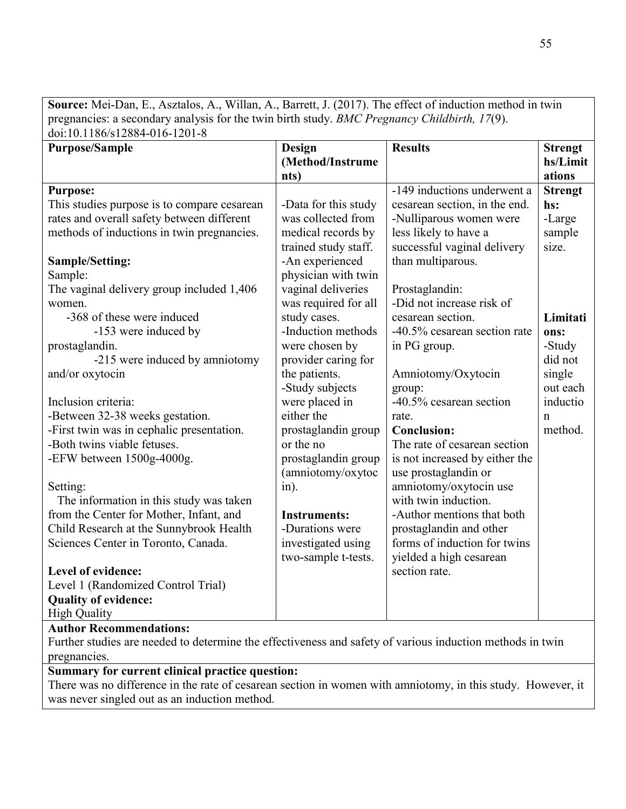**Source:** Mei-Dan, E., Asztalos, A., Willan, A., Barrett, J. (2017). The effect of induction method in twin pregnancies: a secondary analysis for the twin birth study. *BMC Pregnancy Childbirth, 17*(9).  $\frac{1}{\text{doi:10}}$  1186/s12884-016-1201-8

| 001.10.1100/SIZ004-010-1Z01-0                                                                             |                      |                                |                |
|-----------------------------------------------------------------------------------------------------------|----------------------|--------------------------------|----------------|
| <b>Purpose/Sample</b>                                                                                     | <b>Design</b>        | <b>Results</b>                 | <b>Strengt</b> |
|                                                                                                           | (Method/Instrume     |                                | hs/Limit       |
|                                                                                                           | nts)                 |                                | ations         |
| <b>Purpose:</b>                                                                                           |                      | -149 inductions underwent a    | <b>Strengt</b> |
| This studies purpose is to compare cesarean                                                               | -Data for this study | cesarean section, in the end.  | hs:            |
| rates and overall safety between different                                                                | was collected from   | -Nulliparous women were        | -Large         |
| methods of inductions in twin pregnancies.                                                                | medical records by   | less likely to have a          | sample         |
|                                                                                                           | trained study staff. | successful vaginal delivery    | size.          |
| Sample/Setting:                                                                                           | -An experienced      | than multiparous.              |                |
| Sample:                                                                                                   | physician with twin  |                                |                |
| The vaginal delivery group included 1,406                                                                 | vaginal deliveries   | Prostaglandin:                 |                |
| women.                                                                                                    | was required for all | -Did not increase risk of      |                |
| -368 of these were induced                                                                                | study cases.         | cesarean section.              | Limitati       |
| -153 were induced by                                                                                      | -Induction methods   | -40.5% cesarean section rate   | ons:           |
| prostaglandin.                                                                                            | were chosen by       | in PG group.                   | -Study         |
| -215 were induced by amniotomy                                                                            | provider caring for  |                                | did not        |
| and/or oxytocin                                                                                           | the patients.        | Amniotomy/Oxytocin             | single         |
|                                                                                                           | -Study subjects      | group:                         | out each       |
| Inclusion criteria:                                                                                       | were placed in       | -40.5% cesarean section        | inductio       |
| -Between 32-38 weeks gestation.                                                                           | either the           | rate.                          | n              |
| -First twin was in cephalic presentation.                                                                 | prostaglandin group  | <b>Conclusion:</b>             | method.        |
| -Both twins viable fetuses.                                                                               | or the no            | The rate of cesarean section   |                |
| -EFW between $1500g-4000g$ .                                                                              | prostaglandin group  | is not increased by either the |                |
|                                                                                                           | (amniotomy/oxytoc    | use prostaglandin or           |                |
| Setting:                                                                                                  | $in$ ).              | amniotomy/oxytocin use         |                |
| The information in this study was taken                                                                   |                      | with twin induction.           |                |
| from the Center for Mother, Infant, and                                                                   | <b>Instruments:</b>  | -Author mentions that both     |                |
| Child Research at the Sunnybrook Health                                                                   | -Durations were      | prostaglandin and other        |                |
| Sciences Center in Toronto, Canada.                                                                       | investigated using   | forms of induction for twins   |                |
|                                                                                                           | two-sample t-tests.  | yielded a high cesarean        |                |
| Level of evidence:                                                                                        |                      | section rate.                  |                |
| Level 1 (Randomized Control Trial)                                                                        |                      |                                |                |
| <b>Quality of evidence:</b>                                                                               |                      |                                |                |
| <b>High Quality</b>                                                                                       |                      |                                |                |
| <b>Author Recommendations:</b>                                                                            |                      |                                |                |
| Further studies are needed to determine the effectiveness and safety of various induction methods in twin |                      |                                |                |
| pregnancies.                                                                                              |                      |                                |                |

# **Summary for current clinical practice question:**

There was no difference in the rate of cesarean section in women with amniotomy, in this study. However, it was never singled out as an induction method.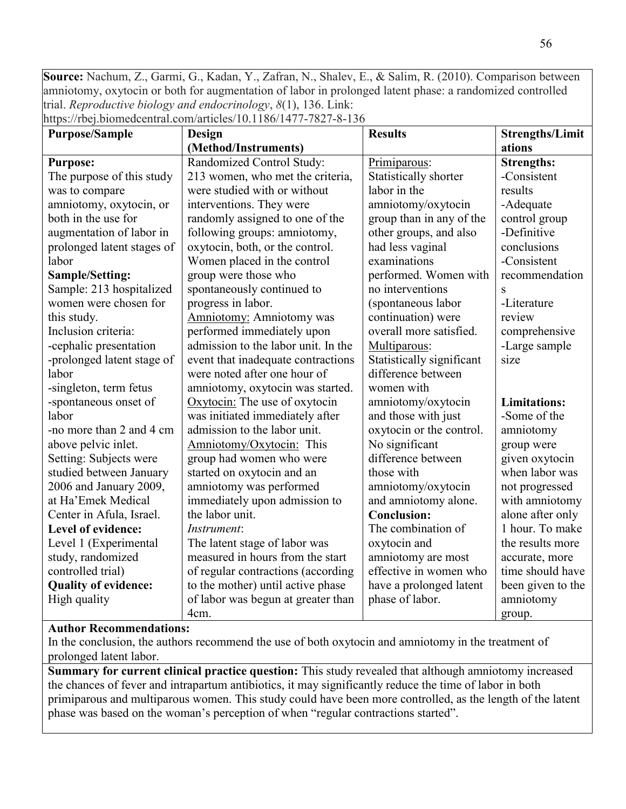**Source:** Nachum, Z., Garmi, G., Kadan, Y., Zafran, N., Shalev, E., & Salim, R. (2010). Comparison between amniotomy, oxytocin or both for augmentation of labor in prolonged latent phase: a randomized controlled trial. *Reproductive biology and endocrinology*, *8*(1), 136. Link:

https://rbej.biomedcentral.com/articles/10.1186/1477-7827-8-136

| <b>Purpose/Sample</b>       | Design                              | <b>Results</b>            | <b>Strengths/Limit</b> |
|-----------------------------|-------------------------------------|---------------------------|------------------------|
|                             | (Method/Instruments)                |                           | ations                 |
| <b>Purpose:</b>             | Randomized Control Study:           | Primiparous:              | <b>Strengths:</b>      |
| The purpose of this study   | 213 women, who met the criteria,    | Statistically shorter     | -Consistent            |
| was to compare              | were studied with or without        | labor in the              | results                |
| amniotomy, oxytocin, or     | interventions. They were            | amniotomy/oxytocin        | -Adequate              |
| both in the use for         | randomly assigned to one of the     | group than in any of the  | control group          |
| augmentation of labor in    | following groups: amniotomy,        | other groups, and also    | -Definitive            |
| prolonged latent stages of  | oxytocin, both, or the control.     | had less vaginal          | conclusions            |
| labor                       | Women placed in the control         | examinations              | -Consistent            |
| <b>Sample/Setting:</b>      | group were those who                | performed. Women with     | recommendation         |
| Sample: 213 hospitalized    | spontaneously continued to          | no interventions          | $\overline{S}$         |
| women were chosen for       | progress in labor.                  | (spontaneous labor        | -Literature            |
| this study.                 | <b>Amniotomy:</b> Amniotomy was     | continuation) were        | review                 |
| Inclusion criteria:         | performed immediately upon          | overall more satisfied.   | comprehensive          |
| -cephalic presentation      | admission to the labor unit. In the | Multiparous:              | -Large sample          |
| -prolonged latent stage of  | event that inadequate contractions  | Statistically significant | size                   |
| labor                       | were noted after one hour of        | difference between        |                        |
| -singleton, term fetus      | amniotomy, oxytocin was started.    | women with                |                        |
| -spontaneous onset of       | Oxytocin: The use of oxytocin       | amniotomy/oxytocin        | <b>Limitations:</b>    |
| labor                       | was initiated immediately after     | and those with just       | -Some of the           |
| -no more than 2 and 4 cm    | admission to the labor unit.        | oxytocin or the control.  | amniotomy              |
| above pelvic inlet.         | Amniotomy/Oxytocin: This            | No significant            | group were             |
| Setting: Subjects were      | group had women who were            | difference between        | given oxytocin         |
| studied between January     | started on oxytocin and an          | those with                | when labor was         |
| 2006 and January 2009,      | amniotomy was performed             | amniotomy/oxytocin        | not progressed         |
| at Ha'Emek Medical          | immediately upon admission to       | and amniotomy alone.      | with amniotomy         |
| Center in Afula, Israel.    | the labor unit.                     | <b>Conclusion:</b>        | alone after only       |
| Level of evidence:          | Instrument:                         | The combination of        | 1 hour. To make        |
| Level 1 (Experimental       | The latent stage of labor was       | oxytocin and              | the results more       |
| study, randomized           | measured in hours from the start    | amniotomy are most        | accurate, more         |
| controlled trial)           | of regular contractions (according  | effective in women who    | time should have       |
| <b>Quality of evidence:</b> | to the mother) until active phase   | have a prolonged latent   | been given to the      |
| High quality                | of labor was begun at greater than  | phase of labor.           | amniotomy              |
|                             | 4cm.                                |                           | group.                 |

# **Author Recommendations:**

In the conclusion, the authors recommend the use of both oxytocin and amniotomy in the treatment of prolonged latent labor.

**Summary for current clinical practice question:** This study revealed that although amniotomy increased the chances of fever and intrapartum antibiotics, it may significantly reduce the time of labor in both primiparous and multiparous women. This study could have been more controlled, as the length of the latent phase was based on the woman's perception of when "regular contractions started".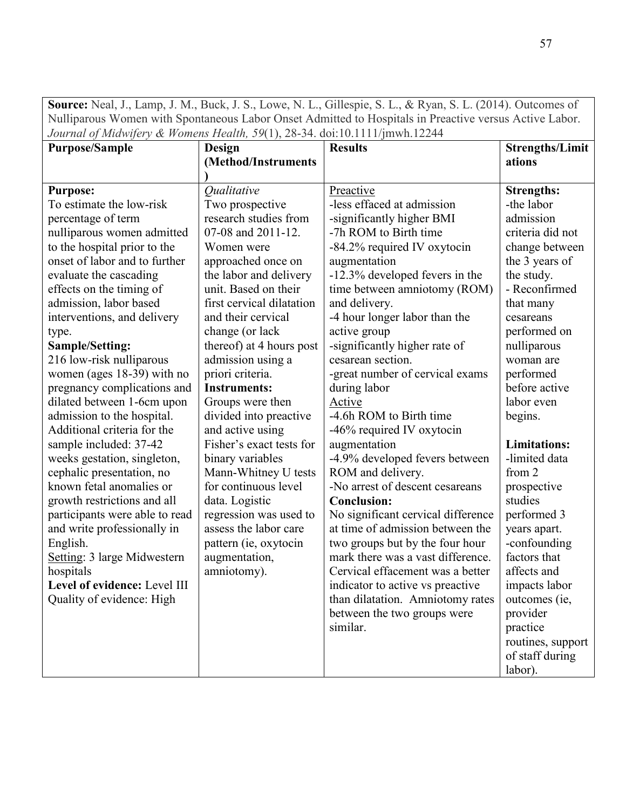**Source:** Neal, J., Lamp, J. M., Buck, J. S., Lowe, N. L., Gillespie, S. L., & Ryan, S. L. (2014). Outcomes of Nulliparous Women with Spontaneous Labor Onset Admitted to Hospitals in Preactive versus Active Labor. *Journal of Midwifery & Womens Health, 59*(1), 28-34. doi:10.1111/jmwh.12244

| <i>JOUTHUL OF MIGHTY &amp; HOMERS HEGHH, J</i> /(1 <i>)</i> , 20-J+. Q01.10.1111/JHIWH.122++ |                                  |                                    |                        |
|----------------------------------------------------------------------------------------------|----------------------------------|------------------------------------|------------------------|
| <b>Purpose/Sample</b>                                                                        | Design                           | <b>Results</b>                     | <b>Strengths/Limit</b> |
|                                                                                              | (Method/Instruments              |                                    | ations                 |
|                                                                                              | <i><u><b>Oualitative</b></u></i> | Preactive                          | <b>Strengths:</b>      |
| <b>Purpose:</b><br>To estimate the low-risk                                                  |                                  | -less effaced at admission         | -the labor             |
|                                                                                              | Two prospective                  |                                    |                        |
| percentage of term                                                                           | research studies from            | -significantly higher BMI          | admission              |
| nulliparous women admitted                                                                   | 07-08 and 2011-12.               | -7h ROM to Birth time              | criteria did not       |
| to the hospital prior to the                                                                 | Women were                       | -84.2% required IV oxytocin        | change between         |
| onset of labor and to further                                                                | approached once on               | augmentation                       | the 3 years of         |
| evaluate the cascading                                                                       | the labor and delivery           | -12.3% developed fevers in the     | the study.             |
| effects on the timing of                                                                     | unit. Based on their             | time between amniotomy (ROM)       | - Reconfirmed          |
| admission, labor based                                                                       | first cervical dilatation        | and delivery.                      | that many              |
| interventions, and delivery                                                                  | and their cervical               | -4 hour longer labor than the      | cesareans              |
| type.                                                                                        | change (or lack                  | active group                       | performed on           |
| Sample/Setting:                                                                              | thereof) at 4 hours post         | -significantly higher rate of      | nulliparous            |
| 216 low-risk nulliparous                                                                     | admission using a                | cesarean section.                  | woman are              |
| women (ages 18-39) with no                                                                   | priori criteria.                 | -great number of cervical exams    | performed              |
| pregnancy complications and                                                                  | <b>Instruments:</b>              | during labor                       | before active          |
| dilated between 1-6cm upon                                                                   | Groups were then                 | Active                             | labor even             |
| admission to the hospital.                                                                   | divided into preactive           | -4.6h ROM to Birth time            | begins.                |
| Additional criteria for the                                                                  | and active using                 | -46% required IV oxytocin          |                        |
| sample included: 37-42                                                                       | Fisher's exact tests for         | augmentation                       | <b>Limitations:</b>    |
| weeks gestation, singleton,                                                                  | binary variables                 | -4.9% developed fevers between     | -limited data          |
| cephalic presentation, no                                                                    | Mann-Whitney U tests             | ROM and delivery.                  | from 2                 |
| known fetal anomalies or                                                                     | for continuous level             | -No arrest of descent cesareans    | prospective            |
| growth restrictions and all                                                                  | data. Logistic                   | <b>Conclusion:</b>                 | studies                |
| participants were able to read                                                               | regression was used to           | No significant cervical difference | performed 3            |
| and write professionally in                                                                  | assess the labor care            | at time of admission between the   | years apart.           |
| English.                                                                                     | pattern (ie, oxytocin            | two groups but by the four hour    | -confounding           |
| Setting: 3 large Midwestern                                                                  | augmentation,                    | mark there was a vast difference.  | factors that           |
| hospitals                                                                                    | amniotomy).                      | Cervical effacement was a better   | affects and            |
| Level of evidence: Level III                                                                 |                                  | indicator to active vs preactive   | impacts labor          |
| Quality of evidence: High                                                                    |                                  | than dilatation. Amniotomy rates   | outcomes (ie,          |
|                                                                                              |                                  | between the two groups were        | provider               |
|                                                                                              |                                  | similar.                           | practice               |
|                                                                                              |                                  |                                    | routines, support      |
|                                                                                              |                                  |                                    | of staff during        |
|                                                                                              |                                  |                                    | labor).                |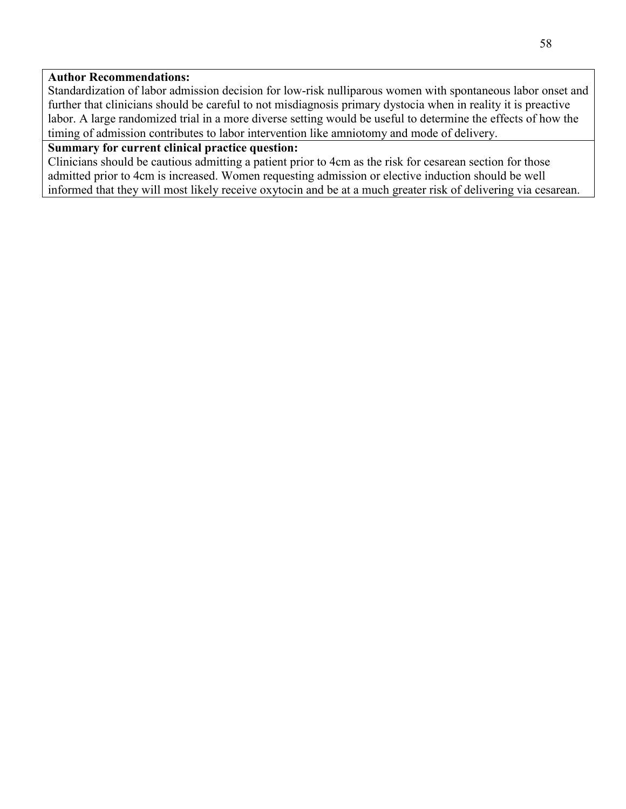# **Author Recommendations:**

Standardization of labor admission decision for low-risk nulliparous women with spontaneous labor onset and further that clinicians should be careful to not misdiagnosis primary dystocia when in reality it is preactive labor. A large randomized trial in a more diverse setting would be useful to determine the effects of how the timing of admission contributes to labor intervention like amniotomy and mode of delivery.

# **Summary for current clinical practice question:**

Clinicians should be cautious admitting a patient prior to 4cm as the risk for cesarean section for those admitted prior to 4cm is increased. Women requesting admission or elective induction should be well informed that they will most likely receive oxytocin and be at a much greater risk of delivering via cesarean.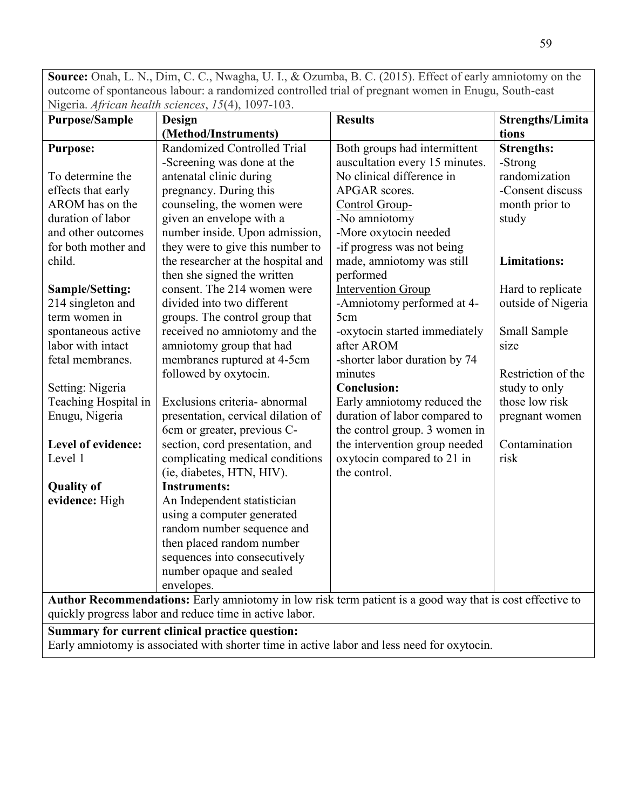**Source:** Onah, L. N., Dim, C. C., Nwagha, U. I., & Ozumba, B. C. (2015). Effect of early amniotomy on the outcome of spontaneous labour: a randomized controlled trial of pregnant women in Enugu, South-east Nigeria. *African health sciences*, *15*(4), 1097-103.

| <b>Purpose/Sample</b>                                                                       | Design                                                                                                   | <b>Results</b>                 | <b>Strengths/Limita</b> |  |
|---------------------------------------------------------------------------------------------|----------------------------------------------------------------------------------------------------------|--------------------------------|-------------------------|--|
|                                                                                             | (Method/Instruments)                                                                                     |                                | tions                   |  |
| <b>Purpose:</b>                                                                             | Randomized Controlled Trial                                                                              | Both groups had intermittent   | <b>Strengths:</b>       |  |
|                                                                                             | -Screening was done at the                                                                               | auscultation every 15 minutes. | -Strong                 |  |
| To determine the                                                                            | antenatal clinic during                                                                                  | No clinical difference in      | randomization           |  |
| effects that early                                                                          | pregnancy. During this                                                                                   | APGAR scores.                  | -Consent discuss        |  |
| AROM has on the                                                                             | counseling, the women were                                                                               | Control Group-                 | month prior to          |  |
| duration of labor                                                                           | given an envelope with a                                                                                 | -No amniotomy                  | study                   |  |
| and other outcomes                                                                          | number inside. Upon admission,                                                                           | -More oxytocin needed          |                         |  |
| for both mother and                                                                         | they were to give this number to                                                                         | -if progress was not being     |                         |  |
| child.                                                                                      | the researcher at the hospital and                                                                       | made, amniotomy was still      | <b>Limitations:</b>     |  |
|                                                                                             | then she signed the written                                                                              | performed                      |                         |  |
| <b>Sample/Setting:</b>                                                                      | consent. The 214 women were                                                                              | <b>Intervention Group</b>      | Hard to replicate       |  |
| 214 singleton and                                                                           | divided into two different                                                                               | -Amniotomy performed at 4-     | outside of Nigeria      |  |
| term women in                                                                               | groups. The control group that                                                                           | 5cm                            |                         |  |
| spontaneous active                                                                          | received no amniotomy and the                                                                            | -oxytocin started immediately  | Small Sample            |  |
| labor with intact                                                                           | amniotomy group that had                                                                                 | after AROM                     | size                    |  |
| fetal membranes.                                                                            | membranes ruptured at 4-5cm                                                                              | -shorter labor duration by 74  |                         |  |
|                                                                                             | followed by oxytocin.                                                                                    | minutes                        | Restriction of the      |  |
| Setting: Nigeria                                                                            |                                                                                                          | <b>Conclusion:</b>             | study to only           |  |
| Teaching Hospital in                                                                        | Exclusions criteria- abnormal                                                                            | Early amniotomy reduced the    | those low risk          |  |
| Enugu, Nigeria                                                                              | presentation, cervical dilation of                                                                       | duration of labor compared to  | pregnant women          |  |
|                                                                                             | 6cm or greater, previous C-                                                                              | the control group. 3 women in  |                         |  |
| Level of evidence:                                                                          | section, cord presentation, and                                                                          | the intervention group needed  | Contamination           |  |
| Level 1                                                                                     | complicating medical conditions                                                                          | oxytocin compared to 21 in     | risk                    |  |
|                                                                                             | (ie, diabetes, HTN, HIV).                                                                                | the control.                   |                         |  |
| <b>Quality of</b>                                                                           | <b>Instruments:</b>                                                                                      |                                |                         |  |
| evidence: High                                                                              | An Independent statistician                                                                              |                                |                         |  |
|                                                                                             | using a computer generated                                                                               |                                |                         |  |
|                                                                                             | random number sequence and                                                                               |                                |                         |  |
|                                                                                             | then placed random number                                                                                |                                |                         |  |
|                                                                                             | sequences into consecutively                                                                             |                                |                         |  |
|                                                                                             | number opaque and sealed                                                                                 |                                |                         |  |
|                                                                                             | envelopes.                                                                                               |                                |                         |  |
|                                                                                             | Author Recommendations: Early amniotomy in low risk term patient is a good way that is cost effective to |                                |                         |  |
| quickly progress labor and reduce time in active labor.                                     |                                                                                                          |                                |                         |  |
| Summary for current clinical practice question:                                             |                                                                                                          |                                |                         |  |
| Early amniotomy is associated with shorter time in active labor and less need for oxytocin. |                                                                                                          |                                |                         |  |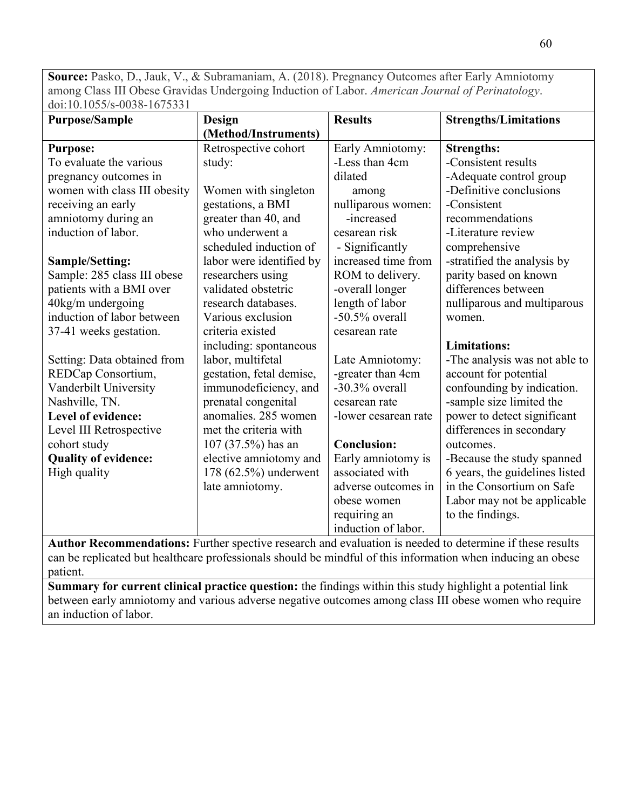**Source:** Pasko, D., Jauk, V., & Subramaniam, A. (2018). Pregnancy Outcomes after Early Amniotomy among Class III Obese Gravidas Undergoing Induction of Labor. *American Journal of Perinatology*. doi:10.1055/s-0038-1675331

| <b>Purpose/Sample</b>        | Design                   | <b>Results</b>       | <b>Strengths/Limitations</b>   |
|------------------------------|--------------------------|----------------------|--------------------------------|
|                              | (Method/Instruments)     |                      |                                |
| <b>Purpose:</b>              | Retrospective cohort     | Early Amniotomy:     | <b>Strengths:</b>              |
| To evaluate the various      | study:                   | -Less than 4cm       | -Consistent results            |
| pregnancy outcomes in        |                          | dilated              | -Adequate control group        |
| women with class III obesity | Women with singleton     | among                | -Definitive conclusions        |
| receiving an early           | gestations, a BMI        | nulliparous women:   | -Consistent                    |
| amniotomy during an          | greater than 40, and     | -increased           | recommendations                |
| induction of labor.          | who underwent a          | cesarean risk        | -Literature review             |
|                              | scheduled induction of   | - Significantly      | comprehensive                  |
| <b>Sample/Setting:</b>       | labor were identified by | increased time from  | -stratified the analysis by    |
| Sample: 285 class III obese  | researchers using        | ROM to delivery.     | parity based on known          |
| patients with a BMI over     | validated obstetric      | -overall longer      | differences between            |
| 40kg/m undergoing            | research databases.      | length of labor      | nulliparous and multiparous    |
| induction of labor between   | Various exclusion        | $-50.5\%$ overall    | women.                         |
| 37-41 weeks gestation.       | criteria existed         | cesarean rate        |                                |
|                              | including: spontaneous   |                      | <b>Limitations:</b>            |
| Setting: Data obtained from  | labor, multifetal        | Late Amniotomy:      | -The analysis was not able to  |
| REDCap Consortium,           | gestation, fetal demise, | -greater than 4cm    | account for potential          |
| Vanderbilt University        | immunodeficiency, and    | $-30.3\%$ overall    | confounding by indication.     |
| Nashville, TN.               | prenatal congenital      | cesarean rate        | -sample size limited the       |
| Level of evidence:           | anomalies. 285 women     | -lower cesarean rate | power to detect significant    |
| Level III Retrospective      | met the criteria with    |                      | differences in secondary       |
| cohort study                 | $107 (37.5%)$ has an     | <b>Conclusion:</b>   | outcomes.                      |
| <b>Quality of evidence:</b>  | elective amniotomy and   | Early amniotomy is   | -Because the study spanned     |
| High quality                 | 178 (62.5%) underwent    | associated with      | 6 years, the guidelines listed |
|                              | late amniotomy.          | adverse outcomes in  | in the Consortium on Safe      |
|                              |                          | obese women          | Labor may not be applicable    |
|                              |                          | requiring an         | to the findings.               |
|                              |                          | induction of labor.  |                                |

**Author Recommendations:** Further spective research and evaluation is needed to determine if these results can be replicated but healthcare professionals should be mindful of this information when inducing an obese patient.

**Summary for current clinical practice question:** the findings within this study highlight a potential link between early amniotomy and various adverse negative outcomes among class III obese women who require an induction of labor.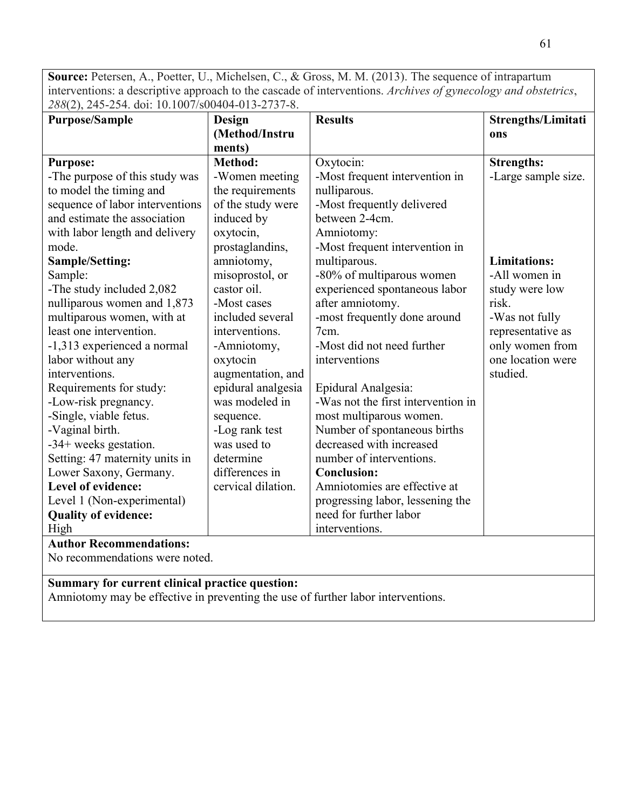**Source:** Petersen, A., Poetter, U., Michelsen, C., & Gross, M. M. (2013). The sequence of intrapartum interventions: a descriptive approach to the cascade of interventions. *Archives of gynecology and obstetrics*, *288*(2), 245-254. doi: 10.1007/s00404-013-2737-8.

| $=00(1, 0.0)$ $= 0.02$ $= 0.001(1, 0.00)$<br><b>Purpose/Sample</b> | <b>Design</b>      | <b>Results</b>                     | Strengths/Limitati  |
|--------------------------------------------------------------------|--------------------|------------------------------------|---------------------|
|                                                                    | (Method/Instru     |                                    | ons                 |
|                                                                    | ments)             |                                    |                     |
| <b>Purpose:</b>                                                    | <b>Method:</b>     | Oxytocin:                          | <b>Strengths:</b>   |
| -The purpose of this study was                                     | -Women meeting     | -Most frequent intervention in     | -Large sample size. |
| to model the timing and                                            | the requirements   | nulliparous.                       |                     |
| sequence of labor interventions                                    | of the study were  | -Most frequently delivered         |                     |
| and estimate the association                                       | induced by         | between 2-4cm.                     |                     |
| with labor length and delivery                                     | oxytocin,          | Amniotomy:                         |                     |
| mode.                                                              | prostaglandins,    | -Most frequent intervention in     |                     |
| Sample/Setting:                                                    | amniotomy,         | multiparous.                       | <b>Limitations:</b> |
| Sample:                                                            | misoprostol, or    | -80% of multiparous women          | -All women in       |
| -The study included 2,082                                          | castor oil.        | experienced spontaneous labor      | study were low      |
| nulliparous women and 1,873                                        | -Most cases        | after amniotomy.                   | risk.               |
| multiparous women, with at                                         | included several   | -most frequently done around       | -Was not fully      |
| least one intervention.                                            | interventions.     | 7cm.                               | representative as   |
| -1,313 experienced a normal                                        | -Amniotomy,        | -Most did not need further         | only women from     |
| labor without any                                                  | oxytocin           | interventions                      | one location were   |
| interventions.                                                     | augmentation, and  |                                    | studied.            |
| Requirements for study:                                            | epidural analgesia | Epidural Analgesia:                |                     |
| -Low-risk pregnancy.                                               | was modeled in     | -Was not the first intervention in |                     |
| -Single, viable fetus.                                             | sequence.          | most multiparous women.            |                     |
| -Vaginal birth.                                                    | -Log rank test     | Number of spontaneous births       |                     |
| -34+ weeks gestation.                                              | was used to        | decreased with increased           |                     |
| Setting: 47 maternity units in                                     | determine          | number of interventions.           |                     |
| Lower Saxony, Germany.                                             | differences in     | <b>Conclusion:</b>                 |                     |
| Level of evidence:                                                 | cervical dilation. | Amniotomies are effective at       |                     |
| Level 1 (Non-experimental)                                         |                    | progressing labor, lessening the   |                     |
| <b>Quality of evidence:</b>                                        |                    | need for further labor             |                     |
| High                                                               |                    | interventions.                     |                     |
| <b>Author Recommendations:</b>                                     |                    |                                    |                     |
| No recommendations were noted.                                     |                    |                                    |                     |

# **Summary for current clinical practice question:**

Amniotomy may be effective in preventing the use of further labor interventions.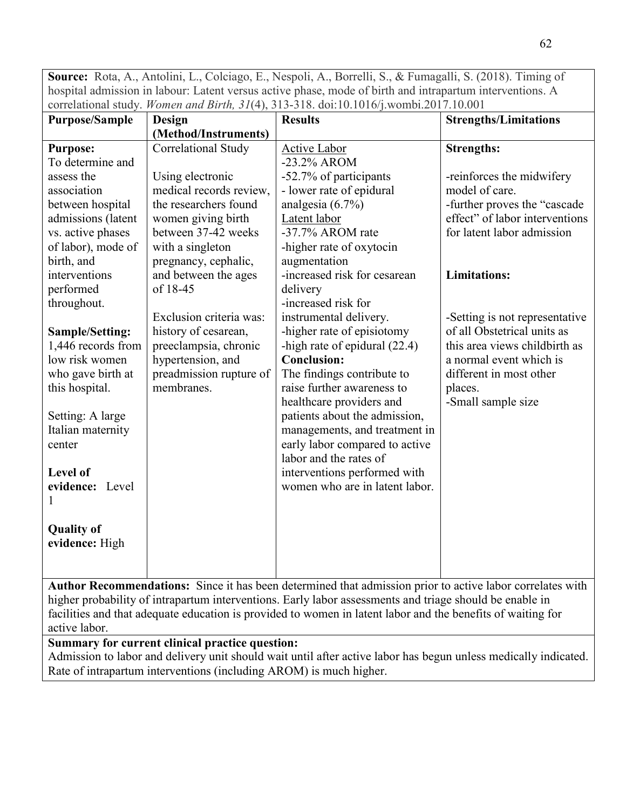**Source:** Rota, A., Antolini, L., Colciago, E., Nespoli, A., Borrelli, S., & Fumagalli, S. (2018). Timing of hospital admission in labour: Latent versus active phase, mode of birth and intrapartum interventions. A correlational study. *Women and Birth, 31*(4), 313-318. doi:10.1016/j.wombi.2017.10.001

| <b>Purpose/Sample</b> | Design                  | <b>Results</b>                                                                                            | <b>Strengths/Limitations</b>   |
|-----------------------|-------------------------|-----------------------------------------------------------------------------------------------------------|--------------------------------|
|                       | (Method/Instruments)    |                                                                                                           |                                |
| <b>Purpose:</b>       | Correlational Study     | <b>Active Labor</b>                                                                                       | <b>Strengths:</b>              |
| To determine and      |                         | -23.2% AROM                                                                                               |                                |
| assess the            | Using electronic        | -52.7% of participants                                                                                    | -reinforces the midwifery      |
| association           | medical records review, | - lower rate of epidural                                                                                  | model of care.                 |
| between hospital      | the researchers found   | analgesia $(6.7\%)$                                                                                       | -further proves the "cascade   |
| admissions (latent    | women giving birth      | Latent labor                                                                                              | effect" of labor interventions |
| vs. active phases     | between 37-42 weeks     | -37.7% AROM rate                                                                                          | for latent labor admission     |
| of labor), mode of    | with a singleton        | -higher rate of oxytocin                                                                                  |                                |
| birth, and            | pregnancy, cephalic,    | augmentation                                                                                              |                                |
| interventions         | and between the ages    | -increased risk for cesarean                                                                              | <b>Limitations:</b>            |
| performed             | of 18-45                | delivery                                                                                                  |                                |
| throughout.           |                         | -increased risk for                                                                                       |                                |
|                       | Exclusion criteria was: | instrumental delivery.                                                                                    | -Setting is not representative |
| Sample/Setting:       | history of cesarean,    | -higher rate of episiotomy                                                                                | of all Obstetrical units as    |
| 1,446 records from    | preeclampsia, chronic   | -high rate of epidural $(22.4)$                                                                           | this area views childbirth as  |
| low risk women        | hypertension, and       | <b>Conclusion:</b>                                                                                        | a normal event which is        |
| who gave birth at     | preadmission rupture of | The findings contribute to                                                                                | different in most other        |
| this hospital.        | membranes.              | raise further awareness to                                                                                | places.                        |
|                       |                         | healthcare providers and                                                                                  | -Small sample size             |
| Setting: A large      |                         | patients about the admission,                                                                             |                                |
| Italian maternity     |                         | managements, and treatment in                                                                             |                                |
| center                |                         | early labor compared to active                                                                            |                                |
|                       |                         | labor and the rates of                                                                                    |                                |
| Level of              |                         | interventions performed with                                                                              |                                |
| evidence: Level       |                         | women who are in latent labor.                                                                            |                                |
|                       |                         |                                                                                                           |                                |
|                       |                         |                                                                                                           |                                |
| <b>Quality of</b>     |                         |                                                                                                           |                                |
| evidence: High        |                         |                                                                                                           |                                |
|                       |                         |                                                                                                           |                                |
|                       |                         |                                                                                                           |                                |
|                       |                         | Author Recommendations: Since it has been determined that admission prior to active labor correlates with |                                |

higher probability of intrapartum interventions. Early labor assessments and triage should be enable in facilities and that adequate education is provided to women in latent labor and the benefits of waiting for active labor.

# **Summary for current clinical practice question:**

Admission to labor and delivery unit should wait until after active labor has begun unless medically indicated. Rate of intrapartum interventions (including AROM) is much higher.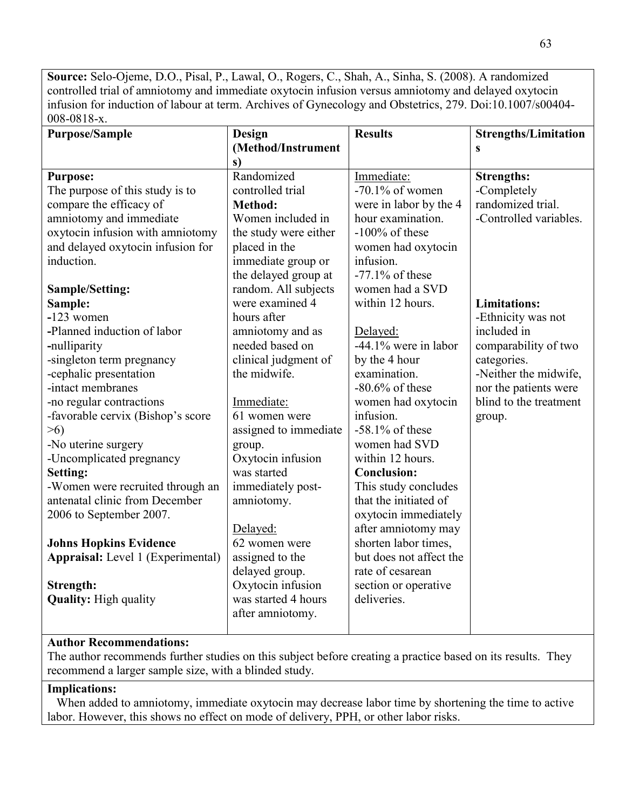**Source:** Selo-Ojeme, D.O., Pisal, P., Lawal, O., Rogers, C., Shah, A., Sinha, S. (2008). A randomized controlled trial of amniotomy and immediate oxytocin infusion versus amniotomy and delayed oxytocin infusion for induction of labour at term. Archives of Gynecology and Obstetrics, 279. Doi:10.1007/s00404- 008-0818-x.

| <b>Purpose/Sample</b>                    | Design                | <b>Results</b>          | <b>Strengths/Limitation</b> |
|------------------------------------------|-----------------------|-------------------------|-----------------------------|
|                                          | (Method/Instrument    |                         | S                           |
|                                          | s)                    |                         |                             |
| <b>Purpose:</b>                          | Randomized            | Immediate:              | <b>Strengths:</b>           |
| The purpose of this study is to          | controlled trial      | $-70.1\%$ of women      | -Completely                 |
| compare the efficacy of                  | <b>Method:</b>        | were in labor by the 4  | randomized trial.           |
| amniotomy and immediate                  | Women included in     | hour examination.       | -Controlled variables.      |
| oxytocin infusion with amniotomy         | the study were either | $-100\%$ of these       |                             |
| and delayed oxytocin infusion for        | placed in the         | women had oxytocin      |                             |
| induction.                               | immediate group or    | infusion.               |                             |
|                                          | the delayed group at  | $-77.1\%$ of these      |                             |
| <b>Sample/Setting:</b>                   | random. All subjects  | women had a SVD         |                             |
| Sample:                                  | were examined 4       | within 12 hours.        | <b>Limitations:</b>         |
| $-123$ women                             | hours after           |                         | -Ethnicity was not          |
| -Planned induction of labor              | amniotomy and as      | Delayed:                | included in                 |
| -nulliparity                             | needed based on       | -44.1% were in labor    | comparability of two        |
| -singleton term pregnancy                | clinical judgment of  | by the 4 hour           | categories.                 |
| -cephalic presentation                   | the midwife.          | examination.            | -Neither the midwife,       |
| -intact membranes                        |                       | $-80.6\%$ of these      | nor the patients were       |
| -no regular contractions                 | Immediate:            | women had oxytocin      | blind to the treatment      |
| -favorable cervix (Bishop's score        | 61 women were         | infusion.               | group.                      |
| $>6$ )                                   | assigned to immediate | $-58.1\%$ of these      |                             |
| -No uterine surgery                      | group.                | women had SVD           |                             |
| -Uncomplicated pregnancy                 | Oxytocin infusion     | within 12 hours.        |                             |
| Setting:                                 | was started           | <b>Conclusion:</b>      |                             |
| -Women were recruited through an         | immediately post-     | This study concludes    |                             |
| antenatal clinic from December           | amniotomy.            | that the initiated of   |                             |
| 2006 to September 2007.                  |                       | oxytocin immediately    |                             |
|                                          | Delayed:              | after amniotomy may     |                             |
| <b>Johns Hopkins Evidence</b>            | 62 women were         | shorten labor times,    |                             |
| <b>Appraisal:</b> Level 1 (Experimental) | assigned to the       | but does not affect the |                             |
|                                          | delayed group.        | rate of cesarean        |                             |
| Strength:                                | Oxytocin infusion     | section or operative    |                             |
| <b>Quality:</b> High quality             | was started 4 hours   | deliveries.             |                             |
|                                          | after amniotomy.      |                         |                             |
|                                          |                       |                         |                             |

## **Author Recommendations:**

The author recommends further studies on this subject before creating a practice based on its results. They recommend a larger sample size, with a blinded study.

# **Implications:**

 When added to amniotomy, immediate oxytocin may decrease labor time by shortening the time to active labor. However, this shows no effect on mode of delivery, PPH, or other labor risks.